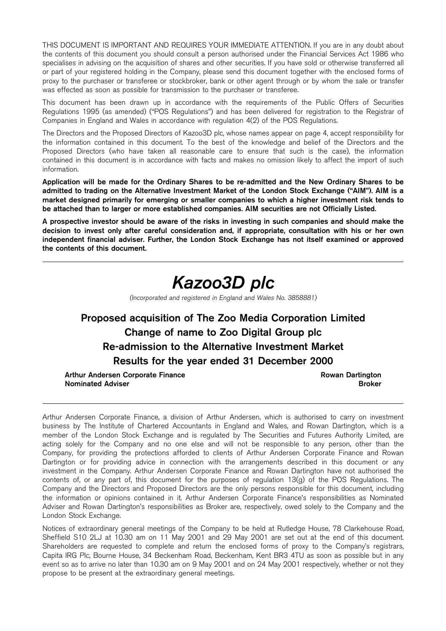THIS DOCUMENT IS IMPORTANT AND REQUIRES YOUR IMMEDIATE ATTENTION. If you are in any doubt about the contents of this document you should consult a person authorised under the Financial Services Act 1986 who specialises in advising on the acquisition of shares and other securities. If you have sold or otherwise transferred all or part of your registered holding in the Company, please send this document together with the enclosed forms of proxy to the purchaser or transferee or stockbroker, bank or other agent through or by whom the sale or transfer was effected as soon as possible for transmission to the purchaser or transferee.

This document has been drawn up in accordance with the requirements of the Public Offers of Securities Regulations 1995 (as amended) ("POS Regulations") and has been delivered for registration to the Registrar of Companies in England and Wales in accordance with regulation 4(2) of the POS Regulations.

The Directors and the Proposed Directors of Kazoo3D plc, whose names appear on page 4, accept responsibility for the information contained in this document. To the best of the knowledge and belief of the Directors and the Proposed Directors (who have taken all reasonable care to ensure that such is the case), the information contained in this document is in accordance with facts and makes no omission likely to affect the import of such information.

Application will be made for the Ordinary Shares to be re-admitted and the New Ordinary Shares to be admitted to trading on the Alternative Investment Market of the London Stock Exchange ("AIM"). AIM is a market designed primarily for emerging or smaller companies to which a higher investment risk tends to be attached than to larger or more established companies. AIM securities are not Officially Listed.

A prospective investor should be aware of the risks in investing in such companies and should make the decision to invest only after careful consideration and, if appropriate, consultation with his or her own independent financial adviser. Further, the London Stock Exchange has not itself examined or approved the contents of this document.

# Kazoo3D plc

(Incorporated and registered in England and Wales No. 3858881)

# Proposed acquisition of The Zoo Media Corporation Limited Change of name to Zoo Digital Group plc Re-admission to the Alternative Investment Market Results for the year ended 31 December 2000

Arthur Andersen Corporate Finance **Rowan Dartington** Rowan Dartington Nominated Adviser and the state of the state of the state of the state of the state of the state of the state of the state of the state of the state of the state of the state of the state of the state of the state of the s

Arthur Andersen Corporate Finance, a division of Arthur Andersen, which is authorised to carry on investment business by The Institute of Chartered Accountants in England and Wales, and Rowan Dartington, which is a member of the London Stock Exchange and is regulated by The Securities and Futures Authority Limited, are acting solely for the Company and no one else and will not be responsible to any person, other than the Company, for providing the protections afforded to clients of Arthur Andersen Corporate Finance and Rowan Dartington or for providing advice in connection with the arrangements described in this document or any investment in the Company. Arthur Andersen Corporate Finance and Rowan Dartington have not authorised the contents of, or any part of, this document for the purposes of regulation 13(g) of the POS Regulations. The Company and the Directors and Proposed Directors are the only persons responsible for this document, including the information or opinions contained in it. Arthur Andersen Corporate Finance's responsibilities as Nominated Adviser and Rowan Dartington's responsibilities as Broker are, respectively, owed solely to the Company and the London Stock Exchange.

Notices of extraordinary general meetings of the Company to be held at Rutledge House, 78 Clarkehouse Road, Sheffield S10 2LJ at 10.30 am on 11 May 2001 and 29 May 2001 are set out at the end of this document. Shareholders are requested to complete and return the enclosed forms of proxy to the Company's registrars, Capita IRG Plc, Bourne House, 34 Beckenham Road, Beckenham, Kent BR3 4TU as soon as possible but in any event so as to arrive no later than 10.30 am on 9 May 2001 and on 24 May 2001 respectively, whether or not they propose to be present at the extraordinary general meetings.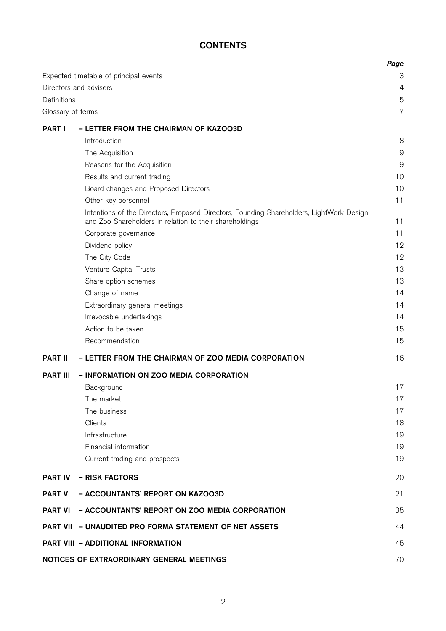# **CONTENTS**

|                   |                                                                                                                                                     | Page           |
|-------------------|-----------------------------------------------------------------------------------------------------------------------------------------------------|----------------|
|                   | Expected timetable of principal events                                                                                                              | 3              |
|                   | Directors and advisers                                                                                                                              | $\overline{4}$ |
| Definitions       |                                                                                                                                                     | 5              |
| Glossary of terms |                                                                                                                                                     | 7              |
| <b>PART I</b>     | - LETTER FROM THE CHAIRMAN OF KAZOO3D                                                                                                               |                |
|                   | Introduction                                                                                                                                        | 8              |
|                   | The Acquisition                                                                                                                                     | $\mathcal{Q}$  |
|                   | Reasons for the Acquisition                                                                                                                         | 9              |
|                   | Results and current trading                                                                                                                         | 10             |
|                   | Board changes and Proposed Directors                                                                                                                | 10             |
|                   | Other key personnel                                                                                                                                 | 11             |
|                   | Intentions of the Directors, Proposed Directors, Founding Shareholders, LightWork Design<br>and Zoo Shareholders in relation to their shareholdings | 11             |
|                   | Corporate governance                                                                                                                                | 11             |
|                   | Dividend policy                                                                                                                                     | 12             |
|                   | The City Code                                                                                                                                       | 12             |
|                   | Venture Capital Trusts                                                                                                                              | 13             |
|                   | Share option schemes                                                                                                                                | 13             |
|                   | Change of name                                                                                                                                      | 14             |
|                   | Extraordinary general meetings                                                                                                                      | 14             |
|                   | Irrevocable undertakings                                                                                                                            | 14             |
|                   | Action to be taken                                                                                                                                  | 15             |
|                   | Recommendation                                                                                                                                      | 15             |
| <b>PART II</b>    | - LETTER FROM THE CHAIRMAN OF ZOO MEDIA CORPORATION                                                                                                 | 16             |
| <b>PART III</b>   | - INFORMATION ON ZOO MEDIA CORPORATION                                                                                                              |                |
|                   | Background                                                                                                                                          | 17             |
|                   | The market                                                                                                                                          | 17             |
|                   | The business                                                                                                                                        | 17             |
|                   | Clients                                                                                                                                             | 18             |
|                   | Infrastructure                                                                                                                                      | 19             |
|                   | Financial information                                                                                                                               | 19             |
|                   | Current trading and prospects                                                                                                                       | 19             |
| <b>PART IV</b>    | - RISK FACTORS                                                                                                                                      | 20             |
| <b>PART V</b>     | - ACCOUNTANTS' REPORT ON KAZOO3D                                                                                                                    | 21             |
| <b>PART VI</b>    | - ACCOUNTANTS' REPORT ON ZOO MEDIA CORPORATION                                                                                                      | 35             |
|                   | <b>PART VII - UNAUDITED PRO FORMA STATEMENT OF NET ASSETS</b>                                                                                       | 44             |
|                   | <b>PART VIII - ADDITIONAL INFORMATION</b>                                                                                                           | 45             |
|                   | NOTICES OF EXTRAORDINARY GENERAL MEETINGS                                                                                                           | 70             |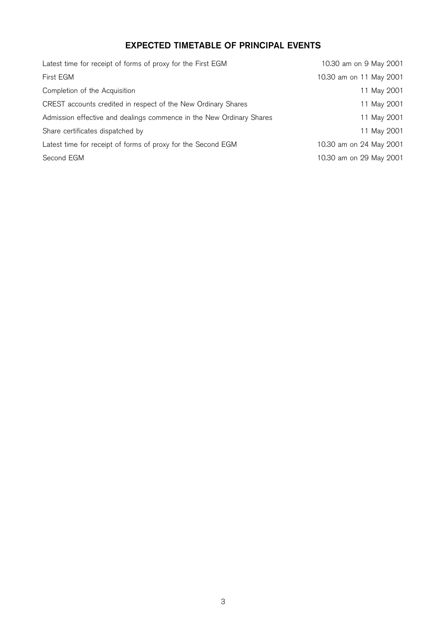# EXPECTED TIMETABLE OF PRINCIPAL EVENTS

| Latest time for receipt of forms of proxy for the First EGM          | 10.30 am on 9 May 2001  |
|----------------------------------------------------------------------|-------------------------|
| First EGM                                                            | 10.30 am on 11 May 2001 |
| Completion of the Acquisition                                        | 11 May 2001             |
| CREST accounts credited in respect of the New Ordinary Shares        | 11 May 2001             |
| Admission effective and dealings commence in the New Ordinary Shares | 11 May 2001             |
| Share certificates dispatched by                                     | 11 May 2001             |
| Latest time for receipt of forms of proxy for the Second EGM         | 10.30 am on 24 May 2001 |
| Second EGM                                                           | 10.30 am on 29 May 2001 |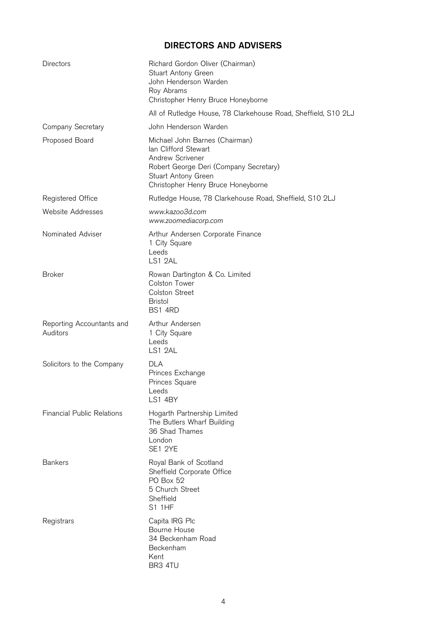# DIRECTORS AND ADVISERS

| <b>Directors</b>                      | Richard Gordon Oliver (Chairman)<br>Stuart Antony Green<br>John Henderson Warden<br>Roy Abrams<br>Christopher Henry Bruce Honeyborne                                                     |
|---------------------------------------|------------------------------------------------------------------------------------------------------------------------------------------------------------------------------------------|
|                                       | All of Rutledge House, 78 Clarkehouse Road, Sheffield, S10 2LJ                                                                                                                           |
| Company Secretary                     | John Henderson Warden                                                                                                                                                                    |
| Proposed Board                        | Michael John Barnes (Chairman)<br>lan Clifford Stewart<br><b>Andrew Scrivener</b><br>Robert George Deri (Company Secretary)<br>Stuart Antony Green<br>Christopher Henry Bruce Honeyborne |
| Registered Office                     | Rutledge House, 78 Clarkehouse Road, Sheffield, S10 2LJ                                                                                                                                  |
| <b>Website Addresses</b>              | www.kazoo3d.com<br>www.zoomediacorp.com                                                                                                                                                  |
| Nominated Adviser                     | Arthur Andersen Corporate Finance<br>1 City Square<br>Leeds<br>LS1 2AL                                                                                                                   |
| <b>Broker</b>                         | Rowan Dartington & Co. Limited<br><b>Colston Tower</b><br>Colston Street<br><b>Bristol</b><br>BS1 4RD                                                                                    |
| Reporting Accountants and<br>Auditors | Arthur Andersen<br>1 City Square<br>Leeds<br>LS1 2AL                                                                                                                                     |
| Solicitors to the Company             | DLA<br>Princes Exchange<br>Princes Square<br>Leeds<br>LS1 4BY                                                                                                                            |
| <b>Financial Public Relations</b>     | Hogarth Partnership Limited<br>The Butlers Wharf Building<br>36 Shad Thames<br>London<br>SE1 2YE                                                                                         |
| <b>Bankers</b>                        | Royal Bank of Scotland<br>Sheffield Corporate Office<br>PO Box 52<br>5 Church Street<br>Sheffield<br>S1 1HF                                                                              |
| Registrars                            | Capita IRG Plc<br>Bourne House<br>34 Beckenham Road<br>Beckenham<br>Kent<br>BR3 4TU                                                                                                      |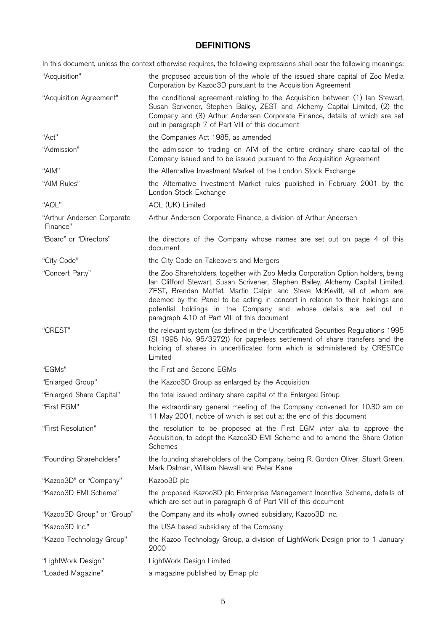# DEFINITIONS

In this document, unless the context otherwise requires, the following expressions shall bear the following meanings:

| "Acquisition"                          | the proposed acquisition of the whole of the issued share capital of Zoo Media<br>Corporation by Kazoo3D pursuant to the Acquisition Agreement                                                                                                                                                                                                                                                                                                       |
|----------------------------------------|------------------------------------------------------------------------------------------------------------------------------------------------------------------------------------------------------------------------------------------------------------------------------------------------------------------------------------------------------------------------------------------------------------------------------------------------------|
| "Acquisition Agreement"                | the conditional agreement relating to the Acquisition between (1) Ian Stewart,<br>Susan Scrivener, Stephen Bailey, ZEST and Alchemy Capital Limited, (2) the<br>Company and (3) Arthur Andersen Corporate Finance, details of which are set<br>out in paragraph 7 of Part VIII of this document                                                                                                                                                      |
| "Act"                                  | the Companies Act 1985, as amended                                                                                                                                                                                                                                                                                                                                                                                                                   |
| "Admission"                            | the admission to trading on AIM of the entire ordinary share capital of the<br>Company issued and to be issued pursuant to the Acquisition Agreement                                                                                                                                                                                                                                                                                                 |
| "AIM"                                  | the Alternative Investment Market of the London Stock Exchange                                                                                                                                                                                                                                                                                                                                                                                       |
| "AIM Rules"                            | the Alternative Investment Market rules published in February 2001 by the<br>London Stock Exchange                                                                                                                                                                                                                                                                                                                                                   |
| "AOL"                                  | AOL (UK) Limited                                                                                                                                                                                                                                                                                                                                                                                                                                     |
| "Arthur Andersen Corporate<br>Finance" | Arthur Andersen Corporate Finance, a division of Arthur Andersen                                                                                                                                                                                                                                                                                                                                                                                     |
| "Board" or "Directors"                 | the directors of the Company whose names are set out on page 4 of this<br>document                                                                                                                                                                                                                                                                                                                                                                   |
| "City Code"                            | the City Code on Takeovers and Mergers                                                                                                                                                                                                                                                                                                                                                                                                               |
| "Concert Party"                        | the Zoo Shareholders, together with Zoo Media Corporation Option holders, being<br>lan Clifford Stewart, Susan Scrivener, Stephen Bailey, Alchemy Capital Limited,<br>ZEST, Brendan Moffet, Martin Calpin and Steve McKevitt, all of whom are<br>deemed by the Panel to be acting in concert in relation to their holdings and<br>potential holdings in the Company and whose details are set out in<br>paragraph 4.10 of Part VIII of this document |
| "CREST"                                | the relevant system (as defined in the Uncertificated Securities Regulations 1995)                                                                                                                                                                                                                                                                                                                                                                   |
|                                        | (SI 1995 No. 95/3272)) for paperless settlement of share transfers and the<br>holding of shares in uncertificated form which is administered by CRESTCo<br>Limited                                                                                                                                                                                                                                                                                   |
| "EGMs"                                 | the First and Second EGMs                                                                                                                                                                                                                                                                                                                                                                                                                            |
| "Enlarged Group"                       | the Kazoo3D Group as enlarged by the Acquisition                                                                                                                                                                                                                                                                                                                                                                                                     |
| "Enlarged Share Capital"               | the total issued ordinary share capital of the Enlarged Group                                                                                                                                                                                                                                                                                                                                                                                        |
| "First EGM"                            | the extraordinary general meeting of the Company convened for 10.30 am on<br>11 May 2001, notice of which is set out at the end of this document                                                                                                                                                                                                                                                                                                     |
| "First Resolution"                     | the resolution to be proposed at the First EGM inter alia to approve the<br>Acquisition, to adopt the Kazoo3D EMI Scheme and to amend the Share Option<br>Schemes                                                                                                                                                                                                                                                                                    |
| "Founding Shareholders"                | the founding shareholders of the Company, being R. Gordon Oliver, Stuart Green,<br>Mark Dalman, William Newall and Peter Kane                                                                                                                                                                                                                                                                                                                        |
| "Kazoo3D" or "Company"                 | Kazoo3D plc                                                                                                                                                                                                                                                                                                                                                                                                                                          |
| "Kazoo3D EMI Scheme"                   | the proposed Kazoo3D plc Enterprise Management Incentive Scheme, details of<br>which are set out in paragraph 6 of Part VIII of this document                                                                                                                                                                                                                                                                                                        |
| "Kazoo3D Group" or "Group"             | the Company and its wholly owned subsidiary, Kazoo3D Inc.                                                                                                                                                                                                                                                                                                                                                                                            |
| "Kazoo3D Inc."                         | the USA based subsidiary of the Company                                                                                                                                                                                                                                                                                                                                                                                                              |
| "Kazoo Technology Group"               | the Kazoo Technology Group, a division of LightWork Design prior to 1 January<br>2000                                                                                                                                                                                                                                                                                                                                                                |
| "LightWork Design"                     | LightWork Design Limited                                                                                                                                                                                                                                                                                                                                                                                                                             |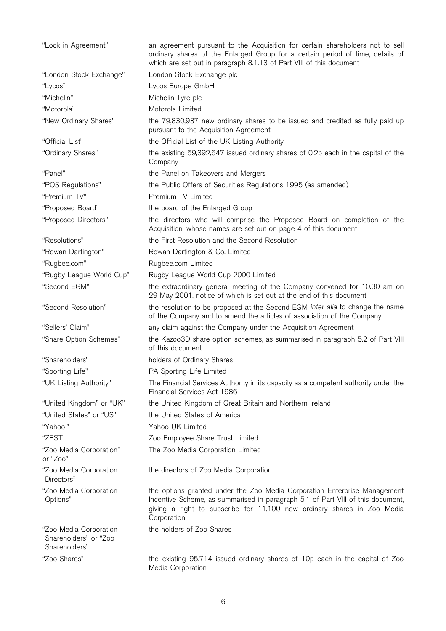``Lock-in Agreement'' an agreement pursuant to the Acquisition for certain shareholders not to sell ordinary shares of the Enlarged Group for a certain period of time, details of which are set out in paragraph 8.1.13 of Part VIII of this document "London Stock Exchange" London Stock Exchange plc ``Lycos'' Lycos Europe GmbH ``Michelin'' Michelin Tyre plc ``Motorola'' Motorola Limited "New Ordinary Shares" the 79,830,937 new ordinary shares to be issued and credited as fully paid up pursuant to the Acquisition Agreement "Official List" the Official List of the UK Listing Authority ``Ordinary Shares'' the existing 59,392,647 issued ordinary shares of 0.2p each in the capital of the Company ``Panel'' the Panel on Takeovers and Mergers ``POS Regulations'' the Public Offers of Securities Regulations 1995 (as amended) ``Premium TV'' Premium TV Limited "Proposed Board" the board of the Enlarged Group ``Proposed Directors'' the directors who will comprise the Proposed Board on completion of the Acquisition, whose names are set out on page 4 of this document ``Resolutions'' the First Resolution and the Second Resolution ``Rowan Dartington'' Rowan Dartington & Co. Limited ``Rugbee.com'' Rugbee.com Limited ``Rugby League World Cup'' Rugby League World Cup 2000 Limited "Second EGM" the extraordinary general meeting of the Company convened for 10.30 am on 29 May 2001, notice of which is set out at the end of this document "Second Resolution" the resolution to be proposed at the Second EGM inter alia to change the name of the Company and to amend the articles of association of the Company ``Sellers' Claim'' any claim against the Company under the Acquisition Agreement ``Share Option Schemes'' the Kazoo3D share option schemes, as summarised in paragraph 5.2 of Part VIII of this document ``Shareholders'' holders of Ordinary Shares ``Sporting Life'' PA Sporting Life Limited ``UK Listing Authority'' The Financial Services Authority in its capacity as a competent authority under the Financial Services Act 1986 ``United Kingdom'' or ``UK'' the United Kingdom of Great Britain and Northern Ireland ``United States'' or ``US'' the United States of America ``Yahoo!'' Yahoo UK Limited ``ZEST'' Zoo Employee Share Trust Limited ``Zoo Media Corporation'' or "Zoo" The Zoo Media Corporation Limited "Zoo Media Corporation Directors'' the directors of Zoo Media Corporation "Zoo Media Corporation Options'' the options granted under the Zoo Media Corporation Enterprise Management Incentive Scheme, as summarised in paragraph 5.1 of Part VIII of this document, giving a right to subscribe for 11,100 new ordinary shares in Zoo Media **Corporation** "Zoo Media Corporation Shareholders" or "Zoo Shareholders'' the holders of Zoo Shares "Zoo Shares" the existing 95,714 issued ordinary shares of 10p each in the capital of Zoo Media Corporation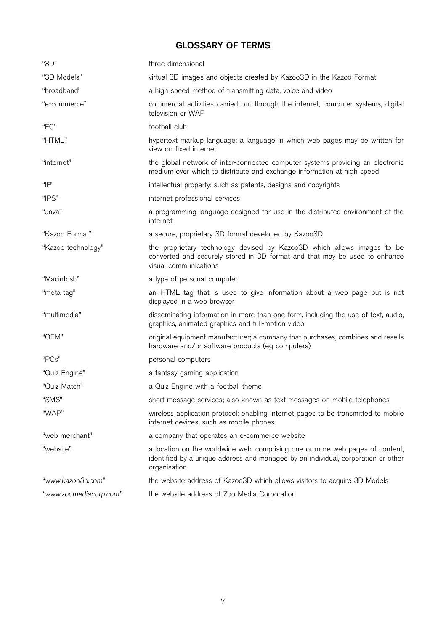# GLOSSARY OF TERMS

| "3D"                   | three dimensional                                                                                                                                                                  |
|------------------------|------------------------------------------------------------------------------------------------------------------------------------------------------------------------------------|
| "3D Models"            | virtual 3D images and objects created by Kazoo3D in the Kazoo Format                                                                                                               |
| "broadband"            | a high speed method of transmitting data, voice and video                                                                                                                          |
| "e-commerce"           | commercial activities carried out through the internet, computer systems, digital<br>television or WAP                                                                             |
| "FC"                   | football club                                                                                                                                                                      |
| "HTML"                 | hypertext markup language; a language in which web pages may be written for<br>view on fixed internet                                                                              |
| "internet"             | the global network of inter-connected computer systems providing an electronic<br>medium over which to distribute and exchange information at high speed                           |
| "P"                    | intellectual property; such as patents, designs and copyrights                                                                                                                     |
| "IPS"                  | internet professional services                                                                                                                                                     |
| "Java"                 | a programming language designed for use in the distributed environment of the<br>internet                                                                                          |
| "Kazoo Format"         | a secure, proprietary 3D format developed by Kazoo3D                                                                                                                               |
| "Kazoo technology"     | the proprietary technology devised by Kazoo3D which allows images to be<br>converted and securely stored in 3D format and that may be used to enhance<br>visual communications     |
| "Macintosh"            | a type of personal computer                                                                                                                                                        |
| "meta tag"             | an HTML tag that is used to give information about a web page but is not<br>displayed in a web browser                                                                             |
| "multimedia"           | disseminating information in more than one form, including the use of text, audio,<br>graphics, animated graphics and full-motion video                                            |
| "OEM"                  | original equipment manufacturer; a company that purchases, combines and resells<br>hardware and/or software products (eg computers)                                                |
| "PCs"                  | personal computers                                                                                                                                                                 |
| "Quiz Engine"          | a fantasy gaming application                                                                                                                                                       |
| "Quiz Match"           | a Quiz Engine with a football theme                                                                                                                                                |
| "SMS"                  | short message services; also known as text messages on mobile telephones                                                                                                           |
| "WAP"                  | wireless application protocol; enabling internet pages to be transmitted to mobile<br>internet devices, such as mobile phones                                                      |
| "web merchant"         | a company that operates an e-commerce website                                                                                                                                      |
| "website"              | a location on the worldwide web, comprising one or more web pages of content,<br>identified by a unique address and managed by an individual, corporation or other<br>organisation |
| "www.kazoo3d.com"      | the website address of Kazoo3D which allows visitors to acquire 3D Models                                                                                                          |
| "www.zoomediacorp.com" | the website address of Zoo Media Corporation                                                                                                                                       |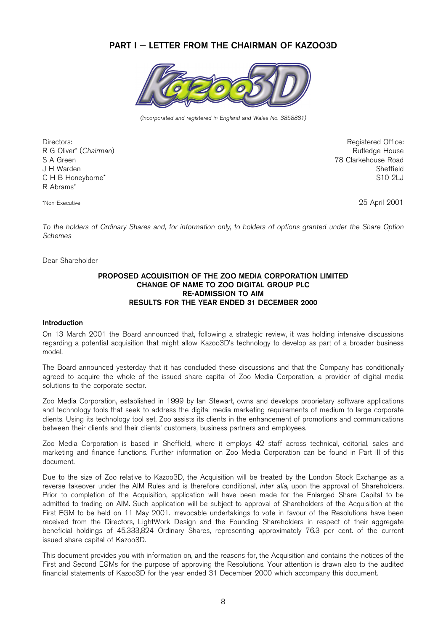# PART I – LETTER FROM THE CHAIRMAN OF KAZOO3D



(Incorporated and registered in England and Wales No. 3858881)

Directors: R G Oliver\* (Chairman) S A Green J H Warden C H B Honeyborne\* R Abrams\*

Registered Office: Rutledge House 78 Clarkehouse Road Sheffield S10 2LJ

\*Non-Executive 25 April 2001

To the holders of Ordinary Shares and, for information only, to holders of options granted under the Share Option Schemes

Dear Shareholder

#### PROPOSED ACQUISITION OF THE ZOO MEDIA CORPORATION LIMITED CHANGE OF NAME TO ZOO DIGITAL GROUP PLC RE-ADMISSION TO AIM RESULTS FOR THE YEAR ENDED 31 DECEMBER 2000

#### Introduction

On 13 March 2001 the Board announced that, following a strategic review, it was holding intensive discussions regarding a potential acquisition that might allow Kazoo3D's technology to develop as part of a broader business model.

The Board announced yesterday that it has concluded these discussions and that the Company has conditionally agreed to acquire the whole of the issued share capital of Zoo Media Corporation, a provider of digital media solutions to the corporate sector.

Zoo Media Corporation, established in 1999 by Ian Stewart, owns and develops proprietary software applications and technology tools that seek to address the digital media marketing requirements of medium to large corporate clients. Using its technology tool set, Zoo assists its clients in the enhancement of promotions and communications between their clients and their clients' customers, business partners and employees.

Zoo Media Corporation is based in Sheffield, where it employs 42 staff across technical, editorial, sales and marketing and finance functions. Further information on Zoo Media Corporation can be found in Part III of this document.

Due to the size of Zoo relative to Kazoo3D, the Acquisition will be treated by the London Stock Exchange as a reverse takeover under the AIM Rules and is therefore conditional, inter alia, upon the approval of Shareholders. Prior to completion of the Acquisition, application will have been made for the Enlarged Share Capital to be admitted to trading on AIM. Such application will be subject to approval of Shareholders of the Acquisition at the First EGM to be held on 11 May 2001. Irrevocable undertakings to vote in favour of the Resolutions have been received from the Directors, LightWork Design and the Founding Shareholders in respect of their aggregate beneficial holdings of 45,333,824 Ordinary Shares, representing approximately 76.3 per cent. of the current issued share capital of Kazoo3D.

This document provides you with information on, and the reasons for, the Acquisition and contains the notices of the First and Second EGMs for the purpose of approving the Resolutions. Your attention is drawn also to the audited financial statements of Kazoo3D for the year ended 31 December 2000 which accompany this document.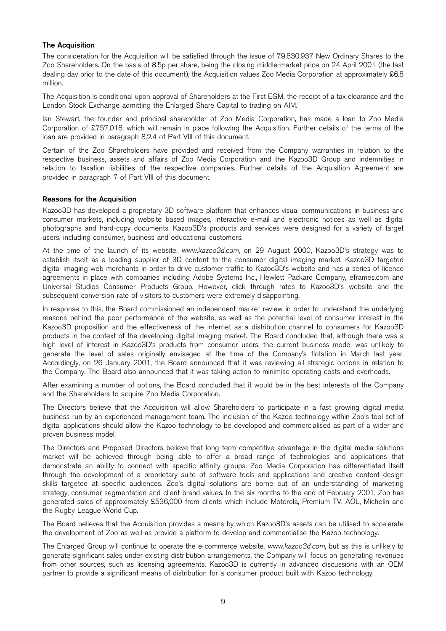#### The Acquisition

The consideration for the Acquisition will be satisfied through the issue of 79,830,937 New Ordinary Shares to the Zoo Shareholders. On the basis of 8.5p per share, being the closing middle-market price on 24 April 2001 (the last dealing day prior to the date of this document), the Acquisition values Zoo Media Corporation at approximately £6.8 million.

The Acquisition is conditional upon approval of Shareholders at the First EGM, the receipt of a tax clearance and the London Stock Exchange admitting the Enlarged Share Capital to trading on AIM.

Ian Stewart, the founder and principal shareholder of Zoo Media Corporation, has made a loan to Zoo Media Corporation of £757,018, which will remain in place following the Acquisition. Further details of the terms of the loan are provided in paragraph 8.2.4 of Part VIII of this document.

Certain of the Zoo Shareholders have provided and received from the Company warranties in relation to the respective business, assets and affairs of Zoo Media Corporation and the Kazoo3D Group and indemnities in relation to taxation liabilities of the respective companies. Further details of the Acquisition Agreement are provided in paragraph 7 of Part VIII of this document.

#### Reasons for the Acquisition

Kazoo3D has developed a proprietary 3D software platform that enhances visual communications in business and consumer markets, including website based images, interactive e-mail and electronic notices as well as digital photographs and hard-copy documents. Kazoo3D's products and services were designed for a variety of target users, including consumer, business and educational customers.

At the time of the launch of its website, www.kazoo3d.com, on 29 August 2000, Kazoo3D's strategy was to establish itself as a leading supplier of 3D content to the consumer digital imaging market. Kazoo3D targeted digital imaging web merchants in order to drive customer traffic to Kazoo3D's website and has a series of licence agreements in place with companies including Adobe Systems Inc., Hewlett Packard Company, eframes.com and Universal Studios Consumer Products Group. However, click through rates to Kazoo3D's website and the subsequent conversion rate of visitors to customers were extremely disappointing.

In response to this, the Board commissioned an independent market review in order to understand the underlying reasons behind the poor performance of the website, as well as the potential level of consumer interest in the Kazoo3D proposition and the effectiveness of the internet as a distribution channel to consumers for Kazoo3D products in the context of the developing digital imaging market. The Board concluded that, although there was a high level of interest in Kazoo3D's products from consumer users, the current business model was unlikely to generate the level of sales originally envisaged at the time of the Company's flotation in March last year. Accordingly, on 26 January 2001, the Board announced that it was reviewing all strategic options in relation to the Company. The Board also announced that it was taking action to minimise operating costs and overheads.

After examining a number of options, the Board concluded that it would be in the best interests of the Company and the Shareholders to acquire Zoo Media Corporation.

The Directors believe that the Acquisition will allow Shareholders to participate in a fast growing digital media business run by an experienced management team. The inclusion of the Kazoo technology within Zoo's tool set of digital applications should allow the Kazoo technology to be developed and commercialised as part of a wider and proven business model.

The Directors and Proposed Directors believe that long term competitive advantage in the digital media solutions market will be achieved through being able to offer a broad range of technologies and applications that demonstrate an ability to connect with specific affinity groups. Zoo Media Corporation has differentiated itself through the development of a proprietary suite of software tools and applications and creative content design skills targeted at specific audiences. Zoo's digital solutions are borne out of an understanding of marketing strategy, consumer segmentation and client brand values. In the six months to the end of February 2001, Zoo has generated sales of approximately £536,000 from clients which include Motorola, Premium TV, AOL, Michelin and the Rugby League World Cup.

The Board believes that the Acquisition provides a means by which Kazoo3D's assets can be utilised to accelerate the development of Zoo as well as provide a platform to develop and commercialise the Kazoo technology.

The Enlarged Group will continue to operate the e-commerce website, www.kazoo3d.com, but as this is unlikely to generate significant sales under existing distribution arrangements, the Company will focus on generating revenues from other sources, such as licensing agreements. Kazoo3D is currently in advanced discussions with an OEM partner to provide a significant means of distribution for a consumer product built with Kazoo technology.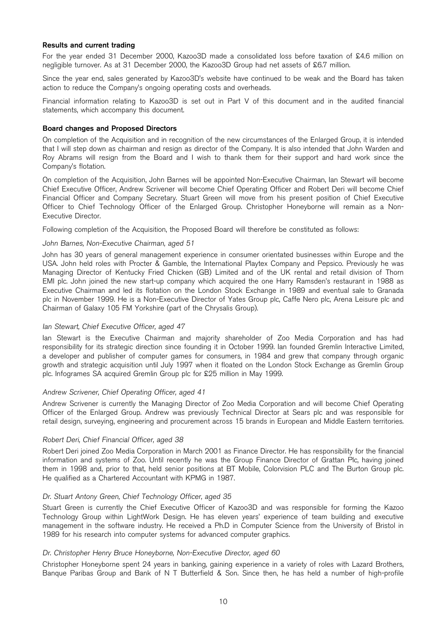#### Results and current trading

For the year ended 31 December 2000, Kazoo3D made a consolidated loss before taxation of £4.6 million on negligible turnover. As at 31 December 2000, the Kazoo3D Group had net assets of £6.7 million.

Since the year end, sales generated by Kazoo3D's website have continued to be weak and the Board has taken action to reduce the Company's ongoing operating costs and overheads.

Financial information relating to Kazoo3D is set out in Part V of this document and in the audited financial statements, which accompany this document.

#### Board changes and Proposed Directors

On completion of the Acquisition and in recognition of the new circumstances of the Enlarged Group, it is intended that I will step down as chairman and resign as director of the Company. It is also intended that John Warden and Roy Abrams will resign from the Board and I wish to thank them for their support and hard work since the Company's flotation.

On completion of the Acquisition, John Barnes will be appointed Non-Executive Chairman, Ian Stewart will become Chief Executive Officer, Andrew Scrivener will become Chief Operating Officer and Robert Deri will become Chief Financial Officer and Company Secretary. Stuart Green will move from his present position of Chief Executive Officer to Chief Technology Officer of the Enlarged Group. Christopher Honeyborne will remain as a Non-Executive Director.

Following completion of the Acquisition, the Proposed Board will therefore be constituted as follows:

#### John Barnes, Non-Executive Chairman, aged 51

John has 30 years of general management experience in consumer orientated businesses within Europe and the USA. John held roles with Procter & Gamble, the International Playtex Company and Pepsico. Previously he was Managing Director of Kentucky Fried Chicken (GB) Limited and of the UK rental and retail division of Thorn EMI plc. John joined the new start-up company which acquired the one Harry Ramsden's restaurant in 1988 as Executive Chairman and led its flotation on the London Stock Exchange in 1989 and eventual sale to Granada plc in November 1999. He is a Non-Executive Director of Yates Group plc, Caffe Nero plc, Arena Leisure plc and Chairman of Galaxy 105 FM Yorkshire (part of the Chrysalis Group).

#### Ian Stewart, Chief Executive Officer, aged 47

Ian Stewart is the Executive Chairman and majority shareholder of Zoo Media Corporation and has had responsibility for its strategic direction since founding it in October 1999. Ian founded Gremlin Interactive Limited, a developer and publisher of computer games for consumers, in 1984 and grew that company through organic growth and strategic acquisition until July 1997 when it floated on the London Stock Exchange as Gremlin Group plc. Infogrames SA acquired Gremlin Group plc for £25 million in May 1999.

#### Andrew Scrivener, Chief Operating Officer, aged 41

Andrew Scrivener is currently the Managing Director of Zoo Media Corporation and will become Chief Operating Officer of the Enlarged Group. Andrew was previously Technical Director at Sears plc and was responsible for retail design, surveying, engineering and procurement across 15 brands in European and Middle Eastern territories.

#### Robert Deri, Chief Financial Officer, aged 38

Robert Deri joined Zoo Media Corporation in March 2001 as Finance Director. He has responsibility for the financial information and systems of Zoo. Until recently he was the Group Finance Director of Grattan Plc, having joined them in 1998 and, prior to that, held senior positions at BT Mobile, Colorvision PLC and The Burton Group plc. He qualified as a Chartered Accountant with KPMG in 1987.

#### Dr. Stuart Antony Green, Chief Technology Officer, aged 35

Stuart Green is currently the Chief Executive Officer of Kazoo3D and was responsible for forming the Kazoo Technology Group within LightWork Design. He has eleven years' experience of team building and executive management in the software industry. He received a Ph.D in Computer Science from the University of Bristol in 1989 for his research into computer systems for advanced computer graphics.

#### Dr. Christopher Henry Bruce Honeyborne, Non-Executive Director, aged 60

Christopher Honeyborne spent 24 years in banking, gaining experience in a variety of roles with Lazard Brothers, Banque Paribas Group and Bank of N T Butterfield & Son. Since then, he has held a number of high-profile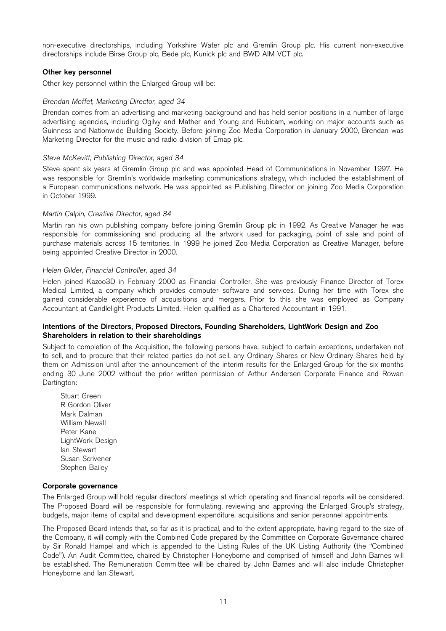non-executive directorships, including Yorkshire Water plc and Gremlin Group plc. His current non-executive directorships include Birse Group plc, Bede plc, Kunick plc and BWD AIM VCT plc.

#### Other key personnel

Other key personnel within the Enlarged Group will be:

#### Brendan Moffet, Marketing Director, aged 34

Brendan comes from an advertising and marketing background and has held senior positions in a number of large advertising agencies, including Ogilvy and Mather and Young and Rubicam, working on major accounts such as Guinness and Nationwide Building Society. Before joining Zoo Media Corporation in January 2000, Brendan was Marketing Director for the music and radio division of Emap plc.

#### Steve McKevitt, Publishing Director, aged 34

Steve spent six years at Gremlin Group plc and was appointed Head of Communications in November 1997. He was responsible for Gremlin's worldwide marketing communications strategy, which included the establishment of a European communications network. He was appointed as Publishing Director on joining Zoo Media Corporation in October 1999.

#### Martin Calpin, Creative Director, aged 34

Martin ran his own publishing company before joining Gremlin Group plc in 1992. As Creative Manager he was responsible for commissioning and producing all the artwork used for packaging, point of sale and point of purchase materials across 15 territories. In 1999 he joined Zoo Media Corporation as Creative Manager, before being appointed Creative Director in 2000.

#### Helen Gilder, Financial Controller, aged 34

Helen joined Kazoo3D in February 2000 as Financial Controller. She was previously Finance Director of Torex Medical Limited, a company which provides computer software and services. During her time with Torex she gained considerable experience of acquisitions and mergers. Prior to this she was employed as Company Accountant at Candlelight Products Limited. Helen qualified as a Chartered Accountant in 1991.

#### Intentions of the Directors, Proposed Directors, Founding Shareholders, LightWork Design and Zoo Shareholders in relation to their shareholdings

Subject to completion of the Acquisition, the following persons have, subject to certain exceptions, undertaken not to sell, and to procure that their related parties do not sell, any Ordinary Shares or New Ordinary Shares held by them on Admission until after the announcement of the interim results for the Enlarged Group for the six months ending 30 June 2002 without the prior written permission of Arthur Andersen Corporate Finance and Rowan Dartington:

Stuart Green R Gordon Oliver Mark Dalman William Newall Peter Kane LightWork Design Ian Stewart Susan Scrivener Stephen Bailey

#### Corporate governance

The Enlarged Group will hold regular directors' meetings at which operating and financial reports will be considered. The Proposed Board will be responsible for formulating, reviewing and approving the Enlarged Group's strategy, budgets, major items of capital and development expenditure, acquisitions and senior personnel appointments.

The Proposed Board intends that, so far as it is practical, and to the extent appropriate, having regard to the size of the Company, it will comply with the Combined Code prepared by the Committee on Corporate Governance chaired by Sir Ronald Hampel and which is appended to the Listing Rules of the UK Listing Authority (the "Combined" Code''). An Audit Committee, chaired by Christopher Honeyborne and comprised of himself and John Barnes will be established. The Remuneration Committee will be chaired by John Barnes and will also include Christopher Honeyborne and Ian Stewart.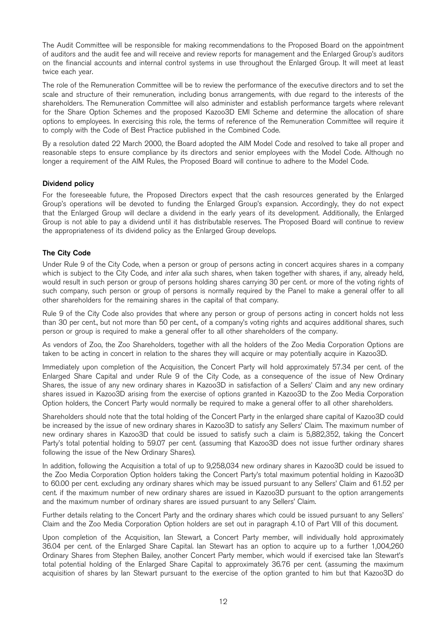The Audit Committee will be responsible for making recommendations to the Proposed Board on the appointment of auditors and the audit fee and will receive and review reports for management and the Enlarged Group's auditors on the financial accounts and internal control systems in use throughout the Enlarged Group. It will meet at least twice each year.

The role of the Remuneration Committee will be to review the performance of the executive directors and to set the scale and structure of their remuneration, including bonus arrangements, with due regard to the interests of the shareholders. The Remuneration Committee will also administer and establish performance targets where relevant for the Share Option Schemes and the proposed Kazoo3D EMI Scheme and determine the allocation of share options to employees. In exercising this role, the terms of reference of the Remuneration Committee will require it to comply with the Code of Best Practice published in the Combined Code.

By a resolution dated 22 March 2000, the Board adopted the AIM Model Code and resolved to take all proper and reasonable steps to ensure compliance by its directors and senior employees with the Model Code. Although no longer a requirement of the AIM Rules, the Proposed Board will continue to adhere to the Model Code.

#### Dividend policy

For the foreseeable future, the Proposed Directors expect that the cash resources generated by the Enlarged Group's operations will be devoted to funding the Enlarged Group's expansion. Accordingly, they do not expect that the Enlarged Group will declare a dividend in the early years of its development. Additionally, the Enlarged Group is not able to pay a dividend until it has distributable reserves. The Proposed Board will continue to review the appropriateness of its dividend policy as the Enlarged Group develops.

#### The City Code

Under Rule 9 of the City Code, when a person or group of persons acting in concert acquires shares in a company which is subject to the City Code, and inter alia such shares, when taken together with shares, if any, already held, would result in such person or group of persons holding shares carrying 30 per cent. or more of the voting rights of such company, such person or group of persons is normally required by the Panel to make a general offer to all other shareholders for the remaining shares in the capital of that company.

Rule 9 of the City Code also provides that where any person or group of persons acting in concert holds not less than 30 per cent., but not more than 50 per cent., of a company's voting rights and acquires additional shares, such person or group is required to make a general offer to all other shareholders of the company.

As vendors of Zoo, the Zoo Shareholders, together with all the holders of the Zoo Media Corporation Options are taken to be acting in concert in relation to the shares they will acquire or may potentially acquire in Kazoo3D.

Immediately upon completion of the Acquisition, the Concert Party will hold approximately 57.34 per cent. of the Enlarged Share Capital and under Rule 9 of the City Code, as a consequence of the issue of New Ordinary Shares, the issue of any new ordinary shares in Kazoo3D in satisfaction of a Sellers' Claim and any new ordinary shares issued in Kazoo3D arising from the exercise of options granted in Kazoo3D to the Zoo Media Corporation Option holders, the Concert Party would normally be required to make a general offer to all other shareholders.

Shareholders should note that the total holding of the Concert Party in the enlarged share capital of Kazoo3D could be increased by the issue of new ordinary shares in Kazoo3D to satisfy any Sellers' Claim. The maximum number of new ordinary shares in Kazoo3D that could be issued to satisfy such a claim is 5,882,352, taking the Concert Party's total potential holding to 59.07 per cent. (assuming that Kazoo3D does not issue further ordinary shares following the issue of the New Ordinary Shares).

In addition, following the Acquisition a total of up to 9,258,034 new ordinary shares in Kazoo3D could be issued to the Zoo Media Corporation Option holders taking the Concert Party's total maximum potential holding in Kazoo3D to 60.00 per cent. excluding any ordinary shares which may be issued pursuant to any Sellers' Claim and 61.52 per cent. if the maximum number of new ordinary shares are issued in Kazoo3D pursuant to the option arrangements and the maximum number of ordinary shares are issued pursuant to any Sellers' Claim.

Further details relating to the Concert Party and the ordinary shares which could be issued pursuant to any Sellers' Claim and the Zoo Media Corporation Option holders are set out in paragraph 4.10 of Part VIII of this document.

Upon completion of the Acquisition, Ian Stewart, a Concert Party member, will individually hold approximately 36.04 per cent. of the Enlarged Share Capital. Ian Stewart has an option to acquire up to a further 1,004,260 Ordinary Shares from Stephen Bailey, another Concert Party member, which would if exercised take Ian Stewart's total potential holding of the Enlarged Share Capital to approximately 36.76 per cent. (assuming the maximum acquisition of shares by Ian Stewart pursuant to the exercise of the option granted to him but that Kazoo3D do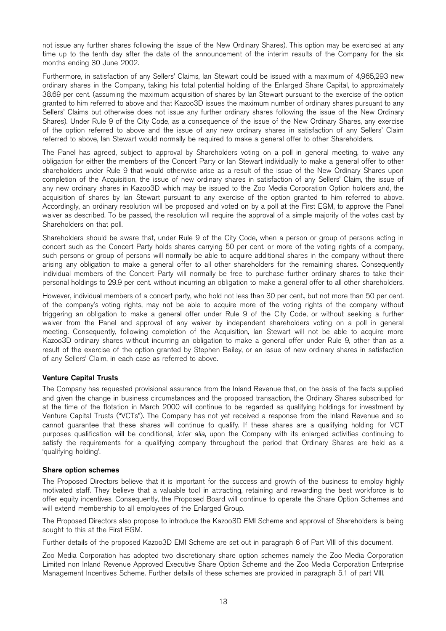not issue any further shares following the issue of the New Ordinary Shares). This option may be exercised at any time up to the tenth day after the date of the announcement of the interim results of the Company for the six months ending 30 June 2002.

Furthermore, in satisfaction of any Sellers' Claims, Ian Stewart could be issued with a maximum of 4,965,293 new ordinary shares in the Company, taking his total potential holding of the Enlarged Share Capital, to approximately 38.69 per cent. (assuming the maximum acquisition of shares by Ian Stewart pursuant to the exercise of the option granted to him referred to above and that Kazoo3D issues the maximum number of ordinary shares pursuant to any Sellers' Claims but otherwise does not issue any further ordinary shares following the issue of the New Ordinary Shares). Under Rule 9 of the City Code, as a consequence of the issue of the New Ordinary Shares, any exercise of the option referred to above and the issue of any new ordinary shares in satisfaction of any Sellers' Claim referred to above, Ian Stewart would normally be required to make a general offer to other Shareholders.

The Panel has agreed, subject to approval by Shareholders voting on a poll in general meeting, to waive any obligation for either the members of the Concert Party or Ian Stewart individually to make a general offer to other shareholders under Rule 9 that would otherwise arise as a result of the issue of the New Ordinary Shares upon completion of the Acquisition, the issue of new ordinary shares in satisfaction of any Sellers' Claim, the issue of any new ordinary shares in Kazoo3D which may be issued to the Zoo Media Corporation Option holders and, the acquisition of shares by Ian Stewart pursuant to any exercise of the option granted to him referred to above. Accordingly, an ordinary resolution will be proposed and voted on by a poll at the First EGM, to approve the Panel waiver as described. To be passed, the resolution will require the approval of a simple majority of the votes cast by Shareholders on that poll.

Shareholders should be aware that, under Rule 9 of the City Code, when a person or group of persons acting in concert such as the Concert Party holds shares carrying 50 per cent. or more of the voting rights of a company, such persons or group of persons will normally be able to acquire additional shares in the company without there arising any obligation to make a general offer to all other shareholders for the remaining shares. Consequently individual members of the Concert Party will normally be free to purchase further ordinary shares to take their personal holdings to 29.9 per cent. without incurring an obligation to make a general offer to all other shareholders.

However, individual members of a concert party, who hold not less than 30 per cent., but not more than 50 per cent. of the company's voting rights, may not be able to acquire more of the voting rights of the company without triggering an obligation to make a general offer under Rule 9 of the City Code, or without seeking a further waiver from the Panel and approval of any waiver by independent shareholders voting on a poll in general meeting. Consequently, following completion of the Acquisition, Ian Stewart will not be able to acquire more Kazoo3D ordinary shares without incurring an obligation to make a general offer under Rule 9, other than as a result of the exercise of the option granted by Stephen Bailey, or an issue of new ordinary shares in satisfaction of any Sellers' Claim, in each case as referred to above.

#### Venture Capital Trusts

The Company has requested provisional assurance from the Inland Revenue that, on the basis of the facts supplied and given the change in business circumstances and the proposed transaction, the Ordinary Shares subscribed for at the time of the flotation in March 2000 will continue to be regarded as qualifying holdings for investment by Venture Capital Trusts ("VCTs"). The Company has not yet received a response from the Inland Revenue and so cannot guarantee that these shares will continue to qualify. If these shares are a qualifying holding for VCT purposes qualification will be conditional, inter alia, upon the Company with its enlarged activities continuing to satisfy the requirements for a qualifying company throughout the period that Ordinary Shares are held as a `qualifying holding'.

#### Share option schemes

The Proposed Directors believe that it is important for the success and growth of the business to employ highly motivated staff. They believe that a valuable tool in attracting, retaining and rewarding the best workforce is to offer equity incentives. Consequently, the Proposed Board will continue to operate the Share Option Schemes and will extend membership to all employees of the Enlarged Group.

The Proposed Directors also propose to introduce the Kazoo3D EMI Scheme and approval of Shareholders is being sought to this at the First EGM.

Further details of the proposed Kazoo3D EMI Scheme are set out in paragraph 6 of Part VIII of this document.

Zoo Media Corporation has adopted two discretionary share option schemes namely the Zoo Media Corporation Limited non Inland Revenue Approved Executive Share Option Scheme and the Zoo Media Corporation Enterprise Management Incentives Scheme. Further details of these schemes are provided in paragraph 5.1 of part VIII.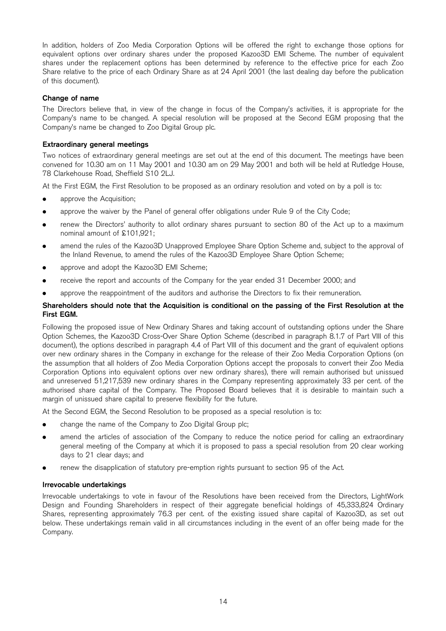In addition, holders of Zoo Media Corporation Options will be offered the right to exchange those options for equivalent options over ordinary shares under the proposed Kazoo3D EMI Scheme. The number of equivalent shares under the replacement options has been determined by reference to the effective price for each Zoo Share relative to the price of each Ordinary Share as at 24 April 2001 (the last dealing day before the publication of this document).

#### Change of name

The Directors believe that, in view of the change in focus of the Company's activities, it is appropriate for the Company's name to be changed. A special resolution will be proposed at the Second EGM proposing that the Company's name be changed to Zoo Digital Group plc.

#### Extraordinary general meetings

Two notices of extraordinary general meetings are set out at the end of this document. The meetings have been convened for 10.30 am on 11 May 2001 and 10.30 am on 29 May 2001 and both will be held at Rutledge House, 78 Clarkehouse Road, Sheffield S10 2LJ.

At the First EGM, the First Resolution to be proposed as an ordinary resolution and voted on by a poll is to:

- approve the Acquisition;
- . approve the waiver by the Panel of general offer obligations under Rule 9 of the City Code;
- . renew the Directors' authority to allot ordinary shares pursuant to section 80 of the Act up to a maximum nominal amount of £101,921;
- . amend the rules of the Kazoo3D Unapproved Employee Share Option Scheme and, subject to the approval of the Inland Revenue, to amend the rules of the Kazoo3D Employee Share Option Scheme;
- . approve and adopt the Kazoo3D EMI Scheme;
- . receive the report and accounts of the Company for the year ended 31 December 2000; and
- approve the reappointment of the auditors and authorise the Directors to fix their remuneration.

#### Shareholders should note that the Acquisition is conditional on the passing of the First Resolution at the First EGM.

Following the proposed issue of New Ordinary Shares and taking account of outstanding options under the Share Option Schemes, the Kazoo3D Cross-Over Share Option Scheme (described in paragraph 8.1.7 of Part VIII of this document), the options described in paragraph 4.4 of Part VIII of this document and the grant of equivalent options over new ordinary shares in the Company in exchange for the release of their Zoo Media Corporation Options (on the assumption that all holders of Zoo Media Corporation Options accept the proposals to convert their Zoo Media Corporation Options into equivalent options over new ordinary shares), there will remain authorised but unissued and unreserved 51,217,539 new ordinary shares in the Company representing approximately 33 per cent. of the authorised share capital of the Company. The Proposed Board believes that it is desirable to maintain such a margin of unissued share capital to preserve flexibility for the future.

At the Second EGM, the Second Resolution to be proposed as a special resolution is to:

- . change the name of the Company to Zoo Digital Group plc;
- amend the articles of association of the Company to reduce the notice period for calling an extraordinary general meeting of the Company at which it is proposed to pass a special resolution from 20 clear working days to 21 clear days; and
- . renew the disapplication of statutory pre-emption rights pursuant to section 95 of the Act.

#### Irrevocable undertakings

Irrevocable undertakings to vote in favour of the Resolutions have been received from the Directors, LightWork Design and Founding Shareholders in respect of their aggregate beneficial holdings of 45,333,824 Ordinary Shares, representing approximately 76.3 per cent. of the existing issued share capital of Kazoo3D, as set out below. These undertakings remain valid in all circumstances including in the event of an offer being made for the Company.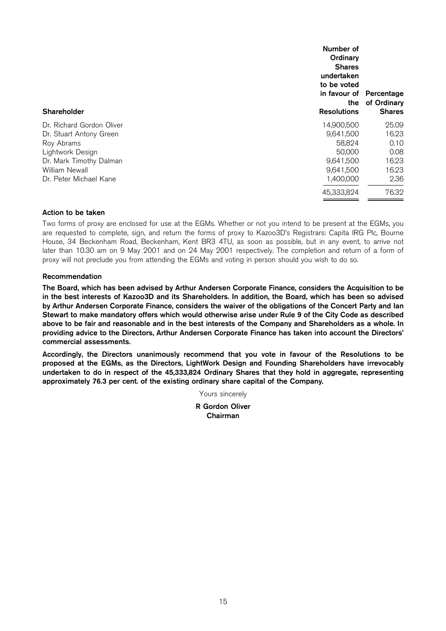| Number of<br>Ordinary<br><b>Shares</b><br>undertaken<br>to be voted<br>the<br><b>Resolutions</b><br>Shareholder | in favour of Percentage<br>of Ordinary<br><b>Shares</b> |
|-----------------------------------------------------------------------------------------------------------------|---------------------------------------------------------|
| 14,900,500<br>Dr. Richard Gordon Oliver                                                                         | 25.09                                                   |
| 9,641,500<br>Dr. Stuart Antony Green                                                                            | 16.23                                                   |
| 58,824<br>Roy Abrams                                                                                            | 0.10                                                    |
| 50,000<br>Lightwork Design                                                                                      | 0.08                                                    |
| Dr. Mark Timothy Dalman<br>9,641,500                                                                            | 16.23                                                   |
| William Newall<br>9,641,500                                                                                     | 16.23                                                   |
| Dr. Peter Michael Kane<br>1,400,000                                                                             | 2.36                                                    |
| 45,333,824                                                                                                      | 76.32                                                   |

#### Action to be taken

Two forms of proxy are enclosed for use at the EGMs. Whether or not you intend to be present at the EGMs, you are requested to complete, sign, and return the forms of proxy to Kazoo3D's Registrars: Capita IRG Plc, Bourne House, 34 Beckenham Road, Beckenham, Kent BR3 4TU, as soon as possible, but in any event, to arrive not later than 10.30 am on 9 May 2001 and on 24 May 2001 respectively. The completion and return of a form of proxy will not preclude you from attending the EGMs and voting in person should you wish to do so.

#### Recommendation

The Board, which has been advised by Arthur Andersen Corporate Finance, considers the Acquisition to be in the best interests of Kazoo3D and its Shareholders. In addition, the Board, which has been so advised by Arthur Andersen Corporate Finance, considers the waiver of the obligations of the Concert Party and Ian Stewart to make mandatory offers which would otherwise arise under Rule 9 of the City Code as described above to be fair and reasonable and in the best interests of the Company and Shareholders as a whole. In providing advice to the Directors, Arthur Andersen Corporate Finance has taken into account the Directors' commercial assessments.

Accordingly, the Directors unanimously recommend that you vote in favour of the Resolutions to be proposed at the EGMs, as the Directors, LightWork Design and Founding Shareholders have irrevocably undertaken to do in respect of the 45,333,824 Ordinary Shares that they hold in aggregate, representing approximately 76.3 per cent. of the existing ordinary share capital of the Company.

Yours sincerely

R Gordon Oliver Chairman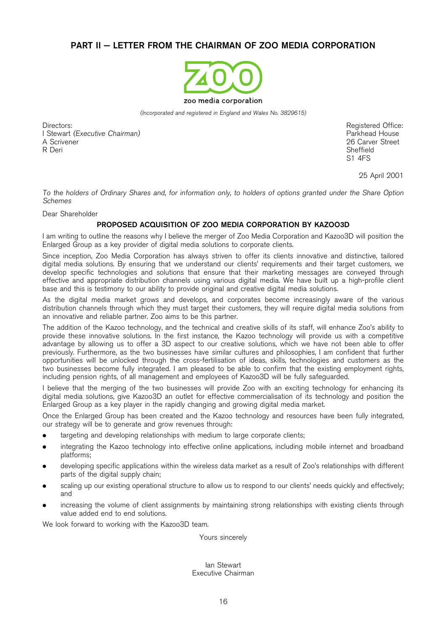# PART II – LETTER FROM THE CHAIRMAN OF ZOO MEDIA CORPORATION



(Incorporated and registered in England and Wales No. 3829615)

Directors: I Stewart (Executive Chairman) A Scrivener R Deri

Registered Office: Parkhead House 26 Carver Street Sheffield S1 4FS

25 April 2001

To the holders of Ordinary Shares and, for information only, to holders of options granted under the Share Option Schemes

Dear Shareholder

#### PROPOSED ACQUISITION OF ZOO MEDIA CORPORATION BY KAZOO3D

I am writing to outline the reasons why I believe the merger of Zoo Media Corporation and Kazoo3D will position the Enlarged Group as a key provider of digital media solutions to corporate clients.

Since inception, Zoo Media Corporation has always striven to offer its clients innovative and distinctive, tailored digital media solutions. By ensuring that we understand our clients' requirements and their target customers, we develop specific technologies and solutions that ensure that their marketing messages are conveyed through effective and appropriate distribution channels using various digital media. We have built up a high-profile client base and this is testimony to our ability to provide original and creative digital media solutions.

As the digital media market grows and develops, and corporates become increasingly aware of the various distribution channels through which they must target their customers, they will require digital media solutions from an innovative and reliable partner. Zoo aims to be this partner.

The addition of the Kazoo technology, and the technical and creative skills of its staff, will enhance Zoo's ability to provide these innovative solutions. In the first instance, the Kazoo technology will provide us with a competitive advantage by allowing us to offer a 3D aspect to our creative solutions, which we have not been able to offer previously. Furthermore, as the two businesses have similar cultures and philosophies, I am confident that further opportunities will be unlocked through the cross-fertilisation of ideas, skills, technologies and customers as the two businesses become fully integrated. I am pleased to be able to confirm that the existing employment rights, including pension rights, of all management and employees of Kazoo3D will be fully safeguarded.

I believe that the merging of the two businesses will provide Zoo with an exciting technology for enhancing its digital media solutions, give Kazoo3D an outlet for effective commercialisation of its technology and position the Enlarged Group as a key player in the rapidly changing and growing digital media market.

Once the Enlarged Group has been created and the Kazoo technology and resources have been fully integrated, our strategy will be to generate and grow revenues through:

- . targeting and developing relationships with medium to large corporate clients;
- . integrating the Kazoo technology into effective online applications, including mobile internet and broadband platforms;
- developing specific applications within the wireless data market as a result of Zoo's relationships with different parts of the digital supply chain;
- scaling up our existing operational structure to allow us to respond to our clients' needs quickly and effectively; and
- . increasing the volume of client assignments by maintaining strong relationships with existing clients through value added end to end solutions.

We look forward to working with the Kazoo3D team.

Yours sincerely

Ian Stewart Executive Chairman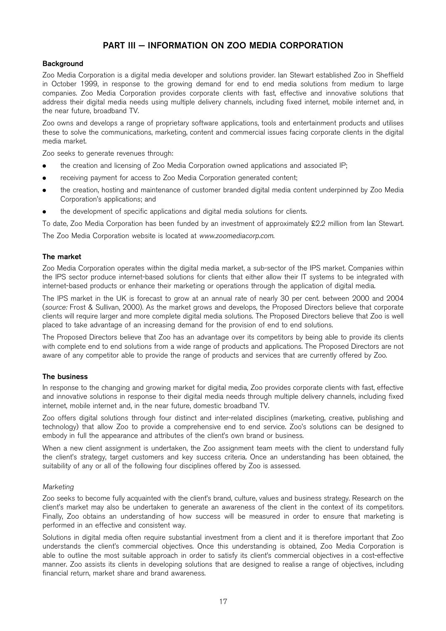# PART III – INFORMATION ON ZOO MEDIA CORPORATION

#### **Background**

Zoo Media Corporation is a digital media developer and solutions provider. Ian Stewart established Zoo in Sheffield in October 1999, in response to the growing demand for end to end media solutions from medium to large companies. Zoo Media Corporation provides corporate clients with fast, effective and innovative solutions that address their digital media needs using multiple delivery channels, including fixed internet, mobile internet and, in the near future, broadband TV.

Zoo owns and develops a range of proprietary software applications, tools and entertainment products and utilises these to solve the communications, marketing, content and commercial issues facing corporate clients in the digital media market.

Zoo seeks to generate revenues through:

- . the creation and licensing of Zoo Media Corporation owned applications and associated IP;
- . receiving payment for access to Zoo Media Corporation generated content;
- . the creation, hosting and maintenance of customer branded digital media content underpinned by Zoo Media Corporation's applications; and
- the development of specific applications and digital media solutions for clients.

To date, Zoo Media Corporation has been funded by an investment of approximately £2.2 million from Ian Stewart.

The Zoo Media Corporation website is located at www.zoomediacorp.com.

#### The market

Zoo Media Corporation operates within the digital media market, a sub-sector of the IPS market. Companies within the IPS sector produce internet-based solutions for clients that either allow their IT systems to be integrated with internet-based products or enhance their marketing or operations through the application of digital media.

The IPS market in the UK is forecast to grow at an annual rate of nearly 30 per cent. between 2000 and 2004 (source: Frost & Sullivan, 2000). As the market grows and develops, the Proposed Directors believe that corporate clients will require larger and more complete digital media solutions. The Proposed Directors believe that Zoo is well placed to take advantage of an increasing demand for the provision of end to end solutions.

The Proposed Directors believe that Zoo has an advantage over its competitors by being able to provide its clients with complete end to end solutions from a wide range of products and applications. The Proposed Directors are not aware of any competitor able to provide the range of products and services that are currently offered by Zoo.

#### The business

In response to the changing and growing market for digital media, Zoo provides corporate clients with fast, effective and innovative solutions in response to their digital media needs through multiple delivery channels, including fixed internet, mobile internet and, in the near future, domestic broadband TV.

Zoo offers digital solutions through four distinct and inter-related disciplines (marketing, creative, publishing and technology) that allow Zoo to provide a comprehensive end to end service. Zoo's solutions can be designed to embody in full the appearance and attributes of the client's own brand or business.

When a new client assignment is undertaken, the Zoo assignment team meets with the client to understand fully the client's strategy, target customers and key success criteria. Once an understanding has been obtained, the suitability of any or all of the following four disciplines offered by Zoo is assessed.

#### Marketing

Zoo seeks to become fully acquainted with the client's brand, culture, values and business strategy. Research on the client's market may also be undertaken to generate an awareness of the client in the context of its competitors. Finally, Zoo obtains an understanding of how success will be measured in order to ensure that marketing is performed in an effective and consistent way.

Solutions in digital media often require substantial investment from a client and it is therefore important that Zoo understands the client's commercial objectives. Once this understanding is obtained, Zoo Media Corporation is able to outline the most suitable approach in order to satisfy its client's commercial objectives in a cost-effective manner. Zoo assists its clients in developing solutions that are designed to realise a range of objectives, including financial return, market share and brand awareness.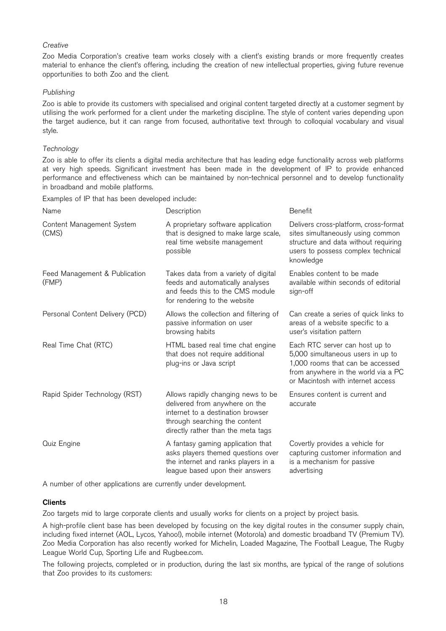#### **Creative**

Zoo Media Corporation's creative team works closely with a client's existing brands or more frequently creates material to enhance the client's offering, including the creation of new intellectual properties, giving future revenue opportunities to both Zoo and the client.

#### Publishing

Zoo is able to provide its customers with specialised and original content targeted directly at a customer segment by utilising the work performed for a client under the marketing discipline. The style of content varies depending upon the target audience, but it can range from focused, authoritative text through to colloquial vocabulary and visual style.

#### **Technology**

Zoo is able to offer its clients a digital media architecture that has leading edge functionality across web platforms at very high speeds. Significant investment has been made in the development of IP to provide enhanced performance and effectiveness which can be maintained by non-technical personnel and to develop functionality in broadband and mobile platforms.

Examples of IP that has been developed include:

| Name                                   | Description                                                                                                                                                                      | <b>Benefit</b>                                                                                                                                                                      |
|----------------------------------------|----------------------------------------------------------------------------------------------------------------------------------------------------------------------------------|-------------------------------------------------------------------------------------------------------------------------------------------------------------------------------------|
| Content Management System<br>(CMS)     | A proprietary software application<br>that is designed to make large scale,<br>real time website management<br>possible                                                          | Delivers cross-platform, cross-format<br>sites simultaneously using common<br>structure and data without requiring<br>users to possess complex technical<br>knowledge               |
| Feed Management & Publication<br>(FMP) | Takes data from a variety of digital<br>feeds and automatically analyses<br>and feeds this to the CMS module<br>for rendering to the website                                     | Enables content to be made<br>available within seconds of editorial<br>sign-off                                                                                                     |
| Personal Content Delivery (PCD)        | Allows the collection and filtering of<br>passive information on user<br>browsing habits                                                                                         | Can create a series of quick links to<br>areas of a website specific to a<br>user's visitation pattern                                                                              |
| Real Time Chat (RTC)                   | HTML based real time chat engine<br>that does not require additional<br>plug-ins or Java script                                                                                  | Each RTC server can host up to<br>5,000 simultaneous users in up to<br>1,000 rooms that can be accessed<br>from anywhere in the world via a PC<br>or Macintosh with internet access |
| Rapid Spider Technology (RST)          | Allows rapidly changing news to be<br>delivered from anywhere on the<br>internet to a destination browser<br>through searching the content<br>directly rather than the meta tags | Ensures content is current and<br>accurate                                                                                                                                          |
| Quiz Engine                            | A fantasy gaming application that<br>asks players themed questions over<br>the internet and ranks players in a<br>league based upon their answers                                | Covertly provides a vehicle for<br>capturing customer information and<br>is a mechanism for passive<br>advertising                                                                  |

A number of other applications are currently under development.

#### Clients

Zoo targets mid to large corporate clients and usually works for clients on a project by project basis.

A high-profile client base has been developed by focusing on the key digital routes in the consumer supply chain, including fixed internet (AOL, Lycos, Yahoo!), mobile internet (Motorola) and domestic broadband TV (Premium TV). Zoo Media Corporation has also recently worked for Michelin, Loaded Magazine, The Football League, The Rugby League World Cup, Sporting Life and Rugbee.com.

The following projects, completed or in production, during the last six months, are typical of the range of solutions that Zoo provides to its customers: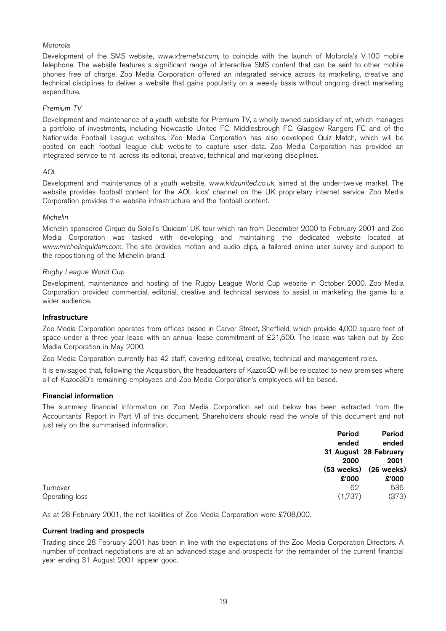#### Motorola

Development of the SMS website, www.xtremetxt.com, to coincide with the launch of Motorola's V.100 mobile telephone. The website features a significant range of interactive SMS content that can be sent to other mobile phones free of charge. Zoo Media Corporation offered an integrated service across its marketing, creative and technical disciplines to deliver a website that gains popularity on a weekly basis without ongoing direct marketing expenditure.

#### Premium TV

Development and maintenance of a youth website for Premium TV, a wholly owned subsidiary of ntl, which manages a portfolio of investments, including Newcastle United FC, Middlesbrough FC, Glasgow Rangers FC and of the Nationwide Football League websites. Zoo Media Corporation has also developed Quiz Match, which will be posted on each football league club website to capture user data. Zoo Media Corporation has provided an integrated service to ntl across its editorial, creative, technical and marketing disciplines.

#### AOL

Development and maintenance of a youth website, www.kidzunited.co.uk, aimed at the under-twelve market. The website provides football content for the AOL kids' channel on the UK proprietary internet service. Zoo Media Corporation provides the website infrastructure and the football content.

#### Michelin

Michelin sponsored Cirque du Soleil's `Quidam' UK tour which ran from December 2000 to February 2001 and Zoo Media Corporation was tasked with developing and maintaining the dedicated website located at www.michelinquidam.com. The site provides motion and audio clips, a tailored online user survey and support to the repositioning of the Michelin brand.

#### Rugby League World Cup

Development, maintenance and hosting of the Rugby League World Cup website in October 2000. Zoo Media Corporation provided commercial, editorial, creative and technical services to assist in marketing the game to a wider audience.

#### Infrastructure

Zoo Media Corporation operates from offices based in Carver Street, Sheffield, which provide 4,000 square feet of space under a three year lease with an annual lease commitment of £21,500. The lease was taken out by Zoo Media Corporation in May 2000.

Zoo Media Corporation currently has 42 staff, covering editorial, creative, technical and management roles.

It is envisaged that, following the Acquisition, the headquarters of Kazoo3D will be relocated to new premises where all of Kazoo3D's remaining employees and Zoo Media Corporation's employees will be based.

#### Financial information

The summary financial information on Zoo Media Corporation set out below has been extracted from the Accountants' Report in Part VI of this document. Shareholders should read the whole of this document and not just rely on the summarised information.

|                | Period  | Period                                    |
|----------------|---------|-------------------------------------------|
|                | ended   | ended                                     |
|                |         | 31 August 28 February                     |
|                | 2000    | 2001                                      |
|                |         | $(53 \text{ weeks})$ $(26 \text{ weeks})$ |
|                | £'000   | \$000                                     |
| Turnover       | 62      | 536                                       |
| Operating loss | (1,737) | (373)                                     |

As at 28 February 2001, the net liabilities of Zoo Media Corporation were £708,000.

#### Current trading and prospects

Trading since 28 February 2001 has been in line with the expectations of the Zoo Media Corporation Directors. A number of contract negotiations are at an advanced stage and prospects for the remainder of the current financial year ending 31 August 2001 appear good.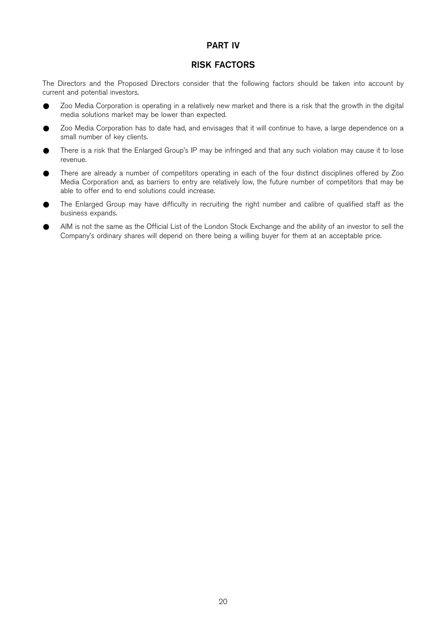### PART IV

### RISK FACTORS

The Directors and the Proposed Directors consider that the following factors should be taken into account by current and potential investors.

- Zoo Media Corporation is operating in a relatively new market and there is a risk that the growth in the digital media solutions market may be lower than expected.
- Zoo Media Corporation has to date had, and envisages that it will continue to have, a large dependence on a small number of key clients.
- There is a risk that the Enlarged Group's IP may be infringed and that any such violation may cause it to lose revenue.
- There are already a number of competitors operating in each of the four distinct disciplines offered by Zoo Media Corporation and, as barriers to entry are relatively low, the future number of competitors that may be able to offer end to end solutions could increase.
- The Enlarged Group may have difficulty in recruiting the right number and calibre of qualified staff as the business expands.
- AIM is not the same as the Official List of the London Stock Exchange and the ability of an investor to sell the Company's ordinary shares will depend on there being a willing buyer for them at an acceptable price.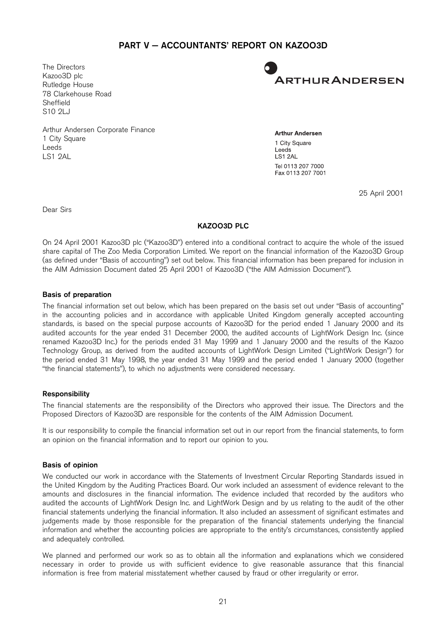# PART V - ACCOUNTANTS' REPORT ON KAZOO3D

The Directors Kazoo3D plc Rutledge House 78 Clarkehouse Road Sheffield S10 2LJ



Arthur Andersen Corporate Finance 1 City Square Leeds LS1 2AL

**Arthur Andersen** 1 City Square Leeds **LS1 2AL** Tel 0113 207 7000 Fax 0113 207 7001

25 April 2001

Dear Sirs

#### KAZOO3D PLC

On 24 April 2001 Kazoo3D plc ("Kazoo3D") entered into a conditional contract to acquire the whole of the issued share capital of The Zoo Media Corporation Limited. We report on the financial information of the Kazoo3D Group (as defined under "Basis of accounting") set out below. This financial information has been prepared for inclusion in the AIM Admission Document dated 25 April 2001 of Kazoo3D ("the AIM Admission Document").

#### Basis of preparation

The financial information set out below, which has been prepared on the basis set out under "Basis of accounting" in the accounting policies and in accordance with applicable United Kingdom generally accepted accounting standards, is based on the special purpose accounts of Kazoo3D for the period ended 1 January 2000 and its audited accounts for the year ended 31 December 2000, the audited accounts of LightWork Design Inc. (since renamed Kazoo3D Inc.) for the periods ended 31 May 1999 and 1 January 2000 and the results of the Kazoo Technology Group, as derived from the audited accounts of LightWork Design Limited ("LightWork Design") for the period ended 31 May 1998, the year ended 31 May 1999 and the period ended 1 January 2000 (together "the financial statements"), to which no adjustments were considered necessary.

#### Responsibility

The financial statements are the responsibility of the Directors who approved their issue. The Directors and the Proposed Directors of Kazoo3D are responsible for the contents of the AIM Admission Document.

It is our responsibility to compile the financial information set out in our report from the financial statements, to form an opinion on the financial information and to report our opinion to you.

#### Basis of opinion

We conducted our work in accordance with the Statements of Investment Circular Reporting Standards issued in the United Kingdom by the Auditing Practices Board. Our work included an assessment of evidence relevant to the amounts and disclosures in the financial information. The evidence included that recorded by the auditors who audited the accounts of LightWork Design Inc. and LightWork Design and by us relating to the audit of the other financial statements underlying the financial information. It also included an assessment of significant estimates and judgements made by those responsible for the preparation of the financial statements underlying the financial information and whether the accounting policies are appropriate to the entity's circumstances, consistently applied and adequately controlled.

We planned and performed our work so as to obtain all the information and explanations which we considered necessary in order to provide us with sufficient evidence to give reasonable assurance that this financial information is free from material misstatement whether caused by fraud or other irregularity or error.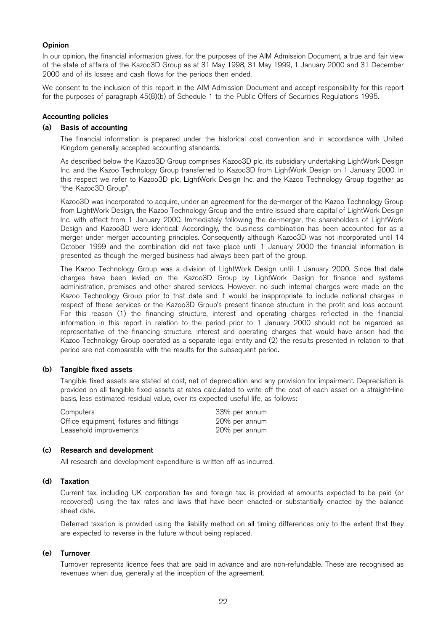#### Opinion

In our opinion, the financial information gives, for the purposes of the AIM Admission Document, a true and fair view of the state of affairs of the Kazoo3D Group as at 31 May 1998, 31 May 1999, 1 January 2000 and 31 December 2000 and of its losses and cash flows for the periods then ended.

We consent to the inclusion of this report in the AIM Admission Document and accept responsibility for this report for the purposes of paragraph 45(8)(b) of Schedule 1 to the Public Offers of Securities Regulations 1995.

#### Accounting policies

#### (a) Basis of accounting

The financial information is prepared under the historical cost convention and in accordance with United Kingdom generally accepted accounting standards.

As described below the Kazoo3D Group comprises Kazoo3D plc, its subsidiary undertaking LightWork Design Inc. and the Kazoo Technology Group transferred to Kazoo3D from LightWork Design on 1 January 2000. In this respect we refer to Kazoo3D plc, LightWork Design Inc. and the Kazoo Technology Group together as "the Kazoo3D Group".

Kazoo3D was incorporated to acquire, under an agreement for the de-merger of the Kazoo Technology Group from LightWork Design, the Kazoo Technology Group and the entire issued share capital of LightWork Design Inc. with effect from 1 January 2000. Immediately following the de-merger, the shareholders of LightWork Design and Kazoo3D were identical. Accordingly, the business combination has been accounted for as a merger under merger accounting principles. Consequently although Kazoo3D was not incorporated until 14 October 1999 and the combination did not take place until 1 January 2000 the financial information is presented as though the merged business had always been part of the group.

The Kazoo Technology Group was a division of LightWork Design until 1 January 2000. Since that date charges have been levied on the Kazoo3D Group by LightWork Design for finance and systems administration, premises and other shared services. However, no such internal charges were made on the Kazoo Technology Group prior to that date and it would be inappropriate to include notional charges in respect of these services or the Kazoo3D Group's present finance structure in the profit and loss account. For this reason (1) the financing structure, interest and operating charges reflected in the financial information in this report in relation to the period prior to 1 January 2000 should not be regarded as representative of the financing structure, interest and operating charges that would have arisen had the Kazoo Technology Group operated as a separate legal entity and (2) the results presented in relation to that period are not comparable with the results for the subsequent period.

#### (b) Tangible fixed assets

Tangible fixed assets are stated at cost, net of depreciation and any provision for impairment. Depreciation is provided on all tangible fixed assets at rates calculated to write off the cost of each asset on a straight-line basis, less estimated residual value, over its expected useful life, as follows:

Computers 33% per annum Office equipment, fixtures and fittings 20% per annum Leasehold improvements 20% per annum

#### (c) Research and development

All research and development expenditure is written off as incurred.

#### (d) Taxation

Current tax, including UK corporation tax and foreign tax, is provided at amounts expected to be paid (or recovered) using the tax rates and laws that have been enacted or substantially enacted by the balance sheet date.

Deferred taxation is provided using the liability method on all timing differences only to the extent that they are expected to reverse in the future without being replaced.

#### (e) Turnover

Turnover represents licence fees that are paid in advance and are non-refundable. These are recognised as revenues when due, generally at the inception of the agreement.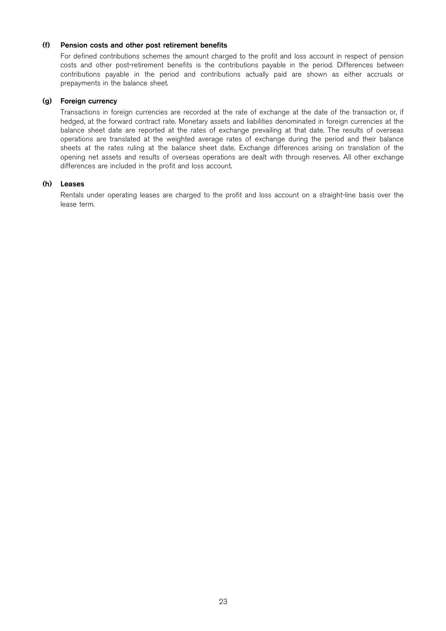#### (f) Pension costs and other post retirement benefits

For defined contributions schemes the amount charged to the profit and loss account in respect of pension costs and other post-retirement benefits is the contributions payable in the period. Differences between contributions payable in the period and contributions actually paid are shown as either accruals or prepayments in the balance sheet.

#### (g) Foreign currency

Transactions in foreign currencies are recorded at the rate of exchange at the date of the transaction or, if hedged, at the forward contract rate. Monetary assets and liabilities denominated in foreign currencies at the balance sheet date are reported at the rates of exchange prevailing at that date. The results of overseas operations are translated at the weighted average rates of exchange during the period and their balance sheets at the rates ruling at the balance sheet date. Exchange differences arising on translation of the opening net assets and results of overseas operations are dealt with through reserves. All other exchange differences are included in the profit and loss account.

#### (h) Leases

Rentals under operating leases are charged to the profit and loss account on a straight-line basis over the lease term.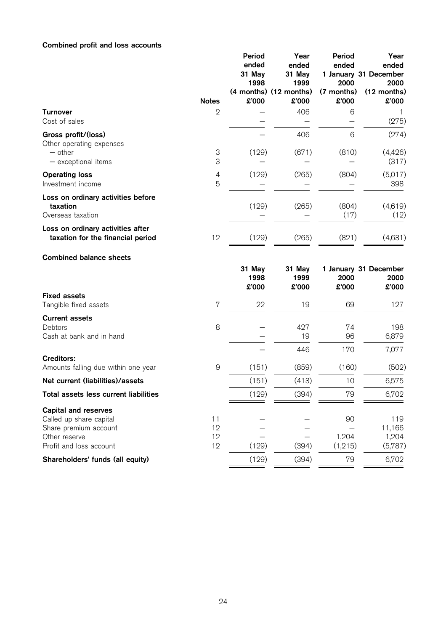### Combined profit and loss accounts

| 2<br>406<br><b>Turnover</b><br>6<br>Cost of sales<br>$\overline{\phantom{0}}$<br>6<br>406<br>Gross profit/(loss)<br>Other operating expenses<br>$\mbox{3}$<br>(129)<br>(810)<br>$-$ other<br>(671)<br>(4,426)<br>3<br>- exceptional items<br>(129)<br>(265)<br>$\overline{4}$<br>(804)<br><b>Operating loss</b><br>5<br>Investment income<br>Loss on ordinary activities before<br>(129)<br>(265)<br>(804)<br>taxation<br>Overseas taxation<br>(17)<br>Loss on ordinary activities after<br>12<br>(129)<br>(265)<br>(821)<br>taxation for the financial period<br><b>Combined balance sheets</b><br>1 January 31 December<br>31 May<br>31 May<br>1998<br>1999<br>2000<br>£'000<br>£'000<br>£'000<br><b>Fixed assets</b><br>$\overline{7}$<br>22<br>19<br>69<br>Tangible fixed assets<br><b>Current assets</b><br>8<br>427<br>74<br>Debtors<br>19<br>96<br>Cash at bank and in hand<br>446<br>170<br><b>Creditors:</b><br>$\Theta$<br>(151)<br>(859)<br>(160)<br>Amounts falling due within one year<br>10<br>Net current (liabilities)/assets<br>(151)<br>(413)<br>Total assets less current liabilities<br>(129)<br>(394)<br>79<br><b>Capital and reserves</b><br>11<br>90<br>Called up share capital<br>12<br>Share premium account<br>12<br>1,204<br>Other reserve<br>12<br>(129)<br>(394)<br>Profit and loss account<br>(1,215)<br>Shareholders' funds (all equity)<br>(129)<br>(394)<br>79 | <b>Notes</b> | Period<br>ended<br>31 May<br>1998<br>£'000 | Year<br>ended<br>31 May<br>1999<br>(4 months) (12 months)<br>£'000 | Period<br>ended<br>2000<br>(7 months)<br>£'000 | Year<br>ended<br>1 January 31 December<br>2000<br>(12 months)<br>£'000 |
|-------------------------------------------------------------------------------------------------------------------------------------------------------------------------------------------------------------------------------------------------------------------------------------------------------------------------------------------------------------------------------------------------------------------------------------------------------------------------------------------------------------------------------------------------------------------------------------------------------------------------------------------------------------------------------------------------------------------------------------------------------------------------------------------------------------------------------------------------------------------------------------------------------------------------------------------------------------------------------------------------------------------------------------------------------------------------------------------------------------------------------------------------------------------------------------------------------------------------------------------------------------------------------------------------------------------------------------------------------------------------------------------------|--------------|--------------------------------------------|--------------------------------------------------------------------|------------------------------------------------|------------------------------------------------------------------------|
|                                                                                                                                                                                                                                                                                                                                                                                                                                                                                                                                                                                                                                                                                                                                                                                                                                                                                                                                                                                                                                                                                                                                                                                                                                                                                                                                                                                                 |              |                                            |                                                                    |                                                | (275)                                                                  |
|                                                                                                                                                                                                                                                                                                                                                                                                                                                                                                                                                                                                                                                                                                                                                                                                                                                                                                                                                                                                                                                                                                                                                                                                                                                                                                                                                                                                 |              |                                            |                                                                    |                                                | (274)                                                                  |
|                                                                                                                                                                                                                                                                                                                                                                                                                                                                                                                                                                                                                                                                                                                                                                                                                                                                                                                                                                                                                                                                                                                                                                                                                                                                                                                                                                                                 |              |                                            |                                                                    |                                                | (317)                                                                  |
|                                                                                                                                                                                                                                                                                                                                                                                                                                                                                                                                                                                                                                                                                                                                                                                                                                                                                                                                                                                                                                                                                                                                                                                                                                                                                                                                                                                                 |              |                                            |                                                                    |                                                | (5,017)<br>398                                                         |
|                                                                                                                                                                                                                                                                                                                                                                                                                                                                                                                                                                                                                                                                                                                                                                                                                                                                                                                                                                                                                                                                                                                                                                                                                                                                                                                                                                                                 |              |                                            |                                                                    |                                                | (4,619)<br>(12)                                                        |
|                                                                                                                                                                                                                                                                                                                                                                                                                                                                                                                                                                                                                                                                                                                                                                                                                                                                                                                                                                                                                                                                                                                                                                                                                                                                                                                                                                                                 |              |                                            |                                                                    |                                                | (4,631)                                                                |
|                                                                                                                                                                                                                                                                                                                                                                                                                                                                                                                                                                                                                                                                                                                                                                                                                                                                                                                                                                                                                                                                                                                                                                                                                                                                                                                                                                                                 |              |                                            |                                                                    |                                                |                                                                        |
|                                                                                                                                                                                                                                                                                                                                                                                                                                                                                                                                                                                                                                                                                                                                                                                                                                                                                                                                                                                                                                                                                                                                                                                                                                                                                                                                                                                                 |              |                                            |                                                                    |                                                | 2000<br>£'000                                                          |
|                                                                                                                                                                                                                                                                                                                                                                                                                                                                                                                                                                                                                                                                                                                                                                                                                                                                                                                                                                                                                                                                                                                                                                                                                                                                                                                                                                                                 |              |                                            |                                                                    |                                                | 127                                                                    |
|                                                                                                                                                                                                                                                                                                                                                                                                                                                                                                                                                                                                                                                                                                                                                                                                                                                                                                                                                                                                                                                                                                                                                                                                                                                                                                                                                                                                 |              |                                            |                                                                    |                                                | 198<br>6,879                                                           |
|                                                                                                                                                                                                                                                                                                                                                                                                                                                                                                                                                                                                                                                                                                                                                                                                                                                                                                                                                                                                                                                                                                                                                                                                                                                                                                                                                                                                 |              |                                            |                                                                    |                                                | 7,077                                                                  |
|                                                                                                                                                                                                                                                                                                                                                                                                                                                                                                                                                                                                                                                                                                                                                                                                                                                                                                                                                                                                                                                                                                                                                                                                                                                                                                                                                                                                 |              |                                            |                                                                    |                                                | (502)                                                                  |
|                                                                                                                                                                                                                                                                                                                                                                                                                                                                                                                                                                                                                                                                                                                                                                                                                                                                                                                                                                                                                                                                                                                                                                                                                                                                                                                                                                                                 |              |                                            |                                                                    |                                                | 6,575                                                                  |
|                                                                                                                                                                                                                                                                                                                                                                                                                                                                                                                                                                                                                                                                                                                                                                                                                                                                                                                                                                                                                                                                                                                                                                                                                                                                                                                                                                                                 |              |                                            |                                                                    |                                                | 6,702                                                                  |
|                                                                                                                                                                                                                                                                                                                                                                                                                                                                                                                                                                                                                                                                                                                                                                                                                                                                                                                                                                                                                                                                                                                                                                                                                                                                                                                                                                                                 |              |                                            |                                                                    |                                                | 119<br>11,166<br>1,204<br>(5,787)                                      |
|                                                                                                                                                                                                                                                                                                                                                                                                                                                                                                                                                                                                                                                                                                                                                                                                                                                                                                                                                                                                                                                                                                                                                                                                                                                                                                                                                                                                 |              |                                            |                                                                    |                                                | 6,702                                                                  |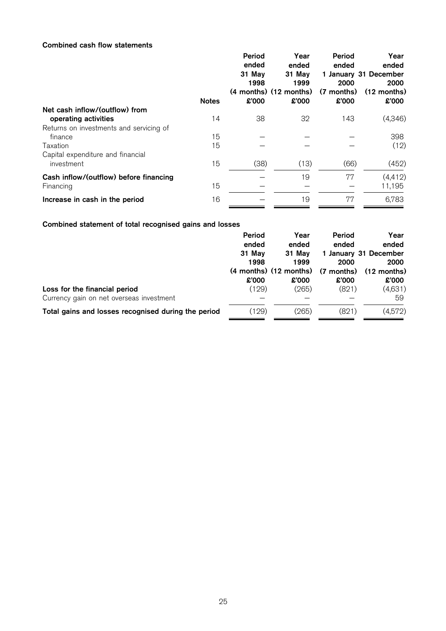#### Combined cash flow statements

|                                         | <b>Notes</b> | Period<br>ended<br>31 May<br>1998<br>£'000 | Year<br>ended<br>31 May<br>1999<br>(4 months) (12 months)<br>\$'000 | Period<br>ended<br>2000<br>(7 months)<br>\$'000 | Year<br>ended<br>1 January 31 December<br>2000<br>$(12 \text{ months})$<br>£'000 |
|-----------------------------------------|--------------|--------------------------------------------|---------------------------------------------------------------------|-------------------------------------------------|----------------------------------------------------------------------------------|
| Net cash inflow/(outflow) from          |              |                                            |                                                                     |                                                 |                                                                                  |
| operating activities                    | 14           | 38                                         | 32                                                                  | 143                                             | (4,346)                                                                          |
| Returns on investments and servicing of |              |                                            |                                                                     |                                                 |                                                                                  |
| finance                                 | 15           |                                            |                                                                     |                                                 | 398                                                                              |
| Taxation                                | 15           |                                            |                                                                     |                                                 | (12)                                                                             |
| Capital expenditure and financial       |              |                                            |                                                                     |                                                 |                                                                                  |
| investment                              | 15           | (38)                                       | (13)                                                                | (66)                                            | (452)                                                                            |
| Cash inflow/(outflow) before financing  |              |                                            | 19                                                                  | 77                                              | (4, 412)                                                                         |
| Financing                               | 15           |                                            |                                                                     |                                                 | 11,195                                                                           |
| Increase in cash in the period          | 16           |                                            | 19                                                                  | 77                                              | 6,783                                                                            |

Combined statement of total recognised gains and losses

|                                                     | Period | Year                       | Period     | Year                  |
|-----------------------------------------------------|--------|----------------------------|------------|-----------------------|
|                                                     | ended  | ended                      | ended      | ended                 |
|                                                     | 31 May | 31 May                     |            | 1 January 31 December |
|                                                     | 1998   | 1999                       | 2000       | 2000                  |
|                                                     |        | $(4$ months) $(12$ months) | (7 months) | (12 months)           |
|                                                     | £'000  | \$'000                     | £'000      | \$'000                |
| Loss for the financial period                       | (129)  | (265)                      | (821)      | (4,631)               |
| Currency gain on net overseas investment            |        |                            |            | 59                    |
| Total gains and losses recognised during the period | (129)  | (265)                      | (821)      | (4,572)               |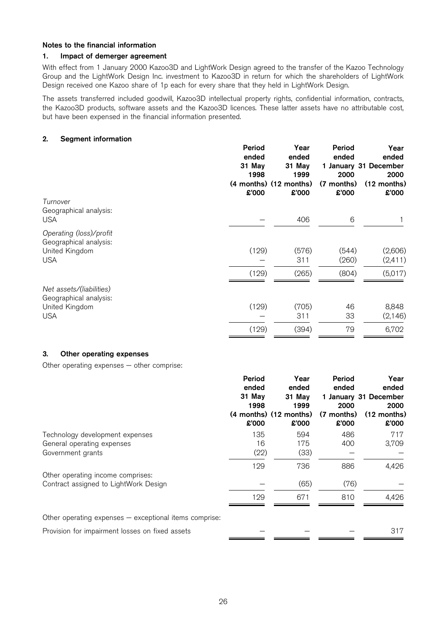#### Notes to the financial information

#### 1. Impact of demerger agreement

With effect from 1 January 2000 Kazoo3D and LightWork Design agreed to the transfer of the Kazoo Technology Group and the LightWork Design Inc. investment to Kazoo3D in return for which the shareholders of LightWork Design received one Kazoo share of 1p each for every share that they held in LightWork Design.

The assets transferred included goodwill, Kazoo3D intellectual property rights, confidential information, contracts, the Kazoo3D products, software assets and the Kazoo3D licences. These latter assets have no attributable cost, but have been expensed in the financial information presented.

#### 2. Segment information

| Period<br>ended<br>31 May<br>1998<br>\$'000 | Year<br>ended<br>31 May<br>1999<br>\$'000 | Period<br>ended<br>2000<br>(7 months)<br>£'000 | Year<br>ended<br>1 January 31 December<br>2000<br>(12 months)<br>£'000 |
|---------------------------------------------|-------------------------------------------|------------------------------------------------|------------------------------------------------------------------------|
|                                             |                                           |                                                |                                                                        |
|                                             | 406                                       | 6                                              |                                                                        |
|                                             |                                           |                                                |                                                                        |
| (129)                                       | (576)                                     | (544)                                          | (2,606)                                                                |
|                                             |                                           |                                                | (2, 411)                                                               |
| (129)                                       | (265)                                     | (804)                                          | (5,017)                                                                |
|                                             |                                           |                                                |                                                                        |
| (129)                                       | (705)                                     | 46                                             | 8,848                                                                  |
|                                             | 311                                       | 33                                             | (2, 146)                                                               |
| (129)                                       | (394)                                     | 79                                             | 6,702                                                                  |
|                                             |                                           | (4 months) (12 months)<br>311                  | (260)                                                                  |

#### 3. Other operating expenses

Other operating expenses  $-$  other comprise:

|                                                                            | Period<br>ended<br>31 May<br>1998<br>£'000 | Year<br>ended<br>31 May<br>1999<br>(4 months) (12 months)<br>\$000 | Period<br>ended<br>2000<br>(7 months)<br>\$'000 | Year<br>ended<br>1 January 31 December<br>2000<br>(12 months)<br>\$000 |
|----------------------------------------------------------------------------|--------------------------------------------|--------------------------------------------------------------------|-------------------------------------------------|------------------------------------------------------------------------|
| Technology development expenses                                            | 135                                        | 594                                                                | 486                                             | 717                                                                    |
| General operating expenses<br>Government grants                            | 16<br>(22)                                 | 175<br>(33)                                                        | 400                                             | 3,709                                                                  |
|                                                                            | 129                                        | 736                                                                | 886                                             | 4,426                                                                  |
| Other operating income comprises:<br>Contract assigned to LightWork Design |                                            | (65)                                                               | (76)                                            |                                                                        |
|                                                                            | 129                                        | 671                                                                | 810                                             | 4,426                                                                  |
| Other operating expenses - exceptional items comprise:                     |                                            |                                                                    |                                                 |                                                                        |
| Provision for impairment losses on fixed assets                            |                                            |                                                                    |                                                 | 317                                                                    |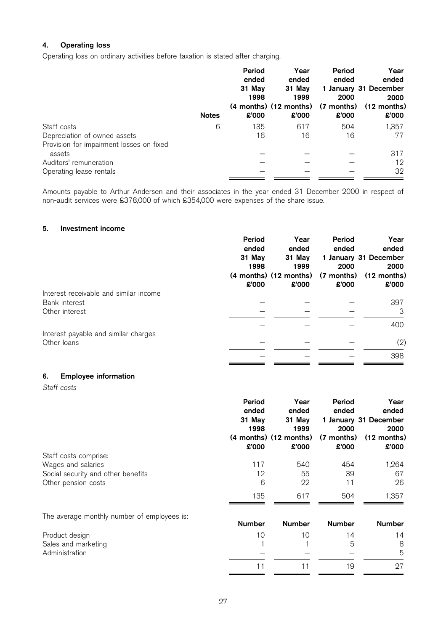### 4. Operating loss

Operating loss on ordinary activities before taxation is stated after charging.

|                                          | <b>Notes</b> | Period<br>ended<br>31 May<br>1998<br>£'000 | Year<br>ended<br>31 May<br>1999<br>£'000 | Period<br>ended<br>2000<br>\$'000 | Year<br>ended<br>1 January 31 December<br>2000<br>(4 months) (12 months) (7 months) (12 months)<br>£'000 |
|------------------------------------------|--------------|--------------------------------------------|------------------------------------------|-----------------------------------|----------------------------------------------------------------------------------------------------------|
| Staff costs                              | 6            | 135                                        | 617                                      | 504                               | 1,357                                                                                                    |
| Depreciation of owned assets             |              | 16                                         | 16                                       | 16                                | 77                                                                                                       |
| Provision for impairment losses on fixed |              |                                            |                                          |                                   |                                                                                                          |
| assets                                   |              |                                            |                                          |                                   | 317                                                                                                      |
| Auditors' remuneration                   |              |                                            |                                          |                                   | 12                                                                                                       |
| Operating lease rentals                  |              |                                            |                                          |                                   | 32                                                                                                       |

Amounts payable to Arthur Andersen and their associates in the year ended 31 December 2000 in respect of non-audit services were £378,000 of which £354,000 were expenses of the share issue.

#### 5. Investment income

| Period | Year   | Period                     | Year                  |
|--------|--------|----------------------------|-----------------------|
| ended  | ended  | ended                      | ended                 |
| 31 May | 31 May |                            | 1 January 31 December |
| 1998   | 1999   | 2000                       | 2000                  |
|        |        |                            | $(12 \text{ months})$ |
| £'000  | £'000  | £'000                      | \$000                 |
|        |        |                            |                       |
|        |        |                            | 397                   |
|        |        |                            | 3                     |
|        |        |                            | 400                   |
|        |        |                            |                       |
|        |        |                            | (2)                   |
|        |        |                            | 398                   |
|        |        | $(4$ months) $(12$ months) | (7 months)            |

#### 6. Employee information

Staff costs

|                                             | Period<br>ended<br>31 May<br>1998<br>£'000 | Year<br>ended<br>31 May<br>1999<br>(4 months) (12 months)<br>£'000 | Period<br>ended<br>2000<br>(7 months)<br>\$'000 | Year<br>ended<br>1 January 31 December<br>2000<br>$(12$ months)<br>£'000 |
|---------------------------------------------|--------------------------------------------|--------------------------------------------------------------------|-------------------------------------------------|--------------------------------------------------------------------------|
| Staff costs comprise:                       |                                            |                                                                    |                                                 |                                                                          |
| Wages and salaries                          | 117                                        | 540                                                                | 454                                             | 1,264                                                                    |
| Social security and other benefits          | 12                                         | 55                                                                 | 39                                              | 67                                                                       |
| Other pension costs                         | 6                                          | 22                                                                 | 11                                              | 26                                                                       |
|                                             | 135                                        | 617                                                                | 504                                             | 1,357                                                                    |
| The average monthly number of employees is: | <b>Number</b>                              | <b>Number</b>                                                      | <b>Number</b>                                   | <b>Number</b>                                                            |
| Product design                              | 10                                         | 10                                                                 | 14                                              | 14                                                                       |
| Sales and marketing                         |                                            |                                                                    | 5                                               | 8                                                                        |
| Administration                              |                                            |                                                                    |                                                 | 5                                                                        |
|                                             | 11                                         | 11                                                                 | 19                                              | 27                                                                       |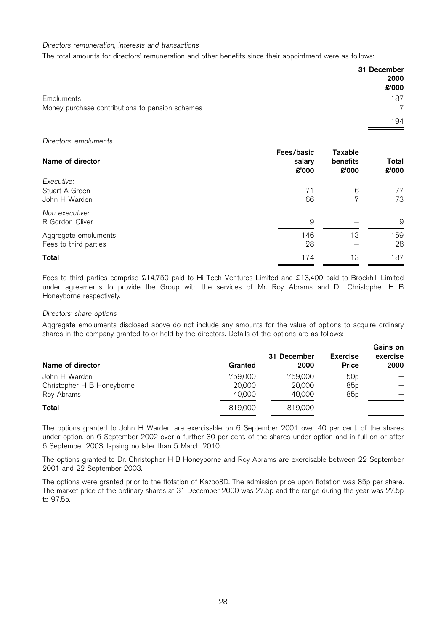#### Directors remuneration, interests and transactions

The total amounts for directors' remuneration and other benefits since their appointment were as follows:

|                                                 | 31 December<br>2000 |
|-------------------------------------------------|---------------------|
|                                                 | \$'000              |
| Emoluments                                      | 187                 |
| Money purchase contributions to pension schemes | 7                   |
|                                                 | 194                 |

Directors' emoluments

| Name of director                              | Fees/basic<br>salary<br>\$'000 | <b>Taxable</b><br>benefits<br>\$000 | Total<br>£'000 |
|-----------------------------------------------|--------------------------------|-------------------------------------|----------------|
| Executive:<br>Stuart A Green<br>John H Warden | 71<br>66                       | 6<br>7                              | 77<br>73       |
| Non executive:<br>R Gordon Oliver             | 9                              |                                     | 9              |
| Aggregate emoluments<br>Fees to third parties | 146<br>28                      | 13                                  | 159<br>28      |
| <b>Total</b>                                  | 174                            | 13                                  | 187            |

Fees to third parties comprise £14,750 paid to Hi Tech Ventures Limited and £13,400 paid to Brockhill Limited under agreements to provide the Group with the services of Mr. Roy Abrams and Dr. Christopher H B Honeyborne respectively.

#### Directors' share options

Aggregate emoluments disclosed above do not include any amounts for the value of options to acquire ordinary shares in the company granted to or held by the directors. Details of the options are as follows:

| Name of director           | Granted | 31 December<br>2000 | <b>Exercise</b><br><b>Price</b> | Gains on<br>exercise<br>2000 |
|----------------------------|---------|---------------------|---------------------------------|------------------------------|
| John H Warden              | 759,000 | 759,000             | 50 <sub>p</sub>                 |                              |
| Christopher H B Honeyborne | 20,000  | 20,000              | 85p                             |                              |
| Roy Abrams                 | 40,000  | 40,000              | 85p                             |                              |
| Total                      | 819,000 | 819,000             |                                 |                              |

The options granted to John H Warden are exercisable on 6 September 2001 over 40 per cent. of the shares under option, on 6 September 2002 over a further 30 per cent. of the shares under option and in full on or after 6 September 2003, lapsing no later than 5 March 2010.

The options granted to Dr. Christopher H B Honeyborne and Roy Abrams are exercisable between 22 September 2001 and 22 September 2003.

The options were granted prior to the flotation of Kazoo3D. The admission price upon flotation was 85p per share. The market price of the ordinary shares at 31 December 2000 was 27.5p and the range during the year was 27.5p to 97.5p.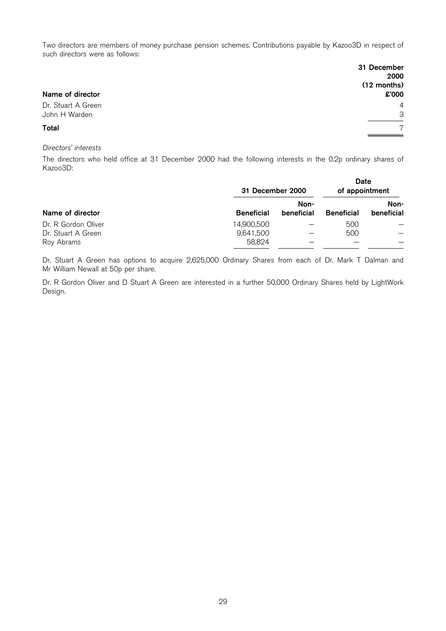Two directors are members of money purchase pension schemes. Contributions payable by Kazoo3D in respect of such directors were as follows:

| Name of director                    | 31 December<br>2000<br>(12 months)<br>£'000 |
|-------------------------------------|---------------------------------------------|
| Dr. Stuart A Green<br>John H Warden | $\overline{4}$<br>3                         |
| <b>Total</b>                        | 7                                           |

#### Directors' interests

The directors who held office at 31 December 2000 had the following interests in the 0.2p ordinary shares of Kazoo3D:

|                     | 31 December 2000  |                    | Date<br>of appointment |                    |
|---------------------|-------------------|--------------------|------------------------|--------------------|
|                     | <b>Beneficial</b> | Non-<br>beneficial | <b>Beneficial</b>      | Non-<br>beneficial |
| Name of director    |                   |                    |                        |                    |
| Dr. R Gordon Oliver | 14,900,500        |                    | 500                    |                    |
| Dr. Stuart A Green  | 9,641,500         |                    | 500                    |                    |
| Roy Abrams          | 58,824            |                    |                        |                    |

Dr. Stuart A Green has options to acquire 2,625,000 Ordinary Shares from each of Dr. Mark T Dalman and Mr William Newall at 50p per share.

Dr. R Gordon Oliver and D Stuart A Green are interested in a further 50,000 Ordinary Shares held by LightWork Design.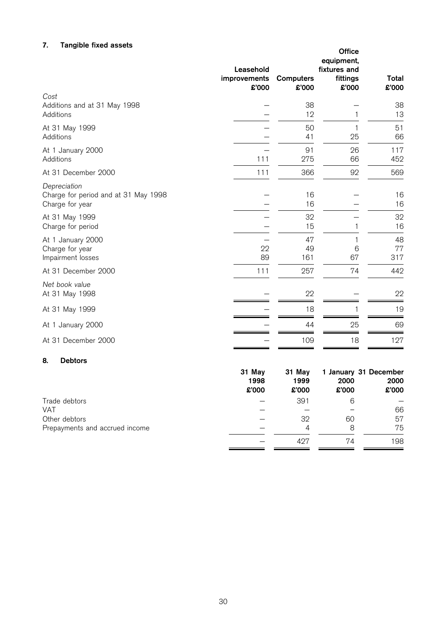### 7. Tangible fixed assets

| 7.<br>Tangible lixed assets                                             | Leasehold<br>improvements<br>£'000 | <b>Computers</b><br>£'000 | Office<br>equipment,<br>fixtures and<br>fittings<br>£'000 | Total<br>£'000  |
|-------------------------------------------------------------------------|------------------------------------|---------------------------|-----------------------------------------------------------|-----------------|
| Cost<br>Additions and at 31 May 1998<br>Additions                       |                                    | 38<br>12                  |                                                           | 38<br>13        |
| At 31 May 1999<br>Additions                                             |                                    | 50<br>41                  | 25                                                        | 51<br>66        |
| At 1 January 2000<br>Additions                                          | 111                                | 91<br>275                 | 26<br>66                                                  | 117<br>452      |
| At 31 December 2000                                                     | 111                                | 366                       | 92                                                        | 569             |
| Depreciation<br>Charge for period and at 31 May 1998<br>Charge for year |                                    | 16<br>16                  |                                                           | 16<br>16        |
| At 31 May 1999<br>Charge for period                                     |                                    | 32<br>15                  |                                                           | 32<br>16        |
| At 1 January 2000<br>Charge for year<br>Impairment losses               | 22<br>89                           | 47<br>49<br>161           | 6<br>67                                                   | 48<br>77<br>317 |
| At 31 December 2000                                                     | 111                                | 257                       | 74                                                        | 442             |
| Net book value<br>At 31 May 1998                                        |                                    | 22                        |                                                           | 22              |
| At 31 May 1999                                                          |                                    | 18                        |                                                           | 19              |
| At 1 January 2000                                                       |                                    | 44                        | 25                                                        | 69              |
| At 31 December 2000                                                     |                                    | 109                       | 18                                                        | 127             |
| <b>Debtors</b><br>8.                                                    |                                    |                           |                                                           |                 |
|                                                                         | 31 May<br>1998<br>£'000            | 31 May<br>1999<br>£'000   | 1 January 31 December<br>2000<br>£'000                    | 2000<br>£'000   |
| Trade debtors<br>VAT                                                    |                                    | 391                       | 6                                                         |                 |
| Other debtors<br>Prepayments and accrued income                         |                                    | 32<br>$\overline{4}$      | 60<br>8                                                   | 66<br>57<br>75  |
|                                                                         |                                    | 427                       | 74                                                        | 198             |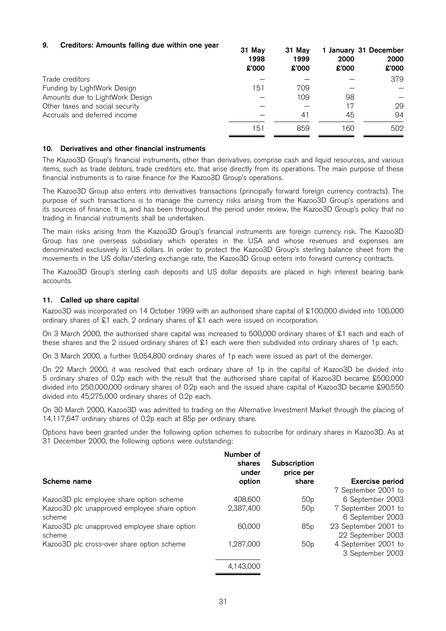#### 9. Creditors: Amounts falling due within one year

| <u>alamin lillamin lahili ada milli alla la</u> | 31 May<br>1998<br>£'000 | 31 May<br>1999<br>\$000 | 2000<br>\$'000 | 1 January 31 December<br>2000<br>\$'000 |
|-------------------------------------------------|-------------------------|-------------------------|----------------|-----------------------------------------|
| Trade creditors                                 |                         |                         |                | 379                                     |
| Funding by LightWork Design                     | 151                     | 709                     |                |                                         |
| Amounts due to LightWork Design                 |                         | 109                     | 98             |                                         |
| Other taxes and social security                 |                         |                         | 17             | 29                                      |
| Accruals and deferred income                    |                         | 41                      | 45             | 94                                      |
|                                                 | 151                     | 859                     | 160            | 502                                     |

31 May

31 May

#### 10. Derivatives and other financial instruments

The Kazoo3D Group's financial instruments, other than derivatives, comprise cash and liquid resources, and various items, such as trade debtors, trade creditors etc. that arise directly from its operations. The main purpose of these financial instruments is to raise finance for the Kazoo3D Group's operations.

The Kazoo3D Group also enters into derivatives transactions (principally forward foreign currency contracts). The purpose of such transactions is to manage the currency risks arising from the Kazoo3D Group's operations and its sources of finance. It is, and has been throughout the period under review, the Kazoo3D Group's policy that no trading in financial instruments shall be undertaken.

The main risks arising from the Kazoo3D Group's financial instruments are foreign currency risk. The Kazoo3D Group has one overseas subsidiary which operates in the USA and whose revenues and expenses are denominated exclusively in US dollars. In order to protect the Kazoo3D Group's sterling balance sheet from the movements in the US dollar/sterling exchange rate, the Kazoo3D Group enters into forward currency contracts.

The Kazoo3D Group's sterling cash deposits and US dollar deposits are placed in high interest bearing bank accounts.

#### 11. Called up share capital

Kazoo3D was incorporated on 14 October 1999 with an authorised share capital of £100,000 divided into 100,000 ordinary shares of  $\&$ 1 each. 2 ordinary shares of  $\&$ 1 each were issued on incorporation.

On 3 March 2000, the authorised share capital was increased to 500,000 ordinary shares of £1 each and each of these shares and the 2 issued ordinary shares of £1 each were then subdivided into ordinary shares of 1p each.

On 3 March 2000, a further 9,054,800 ordinary shares of 1p each were issued as part of the demerger.

On 22 March 2000, it was resolved that each ordinary share of 1p in the capital of Kazoo3D be divided into 5 ordinary shares of 0.2p each with the result that the authorised share capital of Kazoo3D became £500,000 divided into 250,000,000 ordinary shares of 0.2p each and the issued share capital of Kazoo3D became £90,550 divided into 45,275,000 ordinary shares of 0.2p each.

On 30 March 2000, Kazoo3D was admitted to trading on the Alternative Investment Market through the placing of 14,117,647 ordinary shares of 0.2p each at 85p per ordinary share.

Options have been granted under the following option schemes to subscribe for ordinary shares in Kazoo3D. As at 31 December 2000, the following options were outstanding:

| Scheme name                                            | Number of<br>shares<br>under<br>option | Subscription<br>price per<br>share | <b>Exercise period</b>                    |
|--------------------------------------------------------|----------------------------------------|------------------------------------|-------------------------------------------|
|                                                        |                                        |                                    | 7 September 2001 to                       |
| Kazoo3D plc employee share option scheme               | 408,600                                | 50 <sub>p</sub>                    | 6 September 2003                          |
| Kazoo3D plc unapproved employee share option<br>scheme | 2,387,400                              | 50 <sub>p</sub>                    | 7 September 2001 to<br>6 September 2003   |
| Kazoo3D plc unapproved employee share option<br>scheme | 60,000                                 | 85p                                | 23 September 2001 to<br>22 September 2003 |
| Kazoo3D plc cross-over share option scheme             | 1,287,000                              | 50 <sub>p</sub>                    | 4 September 2001 to<br>3 September 2003   |
|                                                        | 4,143,000                              |                                    |                                           |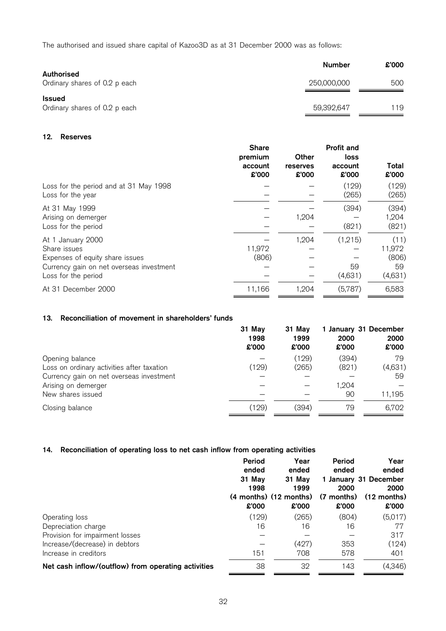The authorised and issued share capital of Kazoo3D as at 31 December 2000 was as follows:

|                                                    | Number      | £'000 |
|----------------------------------------------------|-------------|-------|
| <b>Authorised</b><br>Ordinary shares of 0.2 p each | 250,000,000 | 500   |
| <b>Issued</b><br>Ordinary shares of 0.2 p each     | 59,392,647  | 119   |

#### 12. Reserves

|                                                                                                                                         | <b>Share</b><br>premium<br>account<br>\$'000 | Other<br>reserves<br>\$'000 | <b>Profit and</b><br>loss<br>account<br>\$'000 | Total<br>£'000                           |
|-----------------------------------------------------------------------------------------------------------------------------------------|----------------------------------------------|-----------------------------|------------------------------------------------|------------------------------------------|
| Loss for the period and at 31 May 1998<br>Loss for the year                                                                             |                                              |                             | (129)<br>(265)                                 | (129)<br>(265)                           |
| At 31 May 1999<br>Arising on demerger<br>Loss for the period                                                                            |                                              | 1,204                       | (394)<br>(821)                                 | (394)<br>1,204<br>(821)                  |
| At 1 January 2000<br>Share issues<br>Expenses of equity share issues<br>Currency gain on net overseas investment<br>Loss for the period | 11,972<br>(806)                              | 1,204                       | (1,215)<br>59<br>(4,631)                       | (11)<br>11,972<br>(806)<br>59<br>(4,631) |
| At 31 December 2000                                                                                                                     | 11,166                                       | 1,204                       | (5,787)                                        | 6,583                                    |

#### 13. Reconciliation of movement in shareholders' funds

|                                            | 31 May<br>1998<br>\$'000 | 31 May<br>1999<br>£'000 | 2000<br>\$'000 | 1 January 31 December<br>2000<br>\$000 |
|--------------------------------------------|--------------------------|-------------------------|----------------|----------------------------------------|
| Opening balance                            |                          | (129)                   | (394)          | 79                                     |
| Loss on ordinary activities after taxation | (129)                    | (265)                   | (821)          | (4,631)                                |
| Currency gain on net overseas investment   |                          |                         |                | 59                                     |
| Arising on demerger                        |                          |                         | 1,204          |                                        |
| New shares issued                          |                          |                         | 90             | 11,195                                 |
| Closing balance                            | (129)                    | (394)                   | 79             | 6,702                                  |

### 14. Reconciliation of operating loss to net cash inflow from operating activities

|                                                     | Period<br>ended<br>31 May<br>1998<br>\$000 | Year<br>ended<br>31 May<br>1999<br>$(4$ months) $(12$ months)<br>£'000 | Period<br>ended<br>2000<br>(7 months)<br>\$000 | Year<br>ended<br>1 January 31 December<br>2000<br>$(12$ months)<br>\$000 |
|-----------------------------------------------------|--------------------------------------------|------------------------------------------------------------------------|------------------------------------------------|--------------------------------------------------------------------------|
| Operating loss                                      | (129)                                      | (265)                                                                  | (804)                                          | (5,017)                                                                  |
| Depreciation charge                                 | 16                                         | 16                                                                     | 16                                             | 77                                                                       |
| Provision for impairment losses                     |                                            |                                                                        |                                                | 317                                                                      |
| Increase/(decrease) in debtors                      |                                            | (427)                                                                  | 353                                            | (124)                                                                    |
| Increase in creditors                               | 151                                        | 708                                                                    | 578                                            | 401                                                                      |
| Net cash inflow/(outflow) from operating activities | 38                                         | 32                                                                     | 143                                            | (4,346)                                                                  |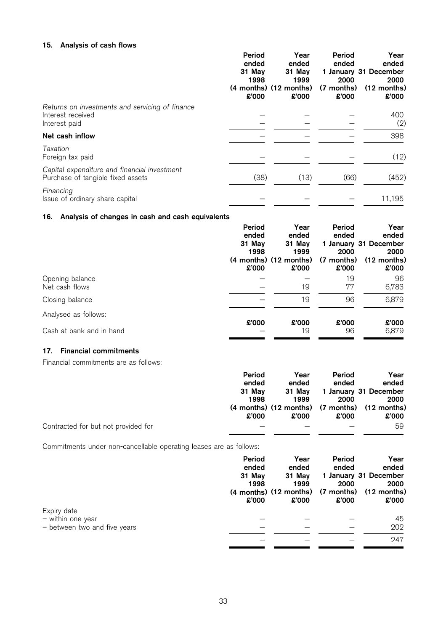#### 15. Analysis of cash flows

|                                                                                       | Period<br>ended<br>31 May<br>1998<br>\$'000 | Year<br>ended<br>31 May<br>1999<br>(4 months) (12 months)<br>£'000 | Period<br>ended<br>2000<br>(7 months)<br>\$'000 | Year<br>ended<br>1 January 31 December<br>2000<br>(12 months)<br>\$'000 |
|---------------------------------------------------------------------------------------|---------------------------------------------|--------------------------------------------------------------------|-------------------------------------------------|-------------------------------------------------------------------------|
| Returns on investments and servicing of finance<br>Interest received<br>Interest paid |                                             |                                                                    |                                                 | 400<br>(2)                                                              |
| Net cash inflow                                                                       |                                             |                                                                    |                                                 | 398                                                                     |
| Taxation<br>Foreign tax paid                                                          |                                             |                                                                    |                                                 | (12)                                                                    |
| Capital expenditure and financial investment<br>Purchase of tangible fixed assets     | (38)                                        | (13)                                                               | (66)                                            | (452)                                                                   |
| Financing<br>Issue of ordinary share capital                                          |                                             |                                                                    |                                                 | 11,195                                                                  |

#### 16. Analysis of changes in cash and cash equivalents

|                                                  | Period<br>ended<br>31 May<br>1998<br>£'000 | Year<br>ended<br>31 May<br>1999<br>$(4$ months) $(12$ months)<br>\$000 | Period<br>ended<br>2000<br>(7 months)<br>\$000 | Year<br>ended<br>1 January 31 December<br>2000<br>$(12$ months)<br>\$000 |
|--------------------------------------------------|--------------------------------------------|------------------------------------------------------------------------|------------------------------------------------|--------------------------------------------------------------------------|
| Opening balance<br>Net cash flows                |                                            | 19                                                                     | 19<br>77                                       | 96<br>6,783                                                              |
| Closing balance                                  |                                            | 19                                                                     | 96                                             | 6,879                                                                    |
| Analysed as follows:<br>Cash at bank and in hand | \$'000                                     | \$000<br>19                                                            | £'000<br>96                                    | $000^{\circ}$<br>6,879                                                   |

#### 17. Financial commitments

Financial commitments are as follows:

|                                     | Period | Year   | Period | Year                                          |
|-------------------------------------|--------|--------|--------|-----------------------------------------------|
|                                     | ended  | ended  | ended  | ended                                         |
|                                     | 31 May | 31 Mav |        | 1 January 31 December                         |
|                                     | 1998   | 1999   | 2000   | 2000                                          |
|                                     |        |        |        | (4 months) (12 months) (7 months) (12 months) |
|                                     | £'000  | £'000  | £'000  | £'000                                         |
| Contracted for but not provided for |        |        |        | 59                                            |

Commitments under non-cancellable operating leases are as follows:

|                                  | Period<br>ended<br>31 May<br>1998<br>\$'000 | Year<br>ended<br>31 May<br>1999<br>(4 months) (12 months) (7 months)<br>£'000 | Period<br>ended<br>2000<br>£'000 | Year<br>ended<br>1 January 31 December<br>2000<br>$(12 \text{ months})$<br>\$000 |
|----------------------------------|---------------------------------------------|-------------------------------------------------------------------------------|----------------------------------|----------------------------------------------------------------------------------|
| Expiry date<br>- within one year |                                             |                                                                               |                                  | 45                                                                               |
| - between two and five years     |                                             |                                                                               |                                  | 202<br>247                                                                       |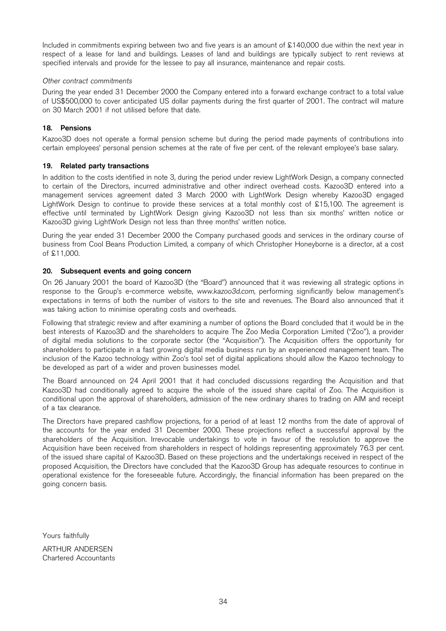Included in commitments expiring between two and five years is an amount of £140,000 due within the next year in respect of a lease for land and buildings. Leases of land and buildings are typically subject to rent reviews at specified intervals and provide for the lessee to pay all insurance, maintenance and repair costs.

#### Other contract commitments

During the year ended 31 December 2000 the Company entered into a forward exchange contract to a total value of US\$500,000 to cover anticipated US dollar payments during the first quarter of 2001. The contract will mature on 30 March 2001 if not utilised before that date.

#### 18. Pensions

Kazoo3D does not operate a formal pension scheme but during the period made payments of contributions into certain employees' personal pension schemes at the rate of five per cent. of the relevant employee's base salary.

#### 19. Related party transactions

In addition to the costs identified in note 3, during the period under review LightWork Design, a company connected to certain of the Directors, incurred administrative and other indirect overhead costs. Kazoo3D entered into a management services agreement dated 3 March 2000 with LightWork Design whereby Kazoo3D engaged LightWork Design to continue to provide these services at a total monthly cost of £15,100. The agreement is effective until terminated by LightWork Design giving Kazoo3D not less than six months' written notice or Kazoo3D giving LightWork Design not less than three months' written notice.

During the year ended 31 December 2000 the Company purchased goods and services in the ordinary course of business from Cool Beans Production Limited, a company of which Christopher Honeyborne is a director, at a cost of £11,000.

#### 20. Subsequent events and going concern

On 26 January 2001 the board of Kazoo3D (the "Board") announced that it was reviewing all strategic options in response to the Group's e-commerce website, www.kazoo3d.com, performing significantly below management's expectations in terms of both the number of visitors to the site and revenues. The Board also announced that it was taking action to minimise operating costs and overheads.

Following that strategic review and after examining a number of options the Board concluded that it would be in the best interests of Kazoo3D and the shareholders to acquire The Zoo Media Corporation Limited ("Zoo"), a provider of digital media solutions to the corporate sector (the "Acquisition"). The Acquisition offers the opportunity for shareholders to participate in a fast growing digital media business run by an experienced management team. The inclusion of the Kazoo technology within Zoo's tool set of digital applications should allow the Kazoo technology to be developed as part of a wider and proven businesses model.

The Board announced on 24 April 2001 that it had concluded discussions regarding the Acquisition and that Kazoo3D had conditionally agreed to acquire the whole of the issued share capital of Zoo. The Acquisition is conditional upon the approval of shareholders, admission of the new ordinary shares to trading on AIM and receipt of a tax clearance.

The Directors have prepared cashflow projections, for a period of at least 12 months from the date of approval of the accounts for the year ended 31 December 2000. These projections reflect a successful approval by the shareholders of the Acquisition. Irrevocable undertakings to vote in favour of the resolution to approve the Acquisition have been received from shareholders in respect of holdings representing approximately 76.3 per cent. of the issued share capital of Kazoo3D. Based on these projections and the undertakings received in respect of the proposed Acquisition, the Directors have concluded that the Kazoo3D Group has adequate resources to continue in operational existence for the foreseeable future. Accordingly, the financial information has been prepared on the going concern basis.

Yours faithfully

ARTHUR ANDERSEN Chartered Accountants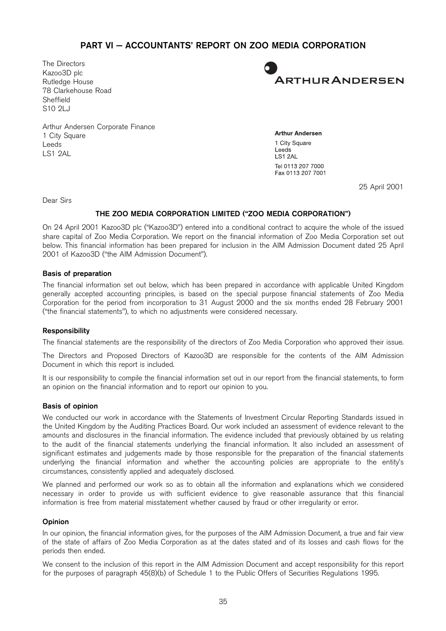# PART VI - ACCOUNTANTS' REPORT ON ZOO MEDIA CORPORATION

The Directors Kazoo3D plc Rutledge House 78 Clarkehouse Road Sheffield S10 2LJ



Arthur Andersen Corporate Finance 1 City Square Leeds LS1 2AL

**Arthur Andersen** 1 City Square Leeds **LS1 2AL** Tel 0113 207 7000 Fax 0113 207 7001

25 April 2001

Dear Sirs

#### THE ZOO MEDIA CORPORATION LIMITED ("ZOO MEDIA CORPORATION")

On 24 April 2001 Kazoo3D plc ("Kazoo3D") entered into a conditional contract to acquire the whole of the issued share capital of Zoo Media Corporation. We report on the financial information of Zoo Media Corporation set out below. This financial information has been prepared for inclusion in the AIM Admission Document dated 25 April 2001 of Kazoo3D ("the AIM Admission Document").

#### Basis of preparation

The financial information set out below, which has been prepared in accordance with applicable United Kingdom generally accepted accounting principles, is based on the special purpose financial statements of Zoo Media Corporation for the period from incorporation to 31 August 2000 and the six months ended 28 February 2001 ("the financial statements"), to which no adjustments were considered necessary.

#### Responsibility

The financial statements are the responsibility of the directors of Zoo Media Corporation who approved their issue.

The Directors and Proposed Directors of Kazoo3D are responsible for the contents of the AIM Admission Document in which this report is included.

It is our responsibility to compile the financial information set out in our report from the financial statements, to form an opinion on the financial information and to report our opinion to you.

#### Basis of opinion

We conducted our work in accordance with the Statements of Investment Circular Reporting Standards issued in the United Kingdom by the Auditing Practices Board. Our work included an assessment of evidence relevant to the amounts and disclosures in the financial information. The evidence included that previously obtained by us relating to the audit of the financial statements underlying the financial information. It also included an assessment of significant estimates and judgements made by those responsible for the preparation of the financial statements underlying the financial information and whether the accounting policies are appropriate to the entity's circumstances, consistently applied and adequately disclosed.

We planned and performed our work so as to obtain all the information and explanations which we considered necessary in order to provide us with sufficient evidence to give reasonable assurance that this financial information is free from material misstatement whether caused by fraud or other irregularity or error.

#### Opinion

In our opinion, the financial information gives, for the purposes of the AIM Admission Document, a true and fair view of the state of affairs of Zoo Media Corporation as at the dates stated and of its losses and cash flows for the periods then ended.

We consent to the inclusion of this report in the AIM Admission Document and accept responsibility for this report for the purposes of paragraph 45(8)(b) of Schedule 1 to the Public Offers of Securities Regulations 1995.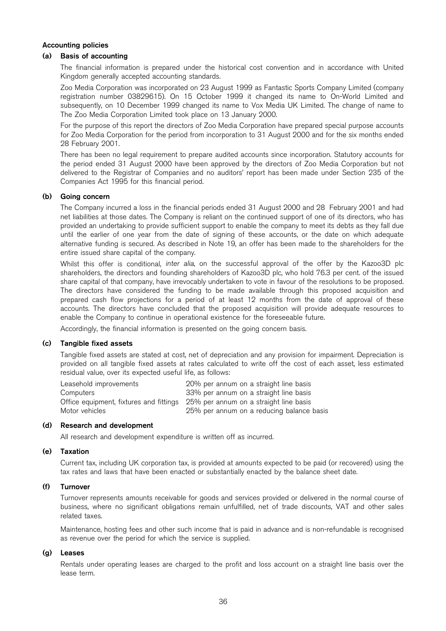#### Accounting policies

#### (a) Basis of accounting

The financial information is prepared under the historical cost convention and in accordance with United Kingdom generally accepted accounting standards.

Zoo Media Corporation was incorporated on 23 August 1999 as Fantastic Sports Company Limited (company registration number 03829615). On 15 October 1999 it changed its name to On-World Limited and subsequently, on 10 December 1999 changed its name to Vox Media UK Limited. The change of name to The Zoo Media Corporation Limited took place on 13 January 2000.

For the purpose of this report the directors of Zoo Media Corporation have prepared special purpose accounts for Zoo Media Corporation for the period from incorporation to 31 August 2000 and for the six months ended 28 February 2001.

There has been no legal requirement to prepare audited accounts since incorporation. Statutory accounts for the period ended 31 August 2000 have been approved by the directors of Zoo Media Corporation but not delivered to the Registrar of Companies and no auditors' report has been made under Section 235 of the Companies Act 1995 for this financial period.

#### (b) Going concern

The Company incurred a loss in the financial periods ended 31 August 2000 and 28 February 2001 and had net liabilities at those dates. The Company is reliant on the continued support of one of its directors, who has provided an undertaking to provide sufficient support to enable the company to meet its debts as they fall due until the earlier of one year from the date of signing of these accounts, or the date on which adequate alternative funding is secured. As described in Note 19, an offer has been made to the shareholders for the entire issued share capital of the company.

Whilst this offer is conditional, inter alia, on the successful approval of the offer by the Kazoo3D plc shareholders, the directors and founding shareholders of Kazoo3D plc, who hold 76.3 per cent. of the issued share capital of that company, have irrevocably undertaken to vote in favour of the resolutions to be proposed. The directors have considered the funding to be made available through this proposed acquisition and prepared cash flow projections for a period of at least 12 months from the date of approval of these accounts. The directors have concluded that the proposed acquisition will provide adequate resources to enable the Company to continue in operational existence for the foreseeable future.

Accordingly, the financial information is presented on the going concern basis.

#### (c) Tangible fixed assets

Tangible fixed assets are stated at cost, net of depreciation and any provision for impairment. Depreciation is provided on all tangible fixed assets at rates calculated to write off the cost of each asset, less estimated residual value, over its expected useful life, as follows:

| Leasehold improvements | 20% per annum on a straight line basis                                         |
|------------------------|--------------------------------------------------------------------------------|
| Computers              | 33% per annum on a straight line basis                                         |
|                        | Office equipment, fixtures and fittings 25% per annum on a straight line basis |
| Motor vehicles         | 25% per annum on a reducing balance basis                                      |

#### (d) Research and development

All research and development expenditure is written off as incurred.

#### (e) Taxation

Current tax, including UK corporation tax, is provided at amounts expected to be paid (or recovered) using the tax rates and laws that have been enacted or substantially enacted by the balance sheet date.

#### (f) Turnover

Turnover represents amounts receivable for goods and services provided or delivered in the normal course of business, where no significant obligations remain unfulfilled, net of trade discounts, VAT and other sales related taxes.

Maintenance, hosting fees and other such income that is paid in advance and is non-refundable is recognised as revenue over the period for which the service is supplied.

#### (g) Leases

Rentals under operating leases are charged to the profit and loss account on a straight line basis over the lease term.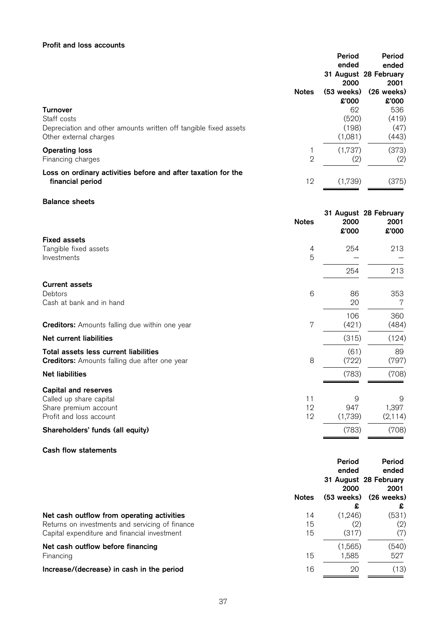# Profit and loss accounts

|                                                                  |                | Period               | Period                |
|------------------------------------------------------------------|----------------|----------------------|-----------------------|
|                                                                  |                | ended                | ended                 |
|                                                                  |                |                      | 31 August 28 February |
|                                                                  |                | 2000                 | 2001                  |
|                                                                  | <b>Notes</b>   | $(53 \text{ weeks})$ | $(26$ weeks)          |
|                                                                  |                | £'000                | £'000                 |
| <b>Turnover</b>                                                  |                | 62                   | 536                   |
| Staff costs                                                      |                | (520)                | (419)                 |
| Depreciation and other amounts written off tangible fixed assets |                | (198)                | (47)                  |
| Other external charges                                           |                | (1,081)              | (443)                 |
| <b>Operating loss</b>                                            |                | (1,737)              | (373)                 |
| Financing charges                                                | $\mathfrak{D}$ | (2)                  | (2)                   |
| Loss on ordinary activities before and after taxation for the    |                |                      |                       |
| financial period                                                 | 12             | (1,739)              | (375)                 |

# Balance sheets

| <b>Notes</b>                                               | 2000<br>£'000 | 31 August 28 February<br>2001<br>£'000 |
|------------------------------------------------------------|---------------|----------------------------------------|
| <b>Fixed assets</b>                                        |               |                                        |
| Tangible fixed assets<br>4                                 | 254           | 213                                    |
| 5<br>Investments                                           |               |                                        |
|                                                            | 254           | 213                                    |
| <b>Current assets</b>                                      |               |                                        |
| 6<br>Debtors                                               | 86            | 353                                    |
| Cash at bank and in hand                                   | 20            | 7                                      |
|                                                            | 106           | 360                                    |
| 7<br><b>Creditors:</b> Amounts falling due within one year | (421)         | (484)                                  |
| <b>Net current liabilities</b>                             | (315)         | (124)                                  |
| Total assets less current liabilities                      | (61)          | 89                                     |
| 8<br><b>Creditors:</b> Amounts falling due after one year  | (722)         | (797)                                  |
| <b>Net liabilities</b>                                     | (783)         | (708)                                  |
| <b>Capital and reserves</b>                                |               |                                        |
| 11<br>Called up share capital                              | 9             | 9                                      |
| 12<br>Share premium account                                | 947           | 1,397                                  |
| 12<br>Profit and loss account                              | (1,739)       | (2, 114)                               |
| Shareholders' funds (all equity)                           | (783)         | (708)                                  |

# Cash flow statements

|                                                 |              |                    | Period<br>ended<br>31 August 28 February<br>2001 |
|-------------------------------------------------|--------------|--------------------|--------------------------------------------------|
|                                                 | <b>Notes</b> | 2000<br>(53 weeks) | $(26$ weeks)                                     |
|                                                 |              | £                  | £                                                |
| Net cash outflow from operating activities      | 14           | (1,246)            | (531)                                            |
| Returns on investments and servicing of finance | 15           | (2)                | (2)                                              |
| Capital expenditure and financial investment    | 15           | (317)              | (7)                                              |
| Net cash outflow before financing               |              | (1,565)            | (540)                                            |
| Financing                                       | 15           | 1,585              | 527                                              |
| Increase/(decrease) in cash in the period       | 16           | 20                 | (13)                                             |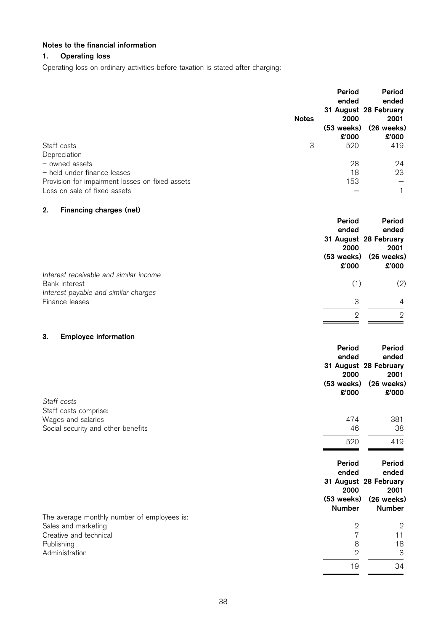# Notes to the financial information

# 1. Operating loss

Operating loss on ordinary activities before taxation is stated after charging:

|                                                 |              | Period | Period                |
|-------------------------------------------------|--------------|--------|-----------------------|
|                                                 |              | ended  | ended                 |
|                                                 |              |        | 31 August 28 February |
|                                                 | <b>Notes</b> | 2000   | 2001                  |
|                                                 |              |        | (53 weeks) (26 weeks) |
|                                                 |              | £'000  | £'000                 |
| Staff costs                                     | 3            | 520    | 419                   |
| Depreciation                                    |              |        |                       |
| - owned assets                                  |              | 28     | 24                    |
| - held under finance leases                     |              | 18     | 23                    |
| Provision for impairment losses on fixed assets |              | 153    |                       |
| Loss on sale of fixed assets                    |              |        |                       |
|                                                 |              |        |                       |

# 2. Financing charges (net)

|                                        | Period | Period                                             |
|----------------------------------------|--------|----------------------------------------------------|
|                                        | ended  | ended                                              |
|                                        |        | 31 August 28 February                              |
|                                        | 2000   | 2001                                               |
|                                        | \$'000 | $(53 \text{ weeks})$ $(26 \text{ weeks})$<br>\$000 |
| Interest receivable and similar income |        |                                                    |
| Bank interest                          | (1)    | (2)                                                |
| Interest payable and similar charges   |        |                                                    |
| Finance leases                         | 3      | 4                                                  |
|                                        | 2      | $\mathcal{D}$                                      |

# 3. Employee information

|                                             | Period<br>ended<br>2000<br>$(53$ weeks)<br>£'000 | Period<br>ended<br>31 August 28 February<br>2001<br>$(26$ weeks)<br>£'000 |
|---------------------------------------------|--------------------------------------------------|---------------------------------------------------------------------------|
| Staff costs                                 |                                                  |                                                                           |
| Staff costs comprise:                       |                                                  |                                                                           |
| Wages and salaries                          | 474                                              | 381                                                                       |
| Social security and other benefits          | 46                                               | 38                                                                        |
|                                             | 520                                              | 419                                                                       |
|                                             | Period<br>ended                                  | Period<br>ended                                                           |
|                                             | 2000                                             | 31 August 28 February<br>2001                                             |
|                                             | $(53$ weeks)                                     | $(26$ weeks)                                                              |
|                                             | <b>Number</b>                                    | <b>Number</b>                                                             |
| The average monthly number of employees is: |                                                  |                                                                           |
| Sales and marketing                         | $\mathbf{2}$                                     | $\mathbf{2}$                                                              |
| Creative and technical                      | 7                                                | 11                                                                        |
| Publishing                                  | 8                                                | 18                                                                        |
| Administration                              | $\overline{2}$                                   | 3                                                                         |
|                                             | 19                                               | 34                                                                        |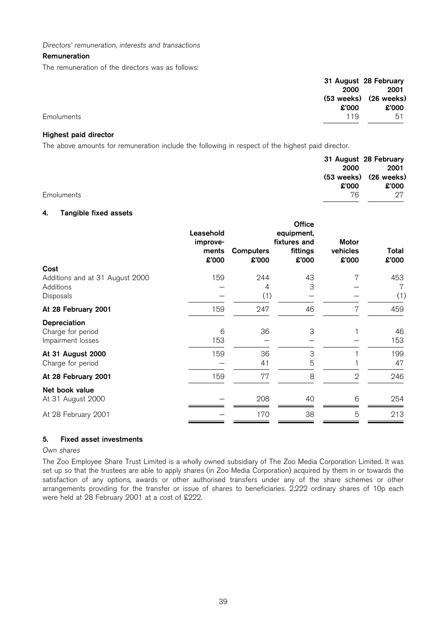#### Directors' remuneration, interests and transactions

#### Remuneration

The remuneration of the directors was as follows:

|            |       | 31 August 28 February                     |
|------------|-------|-------------------------------------------|
|            | 2000  | 2001                                      |
|            |       | $(53 \text{ weeks})$ $(26 \text{ weeks})$ |
|            | £'000 | £'000                                     |
| Emoluments | 119   | 51                                        |
|            |       |                                           |

# Highest paid director

The above amounts for remuneration include the following in respect of the highest paid director.

|            |       | 31 August 28 February |
|------------|-------|-----------------------|
|            | 2000  | 2001                  |
|            |       | (53 weeks) (26 weeks) |
|            | \$000 | \$000                 |
| Emoluments | 76    | 97                    |
|            |       |                       |

# 4. Tangible fixed assets

| Cost<br>Additions and at 31 August 2000                | Leasehold<br>improve-<br>ments<br>£'000<br>159 | Computers<br>£'000<br>244 | <b>Office</b><br>equipment,<br>fixtures and<br>fittings<br>£'000<br>43 | Motor<br>vehicles<br>£'000<br>7 | Total<br>£'000<br>453 |
|--------------------------------------------------------|------------------------------------------------|---------------------------|------------------------------------------------------------------------|---------------------------------|-----------------------|
| Additions<br>Disposals                                 |                                                | 4<br>(1)                  | 3                                                                      |                                 | 7<br>(1)              |
| At 28 February 2001                                    | 159                                            | 247                       | 46                                                                     | 7                               | 459                   |
| Depreciation<br>Charge for period<br>Impairment losses | 6<br>153                                       | 36                        | 3                                                                      |                                 | 46<br>153             |
| At 31 August 2000<br>Charge for period                 | 159                                            | 36<br>41                  | 3<br>5                                                                 |                                 | 199<br>47             |
| At 28 February 2001                                    | 159                                            | 77                        | 8                                                                      | $\mathbf 2$                     | 246                   |
| Net book value<br>At 31 August 2000                    |                                                | 208                       | 40                                                                     | 6                               | 254                   |
| At 28 February 2001                                    |                                                | 170                       | 38                                                                     | 5                               | 213                   |

# 5. Fixed asset investments

# Own shares

The Zoo Employee Share Trust Limited is a wholly owned subsidiary of The Zoo Media Corporation Limited. It was set up so that the trustees are able to apply shares (in Zoo Media Corporation) acquired by them in or towards the satisfaction of any options, awards or other authorised transfers under any of the share schemes or other arrangements providing for the transfer or issue of shares to beneficiaries. 2,222 ordinary shares of 10p each were held at 28 February 2001 at a cost of £222.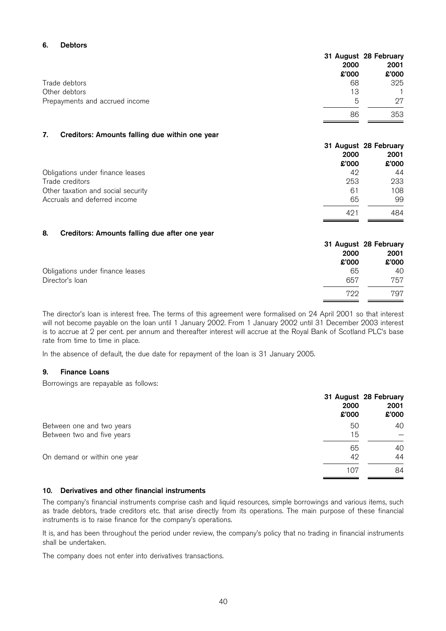# 6. Debtors

|                                |                | 31 August 28 February |
|--------------------------------|----------------|-----------------------|
|                                | 2000           | 2001                  |
|                                | \$'000         | \$'000                |
| Trade debtors                  | 68             | 325                   |
| Other debtors                  | 13             |                       |
| Prepayments and accrued income | $\overline{5}$ | 27                    |
|                                | 86             | 353                   |

#### 7. Creditors: Amounts falling due within one year

|                                    |      | 31 August 28 February  |
|------------------------------------|------|------------------------|
|                                    | 2000 | 2001<br>£'000<br>£'000 |
|                                    |      |                        |
| Obligations under finance leases   | 42   | 44                     |
| Trade creditors                    | 253  | 233                    |
| Other taxation and social security | 61   | 108                    |
| Accruals and deferred income       | 65   | 99                     |
|                                    | 491  | 484                    |

#### 8. Creditors: Amounts falling due after one year

|                                  |        | 31 August 28 February |
|----------------------------------|--------|-----------------------|
|                                  | 2000   | 2001                  |
|                                  | \$'000 | \$3000                |
| Obligations under finance leases | 65     | 40                    |
| Director's loan                  | 657    | 757                   |
|                                  | 799    | 797                   |

The director's loan is interest free. The terms of this agreement were formalised on 24 April 2001 so that interest will not become payable on the loan until 1 January 2002. From 1 January 2002 until 31 December 2003 interest is to accrue at 2 per cent. per annum and thereafter interest will accrue at the Royal Bank of Scotland PLC's base rate from time to time in place.

In the absence of default, the due date for repayment of the loan is 31 January 2005.

#### 9. Finance Loans

Borrowings are repayable as follows:

| 2000<br>\$'000                     | 31 August 28 February<br>2001<br>£'000 |
|------------------------------------|----------------------------------------|
| 50<br>Between one and two years    | 40                                     |
| 15<br>Between two and five years   |                                        |
| 65                                 | 40                                     |
| 42<br>On demand or within one year | 44                                     |
| 107                                | 84                                     |

## 10. Derivatives and other financial instruments

The company's financial instruments comprise cash and liquid resources, simple borrowings and various items, such as trade debtors, trade creditors etc. that arise directly from its operations. The main purpose of these financial instruments is to raise finance for the company's operations.

It is, and has been throughout the period under review, the company's policy that no trading in financial instruments shall be undertaken.

The company does not enter into derivatives transactions.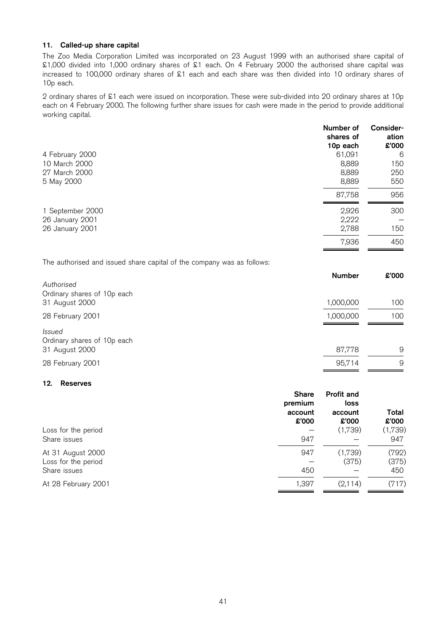# 11. Called-up share capital

The Zoo Media Corporation Limited was incorporated on 23 August 1999 with an authorised share capital of £1,000 divided into 1,000 ordinary shares of £1 each. On 4 February 2000 the authorised share capital was increased to 100,000 ordinary shares of £1 each and each share was then divided into 10 ordinary shares of 10p each.

2 ordinary shares of £1 each were issued on incorporation. These were sub-divided into 20 ordinary shares at 10p each on 4 February 2000. The following further share issues for cash were made in the period to provide additional working capital.

|                  | Number of<br>shares of<br>10p each | Consider-<br>ation<br>£'000 |
|------------------|------------------------------------|-----------------------------|
| 4 February 2000  | 61,091                             | 6                           |
| 10 March 2000    | 8,889                              | 150                         |
| 27 March 2000    | 8,889                              | 250                         |
| 5 May 2000       | 8,889                              | 550                         |
|                  | 87,758                             | 956                         |
| 1 September 2000 | 2,926                              | 300                         |
| 26 January 2001  | 2,222                              |                             |
| 26 January 2001  | 2,788                              | 150                         |
|                  | 7,936                              | 450                         |
|                  |                                    |                             |

The authorised and issued share capital of the company was as follows:

|                             | <b>Number</b> | \$000 |
|-----------------------------|---------------|-------|
| Authorised                  |               |       |
| Ordinary shares of 10p each |               |       |
| 31 August 2000              | 1,000,000     | 100   |
| 28 February 2001            | 1,000,000     | 100   |
| <i>Issued</i>               |               |       |
| Ordinary shares of 10p each |               |       |
| 31 August 2000              | 87,778        | 9     |
| 28 February 2001            | 95,714        | 9     |

# 12. Reserves

|                                                          | <b>Share</b><br>premium<br>account<br>£'000 | <b>Profit and</b><br>loss<br>account<br>\$'000 | Total<br>\$000        |
|----------------------------------------------------------|---------------------------------------------|------------------------------------------------|-----------------------|
| Loss for the period<br>Share issues                      | 947                                         | (1,739)                                        | (1,739)<br>947        |
| At 31 August 2000<br>Loss for the period<br>Share issues | 947<br>450                                  | (1,739)<br>(375)                               | (792)<br>(375)<br>450 |
| At 28 February 2001                                      | 1,397                                       | (2, 114)                                       | (717)                 |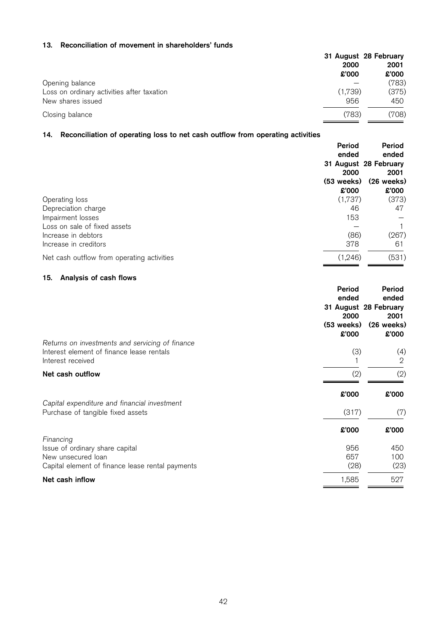# 13. Reconciliation of movement in shareholders' funds

|       | 31 August 28 February |
|-------|-----------------------|
| 2000  | 2001                  |
| £'000 | £'000                 |
|       | (783)                 |
|       | (375)                 |
| 956   | 450                   |
|       | (708)                 |
|       | (1,739)<br>(783)      |

# 14. Reconciliation of operating loss to net cash outflow from operating activities

|                                            | Period<br>ended              | Period<br>ended       |
|--------------------------------------------|------------------------------|-----------------------|
|                                            |                              | 31 August 28 February |
|                                            | 2000<br>$(53 \text{ weeks})$ | 2001<br>$(26$ weeks)  |
|                                            | £'000                        | \$000                 |
| Operating loss                             | (1,737)                      | (373)                 |
| Depreciation charge                        | 46                           | 47                    |
| Impairment losses                          | 153                          |                       |
| Loss on sale of fixed assets               |                              |                       |
| Increase in debtors                        | (86)                         | (267)                 |
| Increase in creditors                      | 378                          | 61                    |
| Net cash outflow from operating activities | (1,246)                      | (531)                 |

# 15. Analysis of cash flows

|                                                                                   | Period<br>ended<br>2000<br>$(53$ weeks)<br>£'000 | Period<br>ended<br>31 August 28 February<br>2001<br>$(26$ weeks)<br>£'000 |
|-----------------------------------------------------------------------------------|--------------------------------------------------|---------------------------------------------------------------------------|
| Returns on investments and servicing of finance                                   |                                                  |                                                                           |
| Interest element of finance lease rentals<br>Interest received                    | (3)                                              | (4)<br>2                                                                  |
| Net cash outflow                                                                  | (2)                                              | (2)                                                                       |
|                                                                                   | £'000                                            | \$000                                                                     |
| Capital expenditure and financial investment<br>Purchase of tangible fixed assets | (317)                                            | (7)                                                                       |
|                                                                                   | £'000                                            | \$000                                                                     |
| Financing                                                                         | 956                                              | 450                                                                       |
| Issue of ordinary share capital<br>New unsecured loan                             | 657                                              | 100                                                                       |
| Capital element of finance lease rental payments                                  | (28)                                             | (23)                                                                      |
| Net cash inflow                                                                   | 1,585                                            | 527                                                                       |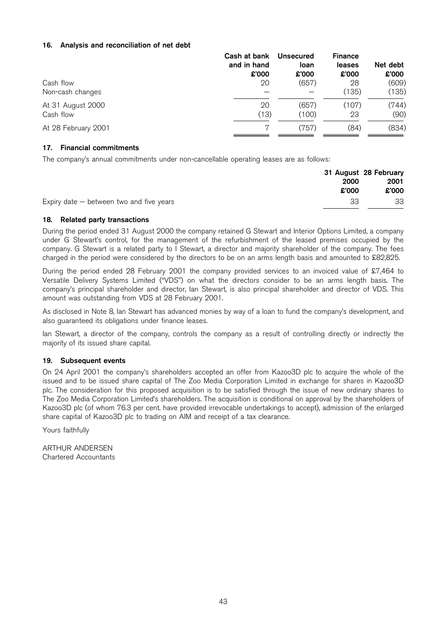# 16. Analysis and reconciliation of net debt

|                                | Cash at bank<br>and in hand<br>\$'000 | Unsecured<br>loan<br>£'000 | <b>Finance</b><br>leases<br>\$'000 | Net debt<br>£'000 |
|--------------------------------|---------------------------------------|----------------------------|------------------------------------|-------------------|
| Cash flow<br>Non-cash changes  | 20                                    | (657)                      | 28<br>(135)                        | (609)<br>(135)    |
| At 31 August 2000<br>Cash flow | 20<br>(13)                            | (657)<br>(100)             | (107)<br>23                        | (744)<br>(90)     |
| At 28 February 2001            |                                       | (757)                      | (84)                               | (834)             |

# 17. Financial commitments

The company's annual commitments under non-cancellable operating leases are as follows:

| 2000<br>£'000 |                                            |    | 31 August 28 February |
|---------------|--------------------------------------------|----|-----------------------|
|               |                                            |    | 2001                  |
|               |                                            |    | £'000                 |
|               | Expiry date $-$ between two and five years | 33 | 33                    |

# 18. Related party transactions

During the period ended 31 August 2000 the company retained G Stewart and Interior Options Limited, a company under G Stewart's control, for the management of the refurbishment of the leased premises occupied by the company. G Stewart is a related party to I Stewart, a director and majority shareholder of the company. The fees charged in the period were considered by the directors to be on an arms length basis and amounted to £82,825.

During the period ended 28 February 2001 the company provided services to an invoiced value of £7,464 to Versatile Delivery Systems Limited ("VDS") on what the directors consider to be an arms length basis. The company's principal shareholder and director, Ian Stewart, is also principal shareholder and director of VDS. This amount was outstanding from VDS at 28 February 2001.

As disclosed in Note 8, Ian Stewart has advanced monies by way of a loan to fund the company's development, and also guaranteed its obligations under finance leases.

Ian Stewart, a director of the company, controls the company as a result of controlling directly or indirectly the majority of its issued share capital.

#### 19. Subsequent events

On 24 April 2001 the company's shareholders accepted an offer from Kazoo3D plc to acquire the whole of the issued and to be issued share capital of The Zoo Media Corporation Limited in exchange for shares in Kazoo3D plc. The consideration for this proposed acquisition is to be satisfied through the issue of new ordinary shares to The Zoo Media Corporation Limited's shareholders. The acquisition is conditional on approval by the shareholders of Kazoo3D plc (of whom 76.3 per cent. have provided irrevocable undertakings to accept), admission of the enlarged share capital of Kazoo3D plc to trading on AIM and receipt of a tax clearance.

Yours faithfully

ARTHUR ANDERSEN Chartered Accountants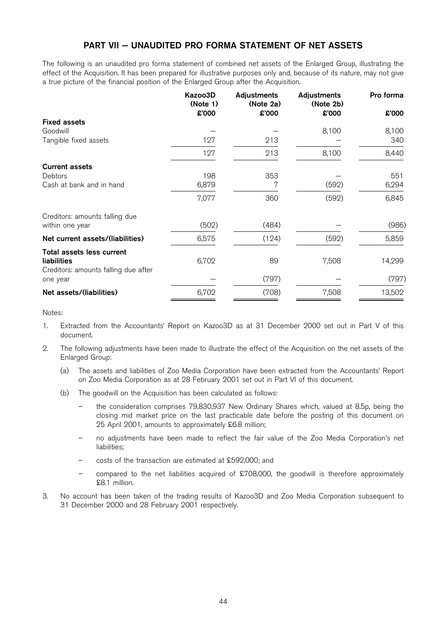# PART VII - UNAUDITED PRO FORMA STATEMENT OF NET ASSETS

The following is an unaudited pro forma statement of combined net assets of the Enlarged Group, illustrating the effect of the Acquisition. It has been prepared for illustrative purposes only and, because of its nature, may not give a true picture of the financial position of the Enlarged Group after the Acquisition.

|                                      | Kazoo3D<br>(Note 1) | Adjustments<br>(Note 2a) | <b>Adjustments</b><br>(Note 2b) | Pro forma |
|--------------------------------------|---------------------|--------------------------|---------------------------------|-----------|
| <b>Fixed assets</b>                  | £'000               | £'000                    | £'000                           | £'000     |
| Goodwill                             |                     |                          | 8,100                           | 8,100     |
| Tangible fixed assets                | 127                 | 213                      |                                 | 340       |
|                                      | 127                 | 213                      | 8,100                           | 8,440     |
| <b>Current assets</b>                |                     |                          |                                 |           |
| Debtors                              | 198                 | 353                      |                                 | 551       |
| Cash at bank and in hand             | 6,879               | 7                        | (592)                           | 6,294     |
|                                      | 7,077               | 360                      | (592)                           | 6,845     |
| Creditors: amounts falling due       |                     |                          |                                 |           |
| within one year                      | (502)               | (484)                    |                                 | (986)     |
| Net current assets/(liabilities)     | 6,575               | (124)                    | (592)                           | 5,859     |
| Total assets less current            |                     |                          |                                 |           |
| liabilities                          | 6,702               | 89                       | 7,508                           | 14,299    |
| Creditors: amounts falling due after |                     |                          |                                 |           |
| one year                             |                     | (797)                    |                                 | (797)     |
| Net assets/(liabilities)             | 6,702               | (708)                    | 7,508                           | 13,502    |

Notes:

- 1. Extracted from the Accountants' Report on Kazoo3D as at 31 December 2000 set out in Part V of this document.
- 2. The following adjustments have been made to illustrate the effect of the Acquisition on the net assets of the Enlarged Group:
	- (a) The assets and liabilities of Zoo Media Corporation have been extracted from the Accountants' Report on Zoo Media Corporation as at 28 February 2001 set out in Part VI of this document.
	- (b) The goodwill on the Acquisition has been calculated as follows:
		- the consideration comprises 79,830,937 New Ordinary Shares which, valued at 8.5p, being the closing mid market price on the last practicable date before the posting of this document on 25 April 2001, amounts to approximately £6.8 million;
		- no adjustments have been made to reflect the fair value of the Zoo Media Corporation's net liabilities;
		- costs of the transaction are estimated at £592,000; and
		- compared to the net liabilities acquired of £708,000, the goodwill is therefore approximately £8.1 million.
- 3. No account has been taken of the trading results of Kazoo3D and Zoo Media Corporation subsequent to 31 December 2000 and 28 February 2001 respectively.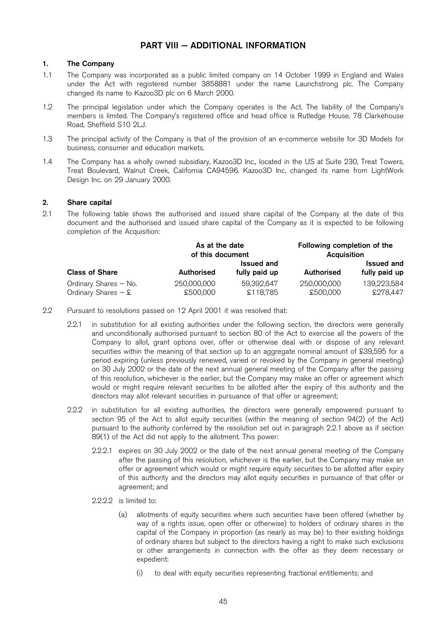# PART VIII - ADDITIONAL INFORMATION

# 1. The Company

- 1.1 The Company was incorporated as a public limited company on 14 October 1999 in England and Wales under the Act with registered number 3858881 under the name Launchstrong plc. The Company changed its name to Kazoo3D plc on 6 March 2000.
- 1.2 The principal legislation under which the Company operates is the Act. The liability of the Company's members is limited. The Company's registered office and head office is Rutledge House, 78 Clarkehouse Road, Sheffield S10 2LJ.
- 1.3 The principal activity of the Company is that of the provision of an e-commerce website for 3D Models for business, consumer and education markets.
- 1.4 The Company has a wholly owned subsidiary, Kazoo3D Inc., located in the US at Suite 230, Treat Towers, Treat Boulevard, Walnut Creek, California CA94596. Kazoo3D Inc. changed its name from LightWork Design Inc. on 29 January 2000.

# 2. Share capital

2.1 The following table shows the authorised and issued share capital of the Company at the date of this document and the authorised and issued share capital of the Company as it is expected to be following completion of the Acquisition:

|                                                |                         | As at the date<br>of this document |                         | Following completion of the<br>Acquisition |  |
|------------------------------------------------|-------------------------|------------------------------------|-------------------------|--------------------------------------------|--|
| <b>Class of Share</b>                          | <b>Authorised</b>       | <b>Issued and</b><br>fully paid up | <b>Authorised</b>       | <b>Issued and</b><br>fully paid up         |  |
| Ordinary Shares - No.<br>Ordinary Shares $-$ £ | 250,000,000<br>£500,000 | 59,392,647<br>£118,785             | 250,000,000<br>£500,000 | 139,223,584<br>£278.447                    |  |

- 2.2 Pursuant to resolutions passed on 12 April 2001 it was resolved that:
	- 2.2.1 in substitution for all existing authorities under the following section, the directors were generally and unconditionally authorised pursuant to section 80 of the Act to exercise all the powers of the Company to allot, grant options over, offer or otherwise deal with or dispose of any relevant securities within the meaning of that section up to an aggregate nominal amount of £39,595 for a period expiring (unless previously renewed, varied or revoked by the Company in general meeting) on 30 July 2002 or the date of the next annual general meeting of the Company after the passing of this resolution, whichever is the earlier, but the Company may make an offer or agreement which would or might require relevant securities to be allotted after the expiry of this authority and the directors may allot relevant securities in pursuance of that offer or agreement;
	- 2.2.2 in substitution for all existing authorities, the directors were generally empowered pursuant to section 95 of the Act to allot equity securities (within the meaning of section 94(2) of the Act) pursuant to the authority conferred by the resolution set out in paragraph 2.2.1 above as if section 89(1) of the Act did not apply to the allotment. This power:
		- 2.2.2.1 expires on 30 July 2002 or the date of the next annual general meeting of the Company after the passing of this resolution, whichever is the earlier, but the Company may make an offer or agreement which would or might require equity securities to be allotted after expiry of this authority and the directors may allot equity securities in pursuance of that offer or agreement; and
		- 2.2.2.2 is limited to:
			- (a) allotments of equity securities where such securities have been offered (whether by way of a rights issue, open offer or otherwise) to holders of ordinary shares in the capital of the Company in proportion (as nearly as may be) to their existing holdings of ordinary shares but subject to the directors having a right to make such exclusions or other arrangements in connection with the offer as they deem necessary or expedient:
				- (i) to deal with equity securities representing fractional entitlements; and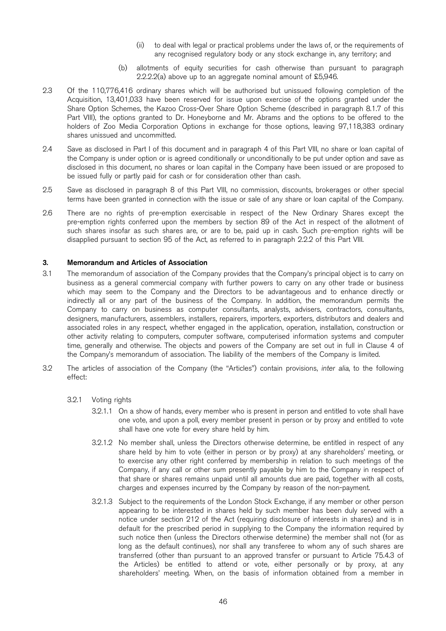- (ii) to deal with legal or practical problems under the laws of, or the requirements of any recognised regulatory body or any stock exchange in, any territory; and
- (b) allotments of equity securities for cash otherwise than pursuant to paragraph 2.2.2.2(a) above up to an aggregate nominal amount of £5,946.
- 2.3 Of the 110,776,416 ordinary shares which will be authorised but unissued following completion of the Acquisition, 13,401,033 have been reserved for issue upon exercise of the options granted under the Share Option Schemes, the Kazoo Cross-Over Share Option Scheme (described in paragraph 8.1.7 of this Part VIII), the options granted to Dr. Honeyborne and Mr. Abrams and the options to be offered to the holders of Zoo Media Corporation Options in exchange for those options, leaving 97,118,383 ordinary shares unissued and uncommitted.
- 2.4 Save as disclosed in Part I of this document and in paragraph 4 of this Part VIII, no share or loan capital of the Company is under option or is agreed conditionally or unconditionally to be put under option and save as disclosed in this document, no shares or loan capital in the Company have been issued or are proposed to be issued fully or partly paid for cash or for consideration other than cash.
- 2.5 Save as disclosed in paragraph 8 of this Part VIII, no commission, discounts, brokerages or other special terms have been granted in connection with the issue or sale of any share or loan capital of the Company.
- 2.6 There are no rights of pre-emption exercisable in respect of the New Ordinary Shares except the pre-emption rights conferred upon the members by section 89 of the Act in respect of the allotment of such shares insofar as such shares are, or are to be, paid up in cash. Such pre-emption rights will be disapplied pursuant to section 95 of the Act, as referred to in paragraph 2.2.2 of this Part VIII.

# 3. Memorandum and Articles of Association

- 3.1 The memorandum of association of the Company provides that the Company's principal object is to carry on business as a general commercial company with further powers to carry on any other trade or business which may seem to the Company and the Directors to be advantageous and to enhance directly or indirectly all or any part of the business of the Company. In addition, the memorandum permits the Company to carry on business as computer consultants, analysts, advisers, contractors, consultants, designers, manufacturers, assemblers, installers, repairers, importers, exporters, distributors and dealers and associated roles in any respect, whether engaged in the application, operation, installation, construction or other activity relating to computers, computer software, computerised information systems and computer time, generally and otherwise. The objects and powers of the Company are set out in full in Clause 4 of the Company's memorandum of association. The liability of the members of the Company is limited.
- 3.2 The articles of association of the Company (the "Articles") contain provisions, inter alia, to the following effect:
	- 3.2.1 Voting rights
		- 3.2.1.1 On a show of hands, every member who is present in person and entitled to vote shall have one vote, and upon a poll, every member present in person or by proxy and entitled to vote shall have one vote for every share held by him.
		- 3.2.1.2 No member shall, unless the Directors otherwise determine, be entitled in respect of any share held by him to vote (either in person or by proxy) at any shareholders' meeting, or to exercise any other right conferred by membership in relation to such meetings of the Company, if any call or other sum presently payable by him to the Company in respect of that share or shares remains unpaid until all amounts due are paid, together with all costs, charges and expenses incurred by the Company by reason of the non-payment.
		- 3.2.1.3 Subject to the requirements of the London Stock Exchange, if any member or other person appearing to be interested in shares held by such member has been duly served with a notice under section 212 of the Act (requiring disclosure of interests in shares) and is in default for the prescribed period in supplying to the Company the information required by such notice then (unless the Directors otherwise determine) the member shall not (for as long as the default continues), nor shall any transferee to whom any of such shares are transferred (other than pursuant to an approved transfer or pursuant to Article 75.4.3 of the Articles) be entitled to attend or vote, either personally or by proxy, at any shareholders' meeting. When, on the basis of information obtained from a member in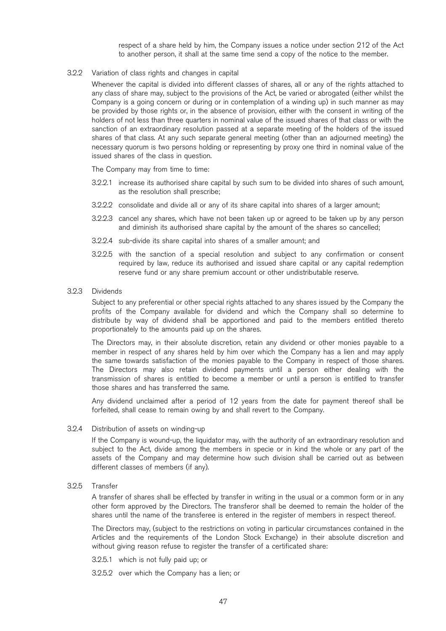respect of a share held by him, the Company issues a notice under section 212 of the Act to another person, it shall at the same time send a copy of the notice to the member.

# 3.2.2 Variation of class rights and changes in capital

Whenever the capital is divided into different classes of shares, all or any of the rights attached to any class of share may, subject to the provisions of the Act, be varied or abrogated (either whilst the Company is a going concern or during or in contemplation of a winding up) in such manner as may be provided by those rights or, in the absence of provision, either with the consent in writing of the holders of not less than three quarters in nominal value of the issued shares of that class or with the sanction of an extraordinary resolution passed at a separate meeting of the holders of the issued shares of that class. At any such separate general meeting (other than an adjourned meeting) the necessary quorum is two persons holding or representing by proxy one third in nominal value of the issued shares of the class in question.

The Company may from time to time:

- 3.2.2.1 increase its authorised share capital by such sum to be divided into shares of such amount, as the resolution shall prescribe;
- 3.2.2.2 consolidate and divide all or any of its share capital into shares of a larger amount;
- 3.2.2.3 cancel any shares, which have not been taken up or agreed to be taken up by any person and diminish its authorised share capital by the amount of the shares so cancelled;
- 3.2.2.4 sub-divide its share capital into shares of a smaller amount; and
- 3.2.2.5 with the sanction of a special resolution and subject to any confirmation or consent required by law, reduce its authorised and issued share capital or any capital redemption reserve fund or any share premium account or other undistributable reserve.
- 3.2.3 Dividends

Subject to any preferential or other special rights attached to any shares issued by the Company the profits of the Company available for dividend and which the Company shall so determine to distribute by way of dividend shall be apportioned and paid to the members entitled thereto proportionately to the amounts paid up on the shares.

The Directors may, in their absolute discretion, retain any dividend or other monies payable to a member in respect of any shares held by him over which the Company has a lien and may apply the same towards satisfaction of the monies payable to the Company in respect of those shares. The Directors may also retain dividend payments until a person either dealing with the transmission of shares is entitled to become a member or until a person is entitled to transfer those shares and has transferred the same.

Any dividend unclaimed after a period of 12 years from the date for payment thereof shall be forfeited, shall cease to remain owing by and shall revert to the Company.

#### 3.2.4 Distribution of assets on winding-up

If the Company is wound-up, the liquidator may, with the authority of an extraordinary resolution and subject to the Act, divide among the members in specie or in kind the whole or any part of the assets of the Company and may determine how such division shall be carried out as between different classes of members (if any).

#### 3.2.5 Transfer

A transfer of shares shall be effected by transfer in writing in the usual or a common form or in any other form approved by the Directors. The transferor shall be deemed to remain the holder of the shares until the name of the transferee is entered in the register of members in respect thereof.

The Directors may, (subject to the restrictions on voting in particular circumstances contained in the Articles and the requirements of the London Stock Exchange) in their absolute discretion and without giving reason refuse to register the transfer of a certificated share:

- 3.2.5.1 which is not fully paid up; or
- 3.2.5.2 over which the Company has a lien; or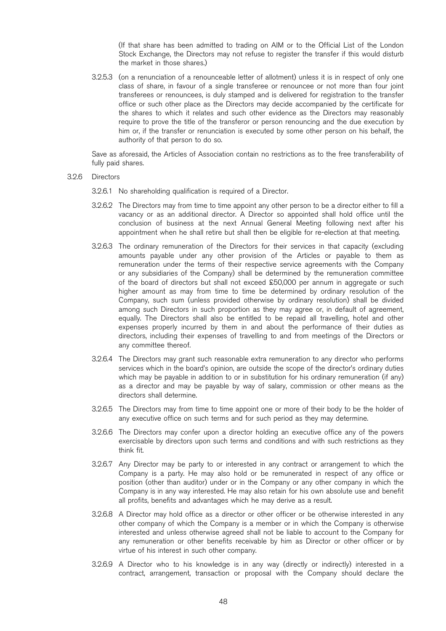(If that share has been admitted to trading on AIM or to the Official List of the London Stock Exchange, the Directors may not refuse to register the transfer if this would disturb the market in those shares.)

3.2.5.3 (on a renunciation of a renounceable letter of allotment) unless it is in respect of only one class of share, in favour of a single transferee or renouncee or not more than four joint transferees or renouncees, is duly stamped and is delivered for registration to the transfer office or such other place as the Directors may decide accompanied by the certificate for the shares to which it relates and such other evidence as the Directors may reasonably require to prove the title of the transferor or person renouncing and the due execution by him or, if the transfer or renunciation is executed by some other person on his behalf, the authority of that person to do so.

Save as aforesaid, the Articles of Association contain no restrictions as to the free transferability of fully paid shares.

- 3.2.6 Directors
	- 3.2.6.1 No shareholding qualification is required of a Director.
	- 3.2.6.2 The Directors may from time to time appoint any other person to be a director either to fill a vacancy or as an additional director. A Director so appointed shall hold office until the conclusion of business at the next Annual General Meeting following next after his appointment when he shall retire but shall then be eligible for re-election at that meeting.
	- 3.2.6.3 The ordinary remuneration of the Directors for their services in that capacity (excluding amounts payable under any other provision of the Articles or payable to them as remuneration under the terms of their respective service agreements with the Company or any subsidiaries of the Company) shall be determined by the remuneration committee of the board of directors but shall not exceed £50,000 per annum in aggregate or such higher amount as may from time to time be determined by ordinary resolution of the Company, such sum (unless provided otherwise by ordinary resolution) shall be divided among such Directors in such proportion as they may agree or, in default of agreement, equally. The Directors shall also be entitled to be repaid all travelling, hotel and other expenses properly incurred by them in and about the performance of their duties as directors, including their expenses of travelling to and from meetings of the Directors or any committee thereof.
	- 3.2.6.4 The Directors may grant such reasonable extra remuneration to any director who performs services which in the board's opinion, are outside the scope of the director's ordinary duties which may be payable in addition to or in substitution for his ordinary remuneration (if any) as a director and may be payable by way of salary, commission or other means as the directors shall determine.
	- 3.2.6.5 The Directors may from time to time appoint one or more of their body to be the holder of any executive office on such terms and for such period as they may determine.
	- 3.2.6.6 The Directors may confer upon a director holding an executive office any of the powers exercisable by directors upon such terms and conditions and with such restrictions as they think fit.
	- 3.2.6.7 Any Director may be party to or interested in any contract or arrangement to which the Company is a party. He may also hold or be remunerated in respect of any office or position (other than auditor) under or in the Company or any other company in which the Company is in any way interested. He may also retain for his own absolute use and benefit all profits, benefits and advantages which he may derive as a result.
	- 3.2.6.8 A Director may hold office as a director or other officer or be otherwise interested in any other company of which the Company is a member or in which the Company is otherwise interested and unless otherwise agreed shall not be liable to account to the Company for any remuneration or other benefits receivable by him as Director or other officer or by virtue of his interest in such other company.
	- 3.2.6.9 A Director who to his knowledge is in any way (directly or indirectly) interested in a contract, arrangement, transaction or proposal with the Company should declare the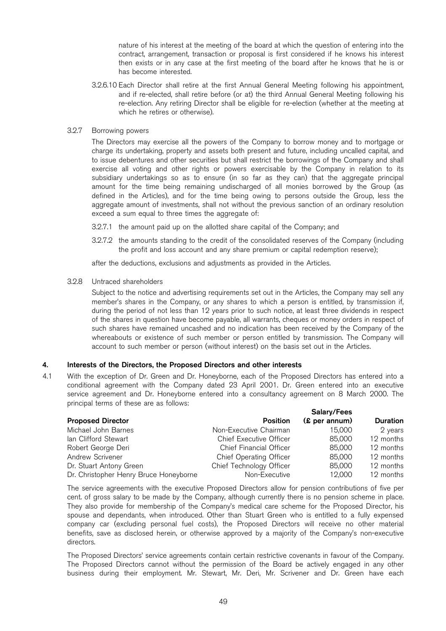nature of his interest at the meeting of the board at which the question of entering into the contract, arrangement, transaction or proposal is first considered if he knows his interest then exists or in any case at the first meeting of the board after he knows that he is or has become interested.

3.2.6.10 Each Director shall retire at the first Annual General Meeting following his appointment, and if re-elected, shall retire before (or at) the third Annual General Meeting following his re-election. Any retiring Director shall be eligible for re-election (whether at the meeting at which he retires or otherwise).

# 3.2.7 Borrowing powers

The Directors may exercise all the powers of the Company to borrow money and to mortgage or charge its undertaking, property and assets both present and future, including uncalled capital, and to issue debentures and other securities but shall restrict the borrowings of the Company and shall exercise all voting and other rights or powers exercisable by the Company in relation to its subsidiary undertakings so as to ensure (in so far as they can) that the aggregate principal amount for the time being remaining undischarged of all monies borrowed by the Group (as defined in the Articles), and for the time being owing to persons outside the Group, less the aggregate amount of investments, shall not without the previous sanction of an ordinary resolution exceed a sum equal to three times the aggregate of:

- 3.2.7.1 the amount paid up on the allotted share capital of the Company; and
- 3.2.7.2 the amounts standing to the credit of the consolidated reserves of the Company (including the profit and loss account and any share premium or capital redemption reserve);

after the deductions, exclusions and adjustments as provided in the Articles.

#### 3.2.8 Untraced shareholders

Subject to the notice and advertising requirements set out in the Articles, the Company may sell any member's shares in the Company, or any shares to which a person is entitled, by transmission if, during the period of not less than 12 years prior to such notice, at least three dividends in respect of the shares in question have become payable, all warrants, cheques or money orders in respect of such shares have remained uncashed and no indication has been received by the Company of the whereabouts or existence of such member or person entitled by transmission. The Company will account to such member or person (without interest) on the basis set out in the Articles.

# 4. Interests of the Directors, the Proposed Directors and other interests

4.1 With the exception of Dr. Green and Dr. Honeyborne, each of the Proposed Directors has entered into a conditional agreement with the Company dated 23 April 2001. Dr. Green entered into an executive service agreement and Dr. Honeyborne entered into a consultancy agreement on 8 March 2000. The principal terms of these are as follows:

|                                        |                                | Salary/Fees    |                 |
|----------------------------------------|--------------------------------|----------------|-----------------|
| <b>Proposed Director</b>               | <b>Position</b>                | $$$ per annum) | <b>Duration</b> |
| Michael John Barnes                    | Non-Executive Chairman         | 15,000         | 2 years         |
| lan Clifford Stewart                   | <b>Chief Executive Officer</b> | 85,000         | 12 months       |
| Robert George Deri                     | <b>Chief Financial Officer</b> | 85,000         | 12 months       |
| <b>Andrew Scrivener</b>                | Chief Operating Officer        | 85,000         | 12 months       |
| Dr. Stuart Antony Green                | Chief Technology Officer       | 85,000         | 12 months       |
| Dr. Christopher Henry Bruce Honeyborne | Non-Executive                  | 12,000         | 12 months       |

The service agreements with the executive Proposed Directors allow for pension contributions of five per cent. of gross salary to be made by the Company, although currently there is no pension scheme in place. They also provide for membership of the Company's medical care scheme for the Proposed Director, his spouse and dependants, when introduced. Other than Stuart Green who is entitled to a fully expensed company car (excluding personal fuel costs), the Proposed Directors will receive no other material benefits, save as disclosed herein, or otherwise approved by a majority of the Company's non-executive directors.

The Proposed Directors' service agreements contain certain restrictive covenants in favour of the Company. The Proposed Directors cannot without the permission of the Board be actively engaged in any other business during their employment. Mr. Stewart, Mr. Deri, Mr. Scrivener and Dr. Green have each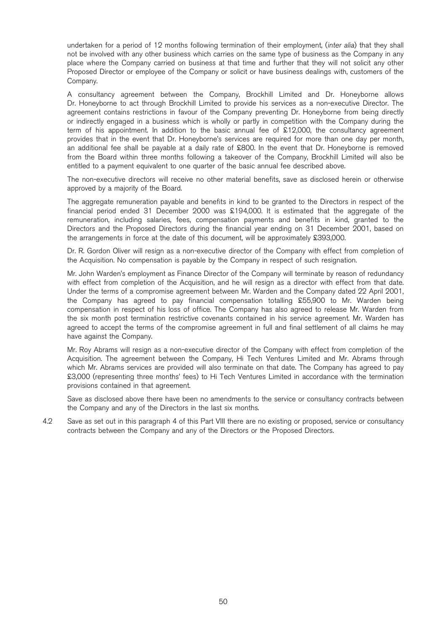undertaken for a period of 12 months following termination of their employment, (inter alia) that they shall not be involved with any other business which carries on the same type of business as the Company in any place where the Company carried on business at that time and further that they will not solicit any other Proposed Director or employee of the Company or solicit or have business dealings with, customers of the Company.

A consultancy agreement between the Company, Brockhill Limited and Dr. Honeyborne allows Dr. Honeyborne to act through Brockhill Limited to provide his services as a non-executive Director. The agreement contains restrictions in favour of the Company preventing Dr. Honeyborne from being directly or indirectly engaged in a business which is wholly or partly in competition with the Company during the term of his appointment. In addition to the basic annual fee of £12,000, the consultancy agreement provides that in the event that Dr. Honeyborne's services are required for more than one day per month, an additional fee shall be payable at a daily rate of £800. In the event that Dr. Honeyborne is removed from the Board within three months following a takeover of the Company, Brockhill Limited will also be entitled to a payment equivalent to one quarter of the basic annual fee described above.

The non-executive directors will receive no other material benefits, save as disclosed herein or otherwise approved by a majority of the Board.

The aggregate remuneration payable and benefits in kind to be granted to the Directors in respect of the financial period ended 31 December 2000 was  $\pounds$ 194,000. It is estimated that the aggregate of the remuneration, including salaries, fees, compensation payments and benefits in kind, granted to the Directors and the Proposed Directors during the financial year ending on 31 December 2001, based on the arrangements in force at the date of this document, will be approximately £393,000.

Dr. R. Gordon Oliver will resign as a non-executive director of the Company with effect from completion of the Acquisition. No compensation is payable by the Company in respect of such resignation.

Mr. John Warden's employment as Finance Director of the Company will terminate by reason of redundancy with effect from completion of the Acquisition, and he will resign as a director with effect from that date. Under the terms of a compromise agreement between Mr. Warden and the Company dated 22 April 2001, the Company has agreed to pay financial compensation totalling  $$55,900$  to Mr. Warden being compensation in respect of his loss of office. The Company has also agreed to release Mr. Warden from the six month post termination restrictive covenants contained in his service agreement. Mr. Warden has agreed to accept the terms of the compromise agreement in full and final settlement of all claims he may have against the Company.

Mr. Roy Abrams will resign as a non-executive director of the Company with effect from completion of the Acquisition. The agreement between the Company, Hi Tech Ventures Limited and Mr. Abrams through which Mr. Abrams services are provided will also terminate on that date. The Company has agreed to pay £3,000 (representing three months' fees) to Hi Tech Ventures Limited in accordance with the termination provisions contained in that agreement.

Save as disclosed above there have been no amendments to the service or consultancy contracts between the Company and any of the Directors in the last six months.

4.2 Save as set out in this paragraph 4 of this Part VIII there are no existing or proposed, service or consultancy contracts between the Company and any of the Directors or the Proposed Directors.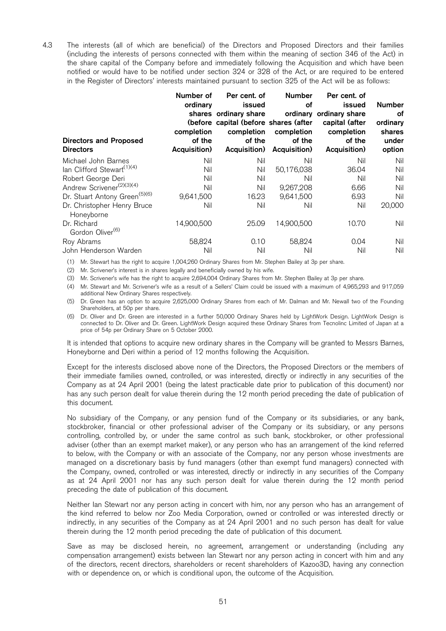4.3 The interests (all of which are beneficial) of the Directors and Proposed Directors and their families (including the interests of persons connected with them within the meaning of section 346 of the Act) in the share capital of the Company before and immediately following the Acquisition and which have been notified or would have to be notified under section 324 or 328 of the Act, or are required to be entered in the Register of Directors' interests maintained pursuant to section 325 of the Act will be as follows:

| <b>Directors and Proposed</b><br><b>Directors</b> | Number of<br>ordinary<br>completion<br>of the<br>Acquisition) | Per cent. of<br>issued<br>shares ordinary share<br>(before capital (before shares (after<br>completion<br>of the<br>Acquisition) | <b>Number</b><br>оf<br>completion<br>of the<br>Acquisition) | Per cent. of<br>issued<br>ordinary ordinary share<br>capital (after<br>completion<br>of the<br>Acquisition) | <b>Number</b><br>οf<br>ordinary<br>shares<br>under<br>option |
|---------------------------------------------------|---------------------------------------------------------------|----------------------------------------------------------------------------------------------------------------------------------|-------------------------------------------------------------|-------------------------------------------------------------------------------------------------------------|--------------------------------------------------------------|
| Michael John Barnes                               | Nil                                                           | Nil                                                                                                                              | Nil                                                         | Nil                                                                                                         | Nil                                                          |
| lan Clifford Stewart <sup>(1)(4)</sup>            | Nil                                                           | Nil                                                                                                                              | 50,176,038                                                  | 36.04                                                                                                       | Nil                                                          |
| Robert George Deri                                | Nil                                                           | Nil                                                                                                                              | Nil                                                         | Nil                                                                                                         | Nil                                                          |
| Andrew Scrivener <sup>(2)(3)(4)</sup>             | Nil                                                           | Nil                                                                                                                              | 9,267,208                                                   | 6.66                                                                                                        | Nil                                                          |
| Dr. Stuart Antony Green <sup>(5)(6)</sup>         | 9,641,500                                                     | 16.23                                                                                                                            | 9,641,500                                                   | 6.93                                                                                                        | Nil                                                          |
| Dr. Christopher Henry Bruce<br>Honeyborne         | Nil                                                           | Nil                                                                                                                              | Nil                                                         | Nil                                                                                                         | 20,000                                                       |
| Dr. Richard<br>Gordon Oliver <sup>(6)</sup>       | 14,900,500                                                    | 25.09                                                                                                                            | 14,900,500                                                  | 10.70                                                                                                       | Nil                                                          |
| Roy Abrams                                        | 58,824                                                        | 0.10                                                                                                                             | 58,824                                                      | 0.04                                                                                                        | Nil                                                          |
| John Henderson Warden                             | Nil                                                           | Nil                                                                                                                              | Nil                                                         | Nil                                                                                                         | Nil                                                          |

(1) Mr. Stewart has the right to acquire 1,004,260 Ordinary Shares from Mr. Stephen Bailey at 3p per share.

(2) Mr. Scrivener's interest is in shares legally and beneficially owned by his wife.

(3) Mr. Scrivener's wife has the right to acquire 2,694,004 Ordinary Shares from Mr. Stephen Bailey at 3p per share.

(4) Mr. Stewart and Mr. Scrivener's wife as a result of a Sellers' Claim could be issued with a maximum of 4,965,293 and 917,059 additional New Ordinary Shares respectively.

(5) Dr. Green has an option to acquire 2,625,000 Ordinary Shares from each of Mr. Dalman and Mr. Newall two of the Founding Shareholders, at 50p per share.

(6) Dr. Oliver and Dr. Green are interested in a further 50,000 Ordinary Shares held by LightWork Design. LightWork Design is connected to Dr. Oliver and Dr. Green. LightWork Design acquired these Ordinary Shares from Tecnolinc Limited of Japan at a price of 54p per Ordinary Share on 5 October 2000.

It is intended that options to acquire new ordinary shares in the Company will be granted to Messrs Barnes, Honeyborne and Deri within a period of 12 months following the Acquisition.

Except for the interests disclosed above none of the Directors, the Proposed Directors or the members of their immediate families owned, controlled, or was interested, directly or indirectly in any securities of the Company as at 24 April 2001 (being the latest practicable date prior to publication of this document) nor has any such person dealt for value therein during the 12 month period preceding the date of publication of this document.

No subsidiary of the Company, or any pension fund of the Company or its subsidiaries, or any bank, stockbroker, financial or other professional adviser of the Company or its subsidiary, or any persons controlling, controlled by, or under the same control as such bank, stockbroker, or other professional adviser (other than an exempt market maker), or any person who has an arrangement of the kind referred to below, with the Company or with an associate of the Company, nor any person whose investments are managed on a discretionary basis by fund managers (other than exempt fund managers) connected with the Company, owned, controlled or was interested, directly or indirectly in any securities of the Company as at 24 April 2001 nor has any such person dealt for value therein during the 12 month period preceding the date of publication of this document.

Neither Ian Stewart nor any person acting in concert with him, nor any person who has an arrangement of the kind referred to below nor Zoo Media Corporation, owned or controlled or was interested directly or indirectly, in any securities of the Company as at 24 April 2001 and no such person has dealt for value therein during the 12 month period preceding the date of publication of this document.

Save as may be disclosed herein, no agreement, arrangement or understanding (including any compensation arrangement) exists between Ian Stewart nor any person acting in concert with him and any of the directors, recent directors, shareholders or recent shareholders of Kazoo3D, having any connection with or dependence on, or which is conditional upon, the outcome of the Acquisition.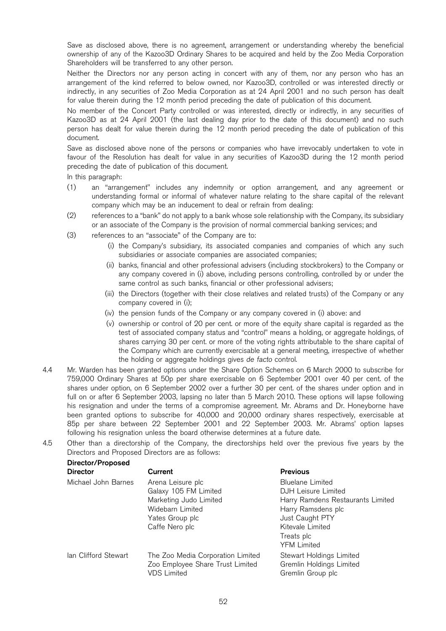Save as disclosed above, there is no agreement, arrangement or understanding whereby the beneficial ownership of any of the Kazoo3D Ordinary Shares to be acquired and held by the Zoo Media Corporation Shareholders will be transferred to any other person.

Neither the Directors nor any person acting in concert with any of them, nor any person who has an arrangement of the kind referred to below owned, nor Kazoo3D, controlled or was interested directly or indirectly, in any securities of Zoo Media Corporation as at 24 April 2001 and no such person has dealt for value therein during the 12 month period preceding the date of publication of this document.

No member of the Concert Party controlled or was interested, directly or indirectly, in any securities of Kazoo3D as at 24 April 2001 (the last dealing day prior to the date of this document) and no such person has dealt for value therein during the 12 month period preceding the date of publication of this document.

Save as disclosed above none of the persons or companies who have irrevocably undertaken to vote in favour of the Resolution has dealt for value in any securities of Kazoo3D during the 12 month period preceding the date of publication of this document.

In this paragraph:

- (1) an ``arrangement'' includes any indemnity or option arrangement, and any agreement or understanding formal or informal of whatever nature relating to the share capital of the relevant company which may be an inducement to deal or refrain from dealing:
- (2) references to a "bank" do not apply to a bank whose sole relationship with the Company, its subsidiary or an associate of the Company is the provision of normal commercial banking services; and
- (3) references to an "associate" of the Company are to:
	- (i) the Company's subsidiary, its associated companies and companies of which any such subsidiaries or associate companies are associated companies;
	- (ii) banks, financial and other professional advisers (including stockbrokers) to the Company or any company covered in (i) above, including persons controlling, controlled by or under the same control as such banks, financial or other professional advisers;
	- (iii) the Directors (together with their close relatives and related trusts) of the Company or any company covered in (i);
	- (iv) the pension funds of the Company or any company covered in (i) above: and
	- (v) ownership or control of 20 per cent. or more of the equity share capital is regarded as the test of associated company status and "control" means a holding, or aggregate holdings, of shares carrying 30 per cent. or more of the voting rights attributable to the share capital of the Company which are currently exercisable at a general meeting, irrespective of whether the holding or aggregate holdings gives de facto control.
- 4.4 Mr. Warden has been granted options under the Share Option Schemes on 6 March 2000 to subscribe for 759,000 Ordinary Shares at 50p per share exercisable on 6 September 2001 over 40 per cent. of the shares under option, on 6 September 2002 over a further 30 per cent. of the shares under option and in full on or after 6 September 2003, lapsing no later than 5 March 2010. These options will lapse following his resignation and under the terms of a compromise agreement. Mr. Abrams and Dr. Honeyborne have been granted options to subscribe for 40,000 and 20,000 ordinary shares respectively, exercisable at 85p per share between 22 September 2001 and 22 September 2003. Mr. Abrams' option lapses following his resignation unless the board otherwise determines at a future date.
- 4.5 Other than a directorship of the Company, the directorships held over the previous five years by the Directors and Proposed Directors are as follows: Director/Proposed

| Director/Proposed<br><b>Director</b> | Current                                                                                                                       | <b>Previous</b>                                                                                                                                                                      |
|--------------------------------------|-------------------------------------------------------------------------------------------------------------------------------|--------------------------------------------------------------------------------------------------------------------------------------------------------------------------------------|
| Michael John Barnes                  | Arena Leisure plc<br>Galaxy 105 FM Limited<br>Marketing Judo Limited<br>Widebarn Limited<br>Yates Group plc<br>Caffe Nero plc | <b>Bluelane Limited</b><br>DJH Leisure Limited<br>Harry Ramdens Restaurants Limited<br>Harry Ramsdens plc<br>Just Caught PTY<br>Kitevale Limited<br>Treats plc<br><b>YFM Limited</b> |
| lan Clifford Stewart                 | The Zoo Media Corporation Limited<br>Zoo Employee Share Trust Limited<br><b>VDS Limited</b>                                   | Stewart Holdings Limited<br>Gremlin Holdings Limited<br>Gremlin Group plc                                                                                                            |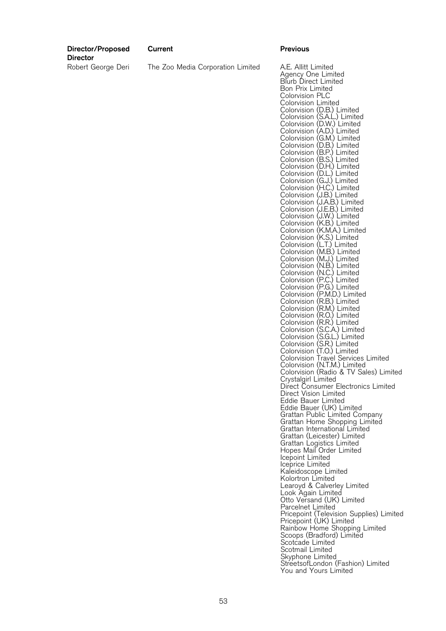| <b>Director</b>    |                                   |                                                                                                                                                                                                                                                                                                                                                                                                                                                                                                                                                                                                                                                                                                                                                                                                                                                                                                                                                                                                                                                                                                                                                                                                                                                                                                                                                                                                                                                                                                                                                                                                                                                                                                                                                                                                                                                                                                                                                                                                                                |
|--------------------|-----------------------------------|--------------------------------------------------------------------------------------------------------------------------------------------------------------------------------------------------------------------------------------------------------------------------------------------------------------------------------------------------------------------------------------------------------------------------------------------------------------------------------------------------------------------------------------------------------------------------------------------------------------------------------------------------------------------------------------------------------------------------------------------------------------------------------------------------------------------------------------------------------------------------------------------------------------------------------------------------------------------------------------------------------------------------------------------------------------------------------------------------------------------------------------------------------------------------------------------------------------------------------------------------------------------------------------------------------------------------------------------------------------------------------------------------------------------------------------------------------------------------------------------------------------------------------------------------------------------------------------------------------------------------------------------------------------------------------------------------------------------------------------------------------------------------------------------------------------------------------------------------------------------------------------------------------------------------------------------------------------------------------------------------------------------------------|
| Robert George Deri | The Zoo Media Corporation Limited | A.E. Allitt Limited<br>Agency One Limited<br>Blurb Direct Limited<br>Bon Prix Limited<br><b>Colorvision PLC</b><br><b>Colorvision Limited</b><br>Colorvision (D.B.) Limited<br>Colorvision (S.A.L.) Limited<br>Colorvision (D.W.) Limited<br>Colorvision (A.D.) Limited<br>Colorvision (G.M.) Limited<br>Colorvision (D.B.) Limited<br>Colorvision (B.P.) Limited<br>Colorvision (B.S.) Limited<br>Colorvision (D.H.) Limited<br>Colorvision (D.L.) Limited<br>Colorvision (G.J.) Limited<br>Colorvision (H.C.) Limited<br>Colorvision (J.B.) Limited<br>Colorvision (J.A.B.) Limited<br>Colorvision (J.E.B.) Limited<br>Colorvision (J.W.) Limited<br>Colorvision (K.B.) Limited<br>Colorvision (K.M.A.) Limited<br>Colorvision (K.S.) Limited<br>Colorvision (L.T.) Limited<br>Colorvision (M.B.) Limited<br>Colorvision (M.J.) Limited<br>Colorvision (N.B.) Limited<br>Colorvision (N.C.) Limited<br>Colorvision (P.C.) Limited<br>Colorvision (P.G.) Limited<br>Colorvision (P.M.D.) Limited<br>Colorvision (R.B.) Limited<br>Colorvision (R.M.) Limited<br>Colorvision (R.O.) Limited<br>Colorvision (R.R.) Limited<br>Colorvision (S.C.A.) Limited<br>Colorvision (S.G.L.) Limited<br>Colorvision (S.R.) Limited<br>Colorvision (T.O.) Limited<br><b>Colorvision Travel Services Limited</b><br>Colorvision (N.T.M.) Limited<br>Colorvision (Radio & TV Sales) Limited<br>Crystalgirl Limited<br>Direct Consumer Electronics Limited<br>Direct Vision Limited<br><b>Eddie Bauer Limited</b><br>Eddie Bauer (UK) Limited<br>Grattan Public Limited Company<br>Grattan Home Shopping Limited<br>Grattan International Limited<br>Grattan (Leicester) Limited<br>Grattan Logistics Limited<br>Hopes Mail Order Limited<br>Icepoint Limited<br>Iceprice Limited<br>Kaleidoscope Limited<br>Kolortron Limited<br>Learoyd & Calverley Limited<br>Look Again Limited<br>Otto Versand (UK) Limited<br>Parcelnet Limited<br>Pricepoint (Television Supplies) Limited<br>Pricepoint (UK) Limited<br>Rainbow Home Shopping Limited |
|                    |                                   | Scoops (Bradford) Limited<br>Scotcade Limited<br>Scotmail Limited                                                                                                                                                                                                                                                                                                                                                                                                                                                                                                                                                                                                                                                                                                                                                                                                                                                                                                                                                                                                                                                                                                                                                                                                                                                                                                                                                                                                                                                                                                                                                                                                                                                                                                                                                                                                                                                                                                                                                              |
|                    |                                   | Skyphone Limited                                                                                                                                                                                                                                                                                                                                                                                                                                                                                                                                                                                                                                                                                                                                                                                                                                                                                                                                                                                                                                                                                                                                                                                                                                                                                                                                                                                                                                                                                                                                                                                                                                                                                                                                                                                                                                                                                                                                                                                                               |

Current Previous

Director/Proposed

StreetsofLondon (Fashion) Limited

You and Yours Limited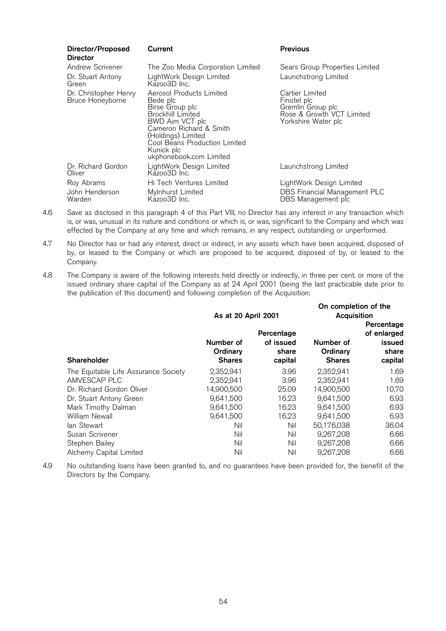| Director/Proposed<br><b>Director</b>      | Current                                                                                                                                                                                                                    | <b>Previous</b>                                                                                         |
|-------------------------------------------|----------------------------------------------------------------------------------------------------------------------------------------------------------------------------------------------------------------------------|---------------------------------------------------------------------------------------------------------|
| Andrew Scrivener                          | The Zoo Media Corporation Limited                                                                                                                                                                                          | Sears Group Properties Limited                                                                          |
| Dr. Stuart Antony<br>Green                | LightWork Design Limited<br>Kazoo3D Inc.                                                                                                                                                                                   | Launchstrong Limited                                                                                    |
| Dr. Christopher Henry<br>Bruce Honeyborne | Aerosol Products Limited<br>Bede plc<br>Birse Group plc<br>Brockhill Limited<br>BWD Aim VCT plc<br>Cameron Richard & Smith<br>(Holdings) Limited<br>Cool Beans Production Limited<br>Kunick plc<br>ukphonebook.com Limited | Cartier Limited<br>Finotel plc<br>Gremlin Group plc<br>Rose & Growth VCT Limited<br>Yorkshire Water plc |
| Dr. Richard Gordon<br>Oliver              | LightWork Design Limited<br>Kazoo3D Inc.                                                                                                                                                                                   | Launchstrong Limited                                                                                    |
| Roy Abrams                                | Hi Tech Ventures Limited                                                                                                                                                                                                   | LightWork Design Limited                                                                                |
| John Henderson<br>Warden                  | Mylnhurst Limited<br>Kazoo3D Inc.                                                                                                                                                                                          | <b>DBS Financial Management PLC</b><br>DBS Management plc                                               |

- 4.6 Save as disclosed in this paragraph 4 of this Part VIII, no Director has any interest in any transaction which is, or was, unusual in its nature and conditions or which is, or was, significant to the Company and which was effected by the Company at any time and which remains, in any respect, outstanding or unperformed.
- 4.7 No Director has or had any interest, direct or indirect, in any assets which have been acquired, disposed of by, or leased to the Company or which are proposed to be acquired, disposed of by, or leased to the Company.
- 4.8 The Company is aware of the following interests held directly or indirectly, in three per cent. or more of the issued ordinary share capital of the Company as at 24 April 2001 (being the last practicable date prior to the publication of this document) and following completion of the Acquisition:

|                                      | As at 20 April 2001                    |                                             | On completion of the<br>Acquisition    |                                                         |
|--------------------------------------|----------------------------------------|---------------------------------------------|----------------------------------------|---------------------------------------------------------|
| Shareholder                          | Number of<br>Ordinary<br><b>Shares</b> | Percentage<br>of issued<br>share<br>capital | Number of<br>Ordinary<br><b>Shares</b> | Percentage<br>of enlarged<br>issued<br>share<br>capital |
| The Equitable Life Assurance Society | 2,352,941                              | 3.96                                        | 2,352,941                              | 1.69                                                    |
| AMVESCAP PLC                         | 2,352,941                              | 3.96                                        | 2,352,941                              | 1.69                                                    |
| Dr. Richard Gordon Oliver            | 14,900,500                             | 25.09                                       | 14,900,500                             | 10.70                                                   |
| Dr. Stuart Antony Green              | 9,641,500                              | 16.23                                       | 9,641,500                              | 6.93                                                    |
| Mark Timothy Dalman                  | 9,641,500                              | 16.23                                       | 9,641,500                              | 6.93                                                    |
| William Newall                       | 9,641,500                              | 16.23                                       | 9,641,500                              | 6.93                                                    |
| lan Stewart                          | Nil                                    | Nil                                         | 50,176,038                             | 36.04                                                   |
| Susan Scrivener                      | Nil                                    | Nil                                         | 9,267,208                              | 6.66                                                    |
| Stephen Bailey                       | Nil                                    | Nil                                         | 9,267,208                              | 6.66                                                    |
| Alchemy Capital Limited              | Nil                                    | Nil                                         | 9,267,208                              | 6.66                                                    |

4.9 No outstanding loans have been granted to, and no guarantees have been provided for, the benefit of the Directors by the Company.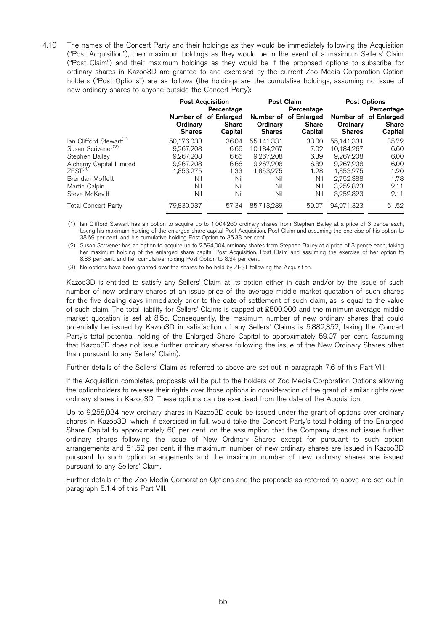4.10 The names of the Concert Party and their holdings as they would be immediately following the Acquisition (``Post Acquisition''), their maximum holdings as they would be in the event of a maximum Sellers' Claim (``Post Claim'') and their maximum holdings as they would be if the proposed options to subscribe for ordinary shares in Kazoo3D are granted to and exercised by the current Zoo Media Corporation Option holders ("Post Options") are as follows (the holdings are the cumulative holdings, assuming no issue of new ordinary shares to anyone outside the Concert Party):

|                                                | <b>Post Acquisition</b><br>Percentage<br>Number of of Enlarged |                         | Post Claim<br>Percentage<br>Number of of Enlarged |                         | <b>Post Options</b><br>Percentage<br>Number of of Enlarged |                         |
|------------------------------------------------|----------------------------------------------------------------|-------------------------|---------------------------------------------------|-------------------------|------------------------------------------------------------|-------------------------|
|                                                | Ordinary<br><b>Shares</b>                                      | <b>Share</b><br>Capital | Ordinary<br><b>Shares</b>                         | <b>Share</b><br>Capital | Ordinary<br><b>Shares</b>                                  | <b>Share</b><br>Capital |
| lan Clifford Stewart <sup>(1)</sup>            | 50.176.038                                                     | 36.04                   | 55.141.331                                        | 38.00                   | 55.141.331                                                 | 35.72                   |
| Susan Scrivener <sup>(2)</sup>                 | 9.267.208                                                      | 6.66                    | 10.184.267                                        | 7.02                    | 10.184.267                                                 | 6.60                    |
| Stephen Bailey                                 | 9.267.208                                                      | 6.66                    | 9.267.208                                         | 6.39                    | 9.267.208                                                  | 6.00                    |
| Alchemy Capital Limited<br>ZEST <sup>(3)</sup> | 9.267.208                                                      | 6.66                    | 9.267.208                                         | 6.39                    | 9.267.208                                                  | 6.00                    |
|                                                | 1.853.275                                                      | 1.33                    | 1.853.275                                         | 1.28                    | 1.853.275                                                  | 1.20                    |
| Brendan Moffett                                | Nil                                                            | Nil                     | Nil                                               | Nil                     | 2.752.388                                                  | 1.78                    |
| Martin Calpin                                  | Nil                                                            | Nil                     | Nil                                               | Nil                     | 3.252.823                                                  | 2.11                    |
| Steve McKevitt                                 | Nil                                                            | Nil                     | Nil                                               | Nil                     | 3.252.823                                                  | 2.11                    |
| <b>Total Concert Party</b>                     | 79,830,937                                                     | 57.34                   | 85.713.289                                        | 59.07                   | 94.971.323                                                 | 61.52                   |

(1) Ian Clifford Stewart has an option to acquire up to 1,004,260 ordinary shares from Stephen Bailey at a price of 3 pence each, taking his maximum holding of the enlarged share capital Post Acquisition, Post Claim and assuming the exercise of his option to 38.69 per cent. and his cumulative holding Post Option to 36.38 per cent.

(2) Susan Scrivener has an option to acquire up to 2,694,004 ordinary shares from Stephen Bailey at a price of 3 pence each, taking her maximum holding of the enlarged share capital Post Acquisition, Post Claim and assuming the exercise of her option to 8.88 per cent. and her cumulative holding Post Option to 8.34 per cent.

(3) No options have been granted over the shares to be held by ZEST following the Acquisition.

Kazoo3D is entitled to satisfy any Sellers' Claim at its option either in cash and/or by the issue of such number of new ordinary shares at an issue price of the average middle market quotation of such shares for the five dealing days immediately prior to the date of settlement of such claim, as is equal to the value of such claim. The total liability for Sellers' Claims is capped at £500,000 and the minimum average middle market quotation is set at 8.5p. Consequently, the maximum number of new ordinary shares that could potentially be issued by Kazoo3D in satisfaction of any Sellers' Claims is 5,882,352, taking the Concert Party's total potential holding of the Enlarged Share Capital to approximately 59.07 per cent. (assuming that Kazoo3D does not issue further ordinary shares following the issue of the New Ordinary Shares other than pursuant to any Sellers' Claim).

Further details of the Sellers' Claim as referred to above are set out in paragraph 7.6 of this Part VIII.

If the Acquisition completes, proposals will be put to the holders of Zoo Media Corporation Options allowing the optionholders to release their rights over those options in consideration of the grant of similar rights over ordinary shares in Kazoo3D. These options can be exercised from the date of the Acquisition.

Up to 9,258,034 new ordinary shares in Kazoo3D could be issued under the grant of options over ordinary shares in Kazoo3D, which, if exercised in full, would take the Concert Party's total holding of the Enlarged Share Capital to approximately 60 per cent. on the assumption that the Company does not issue further ordinary shares following the issue of New Ordinary Shares except for pursuant to such option arrangements and 61.52 per cent. if the maximum number of new ordinary shares are issued in Kazoo3D pursuant to such option arrangements and the maximum number of new ordinary shares are issued pursuant to any Sellers' Claim.

Further details of the Zoo Media Corporation Options and the proposals as referred to above are set out in paragraph 5.1.4 of this Part VIII.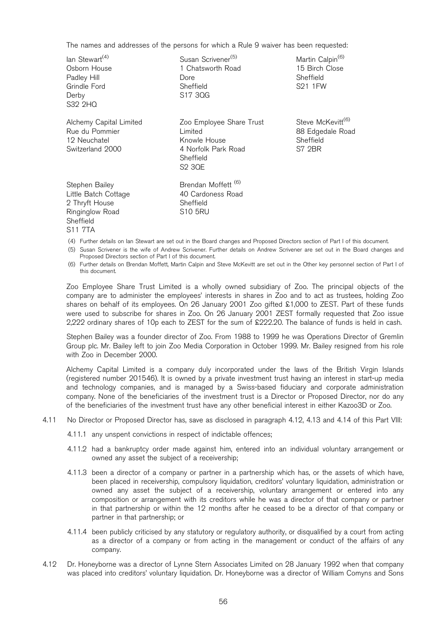The names and addresses of the persons for which a Rule 9 waiver has been requested:

| lan Stewart <sup>(4)</sup>                                                    | Susan Scrivener <sup>(5)</sup>                                                                                                 | Martin Calpin <sup>(6)</sup>                                             |
|-------------------------------------------------------------------------------|--------------------------------------------------------------------------------------------------------------------------------|--------------------------------------------------------------------------|
| Osborn House                                                                  | 1 Chatsworth Road                                                                                                              | 15 Birch Close                                                           |
| Padley Hill                                                                   | Dore                                                                                                                           | Sheffield                                                                |
| Grindle Ford                                                                  | Sheffield                                                                                                                      | S21 1 F W                                                                |
| Derby                                                                         | S17 30G                                                                                                                        |                                                                          |
| S32 2HQ                                                                       |                                                                                                                                |                                                                          |
| Alchemy Capital Limited<br>Rue du Pommier<br>12 Neuchatel<br>Switzerland 2000 | Zoo Employee Share Trust<br>Limited<br>Knowle House<br>4 Norfolk Park Road<br>Sheffield<br>S <sub>2</sub> 3QE                  | Steve McKevitt <sup>(6)</sup><br>88 Edgedale Road<br>Sheffield<br>S7 2BR |
| Stephen Bailey                                                                | Brendan Moffett <sup>(6)</sup>                                                                                                 |                                                                          |
| Little Batch Cottage                                                          | 40 Cardoness Road                                                                                                              |                                                                          |
| 2 Thryft House                                                                | Sheffield                                                                                                                      |                                                                          |
| Ringinglow Road                                                               | <b>S10 5RU</b>                                                                                                                 |                                                                          |
| Sheffield                                                                     |                                                                                                                                |                                                                          |
| S11 7TA                                                                       |                                                                                                                                |                                                                          |
|                                                                               | (4) Further details on lan Stewart are set out in the Board changes and Proposed Directors section of Part I of this document. |                                                                          |

(5) Susan Scrivener is the wife of Andrew Scrivener. Further details on Andrew Scrivener are set out in the Board changes and

Proposed Directors section of Part I of this document. (6) Further details on Brendan Moffett, Martin Calpin and Steve McKevitt are set out in the Other key personnel section of Part I of this document.

Zoo Employee Share Trust Limited is a wholly owned subsidiary of Zoo. The principal objects of the company are to administer the employees' interests in shares in Zoo and to act as trustees, holding Zoo shares on behalf of its employees. On 26 January 2001 Zoo gifted £1,000 to ZEST. Part of these funds were used to subscribe for shares in Zoo. On 26 January 2001 ZEST formally requested that Zoo issue 2,222 ordinary shares of 10p each to ZEST for the sum of £222.20. The balance of funds is held in cash.

Stephen Bailey was a founder director of Zoo. From 1988 to 1999 he was Operations Director of Gremlin Group plc. Mr. Bailey left to join Zoo Media Corporation in October 1999. Mr. Bailey resigned from his role with Zoo in December 2000.

Alchemy Capital Limited is a company duly incorporated under the laws of the British Virgin Islands (registered number 201546). It is owned by a private investment trust having an interest in start-up media and technology companies, and is managed by a Swiss-based fiduciary and corporate administration company. None of the beneficiaries of the investment trust is a Director or Proposed Director, nor do any of the beneficiaries of the investment trust have any other beneficial interest in either Kazoo3D or Zoo.

#### 4.11 No Director or Proposed Director has, save as disclosed in paragraph 4.12, 4.13 and 4.14 of this Part VIII:

- 4.11.1 any unspent convictions in respect of indictable offences;
- 4.11.2 had a bankruptcy order made against him, entered into an individual voluntary arrangement or owned any asset the subject of a receivership;
- 4.11.3 been a director of a company or partner in a partnership which has, or the assets of which have, been placed in receivership, compulsory liquidation, creditors' voluntary liquidation, administration or owned any asset the subject of a receivership, voluntary arrangement or entered into any composition or arrangement with its creditors while he was a director of that company or partner in that partnership or within the 12 months after he ceased to be a director of that company or partner in that partnership; or
- 4.11.4 been publicly criticised by any statutory or regulatory authority, or disqualified by a court from acting as a director of a company or from acting in the management or conduct of the affairs of any company.
- 4.12 Dr. Honeyborne was a director of Lynne Stern Associates Limited on 28 January 1992 when that company was placed into creditors' voluntary liquidation. Dr. Honeyborne was a director of William Comyns and Sons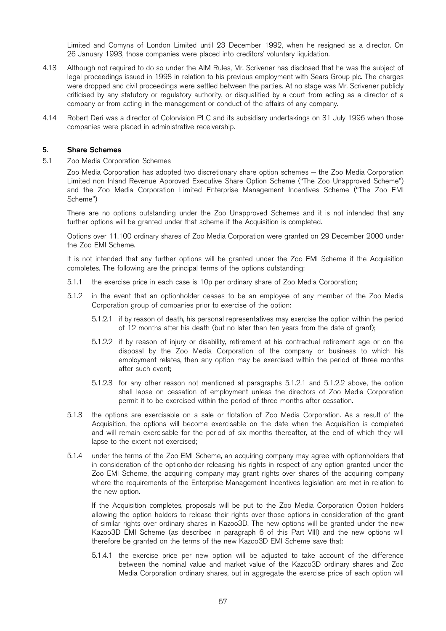Limited and Comyns of London Limited until 23 December 1992, when he resigned as a director. On 26 January 1993, those companies were placed into creditors' voluntary liquidation.

- 4.13 Although not required to do so under the AIM Rules, Mr. Scrivener has disclosed that he was the subject of legal proceedings issued in 1998 in relation to his previous employment with Sears Group plc. The charges were dropped and civil proceedings were settled between the parties. At no stage was Mr. Scrivener publicly criticised by any statutory or regulatory authority, or disqualified by a court from acting as a director of a company or from acting in the management or conduct of the affairs of any company.
- 4.14 Robert Deri was a director of Colorvision PLC and its subsidiary undertakings on 31 July 1996 when those companies were placed in administrative receivership.

#### 5. Share Schemes

5.1 Zoo Media Corporation Schemes

Zoo Media Corporation has adopted two discretionary share option schemes – the Zoo Media Corporation Limited non Inland Revenue Approved Executive Share Option Scheme ("The Zoo Unapproved Scheme") and the Zoo Media Corporation Limited Enterprise Management Incentives Scheme ("The Zoo EMI Scheme'')

There are no options outstanding under the Zoo Unapproved Schemes and it is not intended that any further options will be granted under that scheme if the Acquisition is completed.

Options over 11,100 ordinary shares of Zoo Media Corporation were granted on 29 December 2000 under the Zoo EMI Scheme.

It is not intended that any further options will be granted under the Zoo EMI Scheme if the Acquisition completes. The following are the principal terms of the options outstanding:

- 5.1.1 the exercise price in each case is 10p per ordinary share of Zoo Media Corporation;
- 5.1.2 in the event that an optionholder ceases to be an employee of any member of the Zoo Media Corporation group of companies prior to exercise of the option:
	- 5.1.2.1 if by reason of death, his personal representatives may exercise the option within the period of 12 months after his death (but no later than ten years from the date of grant);
	- 5.1.2.2 if by reason of injury or disability, retirement at his contractual retirement age or on the disposal by the Zoo Media Corporation of the company or business to which his employment relates, then any option may be exercised within the period of three months after such event;
	- 5.1.2.3 for any other reason not mentioned at paragraphs 5.1.2.1 and 5.1.2.2 above, the option shall lapse on cessation of employment unless the directors of Zoo Media Corporation permit it to be exercised within the period of three months after cessation.
- 5.1.3 the options are exercisable on a sale or flotation of Zoo Media Corporation. As a result of the Acquisition, the options will become exercisable on the date when the Acquisition is completed and will remain exercisable for the period of six months thereafter, at the end of which they will lapse to the extent not exercised;
- 5.1.4 under the terms of the Zoo EMI Scheme, an acquiring company may agree with optionholders that in consideration of the optionholder releasing his rights in respect of any option granted under the Zoo EMI Scheme, the acquiring company may grant rights over shares of the acquiring company where the requirements of the Enterprise Management Incentives legislation are met in relation to the new option.

If the Acquisition completes, proposals will be put to the Zoo Media Corporation Option holders allowing the option holders to release their rights over those options in consideration of the grant of similar rights over ordinary shares in Kazoo3D. The new options will be granted under the new Kazoo3D EMI Scheme (as described in paragraph 6 of this Part VIII) and the new options will therefore be granted on the terms of the new Kazoo3D EMI Scheme save that:

5.1.4.1 the exercise price per new option will be adjusted to take account of the difference between the nominal value and market value of the Kazoo3D ordinary shares and Zoo Media Corporation ordinary shares, but in aggregate the exercise price of each option will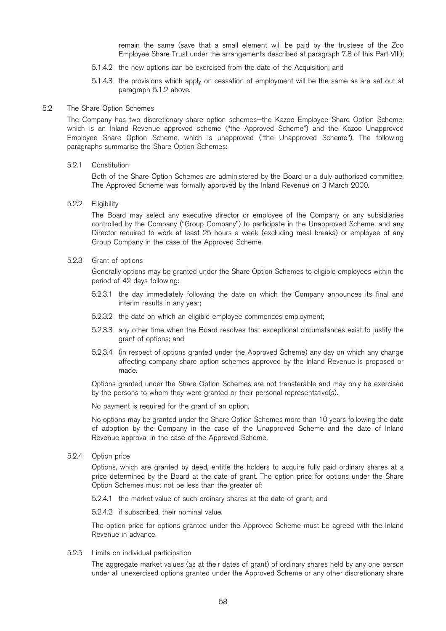remain the same (save that a small element will be paid by the trustees of the Zoo Employee Share Trust under the arrangements described at paragraph 7.8 of this Part VIII);

- 5.1.4.2 the new options can be exercised from the date of the Acquisition; and
- 5.1.4.3 the provisions which apply on cessation of employment will be the same as are set out at paragraph 5.1.2 above.

#### 5.2 The Share Option Schemes

The Company has two discretionary share option schemes—the Kazoo Employee Share Option Scheme, which is an Inland Revenue approved scheme ("the Approved Scheme") and the Kazoo Unapproved Employee Share Option Scheme, which is unapproved ("the Unapproved Scheme"). The following paragraphs summarise the Share Option Schemes:

#### 5.2.1 Constitution

Both of the Share Option Schemes are administered by the Board or a duly authorised committee. The Approved Scheme was formally approved by the Inland Revenue on 3 March 2000.

#### 5.2.2 Eligibility

The Board may select any executive director or employee of the Company or any subsidiaries controlled by the Company ("Group Company") to participate in the Unapproved Scheme, and any Director required to work at least 25 hours a week (excluding meal breaks) or employee of any Group Company in the case of the Approved Scheme.

#### 5.2.3 Grant of options

Generally options may be granted under the Share Option Schemes to eligible employees within the period of 42 days following:

- 5.2.3.1 the day immediately following the date on which the Company announces its final and interim results in any year;
- 5.2.3.2 the date on which an eligible employee commences employment;
- 5.2.3.3 any other time when the Board resolves that exceptional circumstances exist to justify the grant of options; and
- 5.2.3.4 (in respect of options granted under the Approved Scheme) any day on which any change affecting company share option schemes approved by the Inland Revenue is proposed or made.

Options granted under the Share Option Schemes are not transferable and may only be exercised by the persons to whom they were granted or their personal representative(s).

No payment is required for the grant of an option.

No options may be granted under the Share Option Schemes more than 10 years following the date of adoption by the Company in the case of the Unapproved Scheme and the date of Inland Revenue approval in the case of the Approved Scheme.

5.2.4 Option price

Options, which are granted by deed, entitle the holders to acquire fully paid ordinary shares at a price determined by the Board at the date of grant. The option price for options under the Share Option Schemes must not be less than the greater of:

5.2.4.1 the market value of such ordinary shares at the date of grant; and

5.2.4.2 if subscribed, their nominal value.

The option price for options granted under the Approved Scheme must be agreed with the Inland Revenue in advance.

5.2.5 Limits on individual participation

The aggregate market values (as at their dates of grant) of ordinary shares held by any one person under all unexercised options granted under the Approved Scheme or any other discretionary share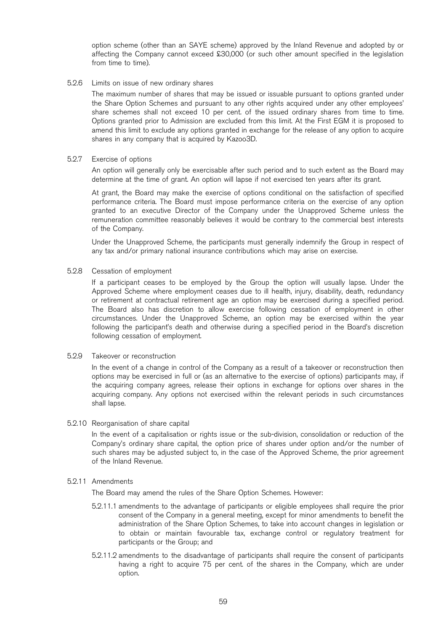option scheme (other than an SAYE scheme) approved by the Inland Revenue and adopted by or affecting the Company cannot exceed £30,000 (or such other amount specified in the legislation from time to time).

# 5.2.6 Limits on issue of new ordinary shares

The maximum number of shares that may be issued or issuable pursuant to options granted under the Share Option Schemes and pursuant to any other rights acquired under any other employees' share schemes shall not exceed 10 per cent. of the issued ordinary shares from time to time. Options granted prior to Admission are excluded from this limit. At the First EGM it is proposed to amend this limit to exclude any options granted in exchange for the release of any option to acquire shares in any company that is acquired by Kazoo3D.

# 5.2.7 Exercise of options

An option will generally only be exercisable after such period and to such extent as the Board may determine at the time of grant. An option will lapse if not exercised ten years after its grant.

At grant, the Board may make the exercise of options conditional on the satisfaction of specified performance criteria. The Board must impose performance criteria on the exercise of any option granted to an executive Director of the Company under the Unapproved Scheme unless the remuneration committee reasonably believes it would be contrary to the commercial best interests of the Company.

Under the Unapproved Scheme, the participants must generally indemnify the Group in respect of any tax and/or primary national insurance contributions which may arise on exercise.

#### 5.2.8 Cessation of employment

If a participant ceases to be employed by the Group the option will usually lapse. Under the Approved Scheme where employment ceases due to ill health, injury, disability, death, redundancy or retirement at contractual retirement age an option may be exercised during a specified period. The Board also has discretion to allow exercise following cessation of employment in other circumstances. Under the Unapproved Scheme, an option may be exercised within the year following the participant's death and otherwise during a specified period in the Board's discretion following cessation of employment.

#### 5.2.9 Takeover or reconstruction

In the event of a change in control of the Company as a result of a takeover or reconstruction then options may be exercised in full or (as an alternative to the exercise of options) participants may, if the acquiring company agrees, release their options in exchange for options over shares in the acquiring company. Any options not exercised within the relevant periods in such circumstances shall lapse.

#### 5.2.10 Reorganisation of share capital

In the event of a capitalisation or rights issue or the sub-division, consolidation or reduction of the Company's ordinary share capital, the option price of shares under option and/or the number of such shares may be adjusted subject to, in the case of the Approved Scheme, the prior agreement of the Inland Revenue.

#### 5.2.11 Amendments

The Board may amend the rules of the Share Option Schemes. However:

- 5.2.11.1 amendments to the advantage of participants or eligible employees shall require the prior consent of the Company in a general meeting, except for minor amendments to benefit the administration of the Share Option Schemes, to take into account changes in legislation or to obtain or maintain favourable tax, exchange control or regulatory treatment for participants or the Group; and
- 5.2.11.2 amendments to the disadvantage of participants shall require the consent of participants having a right to acquire 75 per cent. of the shares in the Company, which are under option.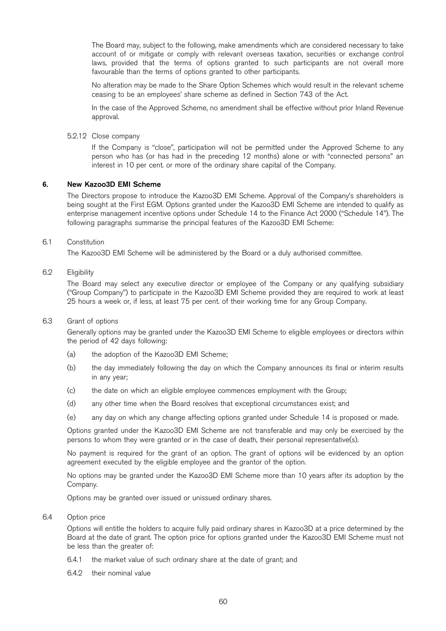The Board may, subject to the following, make amendments which are considered necessary to take account of or mitigate or comply with relevant overseas taxation, securities or exchange control laws, provided that the terms of options granted to such participants are not overall more favourable than the terms of options granted to other participants.

No alteration may be made to the Share Option Schemes which would result in the relevant scheme ceasing to be an employees' share scheme as defined in Section 743 of the Act.

In the case of the Approved Scheme, no amendment shall be effective without prior Inland Revenue approval.

5.2.12 Close company

If the Company is "close", participation will not be permitted under the Approved Scheme to any person who has (or has had in the preceding 12 months) alone or with "connected persons" an interest in 10 per cent. or more of the ordinary share capital of the Company.

# 6. New Kazoo3D EMI Scheme

The Directors propose to introduce the Kazoo3D EMI Scheme. Approval of the Company's shareholders is being sought at the First EGM. Options granted under the Kazoo3D EMI Scheme are intended to qualify as enterprise management incentive options under Schedule 14 to the Finance Act 2000 ("Schedule 14"). The following paragraphs summarise the principal features of the Kazoo3D EMI Scheme:

#### 6.1 Constitution

The Kazoo3D EMI Scheme will be administered by the Board or a duly authorised committee.

#### 6.2 Eligibility

The Board may select any executive director or employee of the Company or any qualifying subsidiary (``Group Company'') to participate in the Kazoo3D EMI Scheme provided they are required to work at least 25 hours a week or, if less, at least 75 per cent. of their working time for any Group Company.

#### 6.3 Grant of options

Generally options may be granted under the Kazoo3D EMI Scheme to eligible employees or directors within the period of 42 days following:

- (a) the adoption of the Kazoo3D EMI Scheme;
- (b) the day immediately following the day on which the Company announces its final or interim results in any year;
- (c) the date on which an eligible employee commences employment with the Group;
- (d) any other time when the Board resolves that exceptional circumstances exist; and
- (e) any day on which any change affecting options granted under Schedule 14 is proposed or made.

Options granted under the Kazoo3D EMI Scheme are not transferable and may only be exercised by the persons to whom they were granted or in the case of death, their personal representative(s).

No payment is required for the grant of an option. The grant of options will be evidenced by an option agreement executed by the eligible employee and the grantor of the option.

No options may be granted under the Kazoo3D EMI Scheme more than 10 years after its adoption by the Company.

Options may be granted over issued or unissued ordinary shares.

# 6.4 Option price

Options will entitle the holders to acquire fully paid ordinary shares in Kazoo3D at a price determined by the Board at the date of grant. The option price for options granted under the Kazoo3D EMI Scheme must not be less than the greater of:

- 6.4.1 the market value of such ordinary share at the date of grant; and
- 6.4.2 their nominal value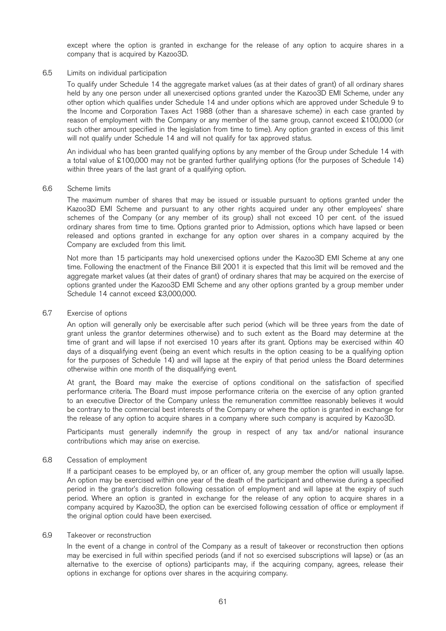except where the option is granted in exchange for the release of any option to acquire shares in a company that is acquired by Kazoo3D.

#### 6.5 Limits on individual participation

To qualify under Schedule 14 the aggregate market values (as at their dates of grant) of all ordinary shares held by any one person under all unexercised options granted under the Kazoo3D EMI Scheme, under any other option which qualifies under Schedule 14 and under options which are approved under Schedule 9 to the Income and Corporation Taxes Act 1988 (other than a sharesave scheme) in each case granted by reason of employment with the Company or any member of the same group, cannot exceed £100,000 (or such other amount specified in the legislation from time to time). Any option granted in excess of this limit will not qualify under Schedule 14 and will not qualify for tax approved status.

An individual who has been granted qualifying options by any member of the Group under Schedule 14 with a total value of £100,000 may not be granted further qualifying options (for the purposes of Schedule 14) within three years of the last grant of a qualifying option.

#### 6.6 Scheme limits

The maximum number of shares that may be issued or issuable pursuant to options granted under the Kazoo3D EMI Scheme and pursuant to any other rights acquired under any other employees' share schemes of the Company (or any member of its group) shall not exceed 10 per cent. of the issued ordinary shares from time to time. Options granted prior to Admission, options which have lapsed or been released and options granted in exchange for any option over shares in a company acquired by the Company are excluded from this limit.

Not more than 15 participants may hold unexercised options under the Kazoo3D EMI Scheme at any one time. Following the enactment of the Finance Bill 2001 it is expected that this limit will be removed and the aggregate market values (at their dates of grant) of ordinary shares that may be acquired on the exercise of options granted under the Kazoo3D EMI Scheme and any other options granted by a group member under Schedule 14 cannot exceed £3,000,000.

#### 6.7 Exercise of options

An option will generally only be exercisable after such period (which will be three years from the date of grant unless the grantor determines otherwise) and to such extent as the Board may determine at the time of grant and will lapse if not exercised 10 years after its grant. Options may be exercised within 40 days of a disqualifying event (being an event which results in the option ceasing to be a qualifying option for the purposes of Schedule 14) and will lapse at the expiry of that period unless the Board determines otherwise within one month of the disqualifying event.

At grant, the Board may make the exercise of options conditional on the satisfaction of specified performance criteria. The Board must impose performance criteria on the exercise of any option granted to an executive Director of the Company unless the remuneration committee reasonably believes it would be contrary to the commercial best interests of the Company or where the option is granted in exchange for the release of any option to acquire shares in a company where such company is acquired by Kazoo3D.

Participants must generally indemnify the group in respect of any tax and/or national insurance contributions which may arise on exercise.

#### 6.8 Cessation of employment

If a participant ceases to be employed by, or an officer of, any group member the option will usually lapse. An option may be exercised within one year of the death of the participant and otherwise during a specified period in the grantor's discretion following cessation of employment and will lapse at the expiry of such period. Where an option is granted in exchange for the release of any option to acquire shares in a company acquired by Kazoo3D, the option can be exercised following cessation of office or employment if the original option could have been exercised.

#### 6.9 Takeover or reconstruction

In the event of a change in control of the Company as a result of takeover or reconstruction then options may be exercised in full within specified periods (and if not so exercised subscriptions will lapse) or (as an alternative to the exercise of options) participants may, if the acquiring company, agrees, release their options in exchange for options over shares in the acquiring company.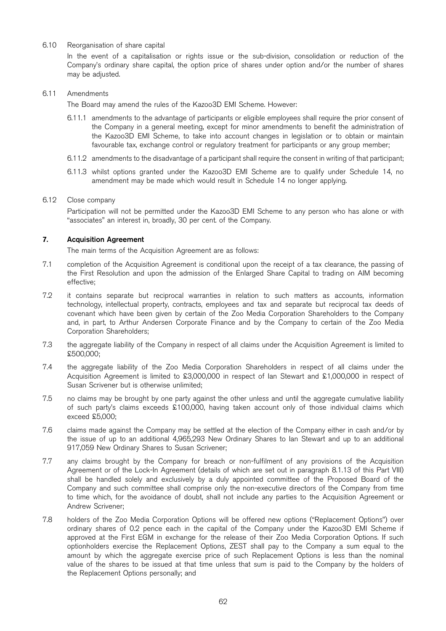#### 6.10 Reorganisation of share capital

In the event of a capitalisation or rights issue or the sub-division, consolidation or reduction of the Company's ordinary share capital, the option price of shares under option and/or the number of shares may be adjusted.

#### 6.11 Amendments

The Board may amend the rules of the Kazoo3D EMI Scheme. However:

- 6.11.1 amendments to the advantage of participants or eligible employees shall require the prior consent of the Company in a general meeting, except for minor amendments to benefit the administration of the Kazoo3D EMI Scheme, to take into account changes in legislation or to obtain or maintain favourable tax, exchange control or regulatory treatment for participants or any group member;
- 6.11.2 amendments to the disadvantage of a participant shall require the consent in writing of that participant;
- 6.11.3 whilst options granted under the Kazoo3D EMI Scheme are to qualify under Schedule 14, no amendment may be made which would result in Schedule 14 no longer applying.

#### 6.12 Close company

Participation will not be permitted under the Kazoo3D EMI Scheme to any person who has alone or with "associates" an interest in, broadly, 30 per cent. of the Company.

# 7. Acquisition Agreement

The main terms of the Acquisition Agreement are as follows:

- 7.1 completion of the Acquisition Agreement is conditional upon the receipt of a tax clearance, the passing of the First Resolution and upon the admission of the Enlarged Share Capital to trading on AIM becoming effective;
- 7.2 it contains separate but reciprocal warranties in relation to such matters as accounts, information technology, intellectual property, contracts, employees and tax and separate but reciprocal tax deeds of covenant which have been given by certain of the Zoo Media Corporation Shareholders to the Company and, in part, to Arthur Andersen Corporate Finance and by the Company to certain of the Zoo Media Corporation Shareholders;
- 7.3 the aggregate liability of the Company in respect of all claims under the Acquisition Agreement is limited to £500,000;
- 7.4 the aggregate liability of the Zoo Media Corporation Shareholders in respect of all claims under the Acquisition Agreement is limited to £3,000,000 in respect of Ian Stewart and £1,000,000 in respect of Susan Scrivener but is otherwise unlimited;
- 7.5 no claims may be brought by one party against the other unless and until the aggregate cumulative liability of such party's claims exceeds £100,000, having taken account only of those individual claims which exceed £5,000;
- 7.6 claims made against the Company may be settled at the election of the Company either in cash and/or by the issue of up to an additional 4,965,293 New Ordinary Shares to Ian Stewart and up to an additional 917,059 New Ordinary Shares to Susan Scrivener;
- 7.7 any claims brought by the Company for breach or non-fulfilment of any provisions of the Acquisition Agreement or of the Lock-In Agreement (details of which are set out in paragraph 8.1.13 of this Part VIII) shall be handled solely and exclusively by a duly appointed committee of the Proposed Board of the Company and such committee shall comprise only the non-executive directors of the Company from time to time which, for the avoidance of doubt, shall not include any parties to the Acquisition Agreement or Andrew Scrivener;
- 7.8 holders of the Zoo Media Corporation Options will be offered new options ("Replacement Options") over ordinary shares of 0.2 pence each in the capital of the Company under the Kazoo3D EMI Scheme if approved at the First EGM in exchange for the release of their Zoo Media Corporation Options. If such optionholders exercise the Replacement Options, ZEST shall pay to the Company a sum equal to the amount by which the aggregate exercise price of such Replacement Options is less than the nominal value of the shares to be issued at that time unless that sum is paid to the Company by the holders of the Replacement Options personally; and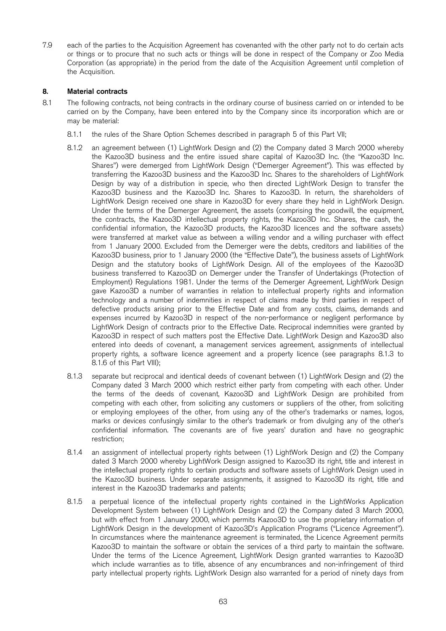7.9 each of the parties to the Acquisition Agreement has covenanted with the other party not to do certain acts or things or to procure that no such acts or things will be done in respect of the Company or Zoo Media Corporation (as appropriate) in the period from the date of the Acquisition Agreement until completion of the Acquisition.

# 8. Material contracts

- 8.1 The following contracts, not being contracts in the ordinary course of business carried on or intended to be carried on by the Company, have been entered into by the Company since its incorporation which are or may be material:
	- 8.1.1 the rules of the Share Option Schemes described in paragraph 5 of this Part VII;
	- 8.1.2 an agreement between (1) LightWork Design and (2) the Company dated 3 March 2000 whereby the Kazoo3D business and the entire issued share capital of Kazoo3D Inc. (the "Kazoo3D Inc. Shares") were demerged from LightWork Design ("Demerger Agreement"). This was effected by transferring the Kazoo3D business and the Kazoo3D Inc. Shares to the shareholders of LightWork Design by way of a distribution in specie, who then directed LightWork Design to transfer the Kazoo3D business and the Kazoo3D Inc. Shares to Kazoo3D. In return, the shareholders of LightWork Design received one share in Kazoo3D for every share they held in LightWork Design. Under the terms of the Demerger Agreement, the assets (comprising the goodwill, the equipment, the contracts, the Kazoo3D intellectual property rights, the Kazoo3D Inc. Shares, the cash, the confidential information, the Kazoo3D products, the Kazoo3D licences and the software assets) were transferred at market value as between a willing vendor and a willing purchaser with effect from 1 January 2000. Excluded from the Demerger were the debts, creditors and liabilities of the Kazoo3D business, prior to 1 January 2000 (the "Effective Date"), the business assets of LightWork Design and the statutory books of LightWork Design. All of the employees of the Kazoo3D business transferred to Kazoo3D on Demerger under the Transfer of Undertakings (Protection of Employment) Regulations 1981. Under the terms of the Demerger Agreement, LightWork Design gave Kazoo3D a number of warranties in relation to intellectual property rights and information technology and a number of indemnities in respect of claims made by third parties in respect of defective products arising prior to the Effective Date and from any costs, claims, demands and expenses incurred by Kazoo3D in respect of the non-performance or negligent performance by LightWork Design of contracts prior to the Effective Date. Reciprocal indemnities were granted by Kazoo3D in respect of such matters post the Effective Date. LightWork Design and Kazoo3D also entered into deeds of covenant, a management services agreement, assignments of intellectual property rights, a software licence agreement and a property licence (see paragraphs 8.1.3 to 8.1.6 of this Part VIII);
	- 8.1.3 separate but reciprocal and identical deeds of covenant between (1) LightWork Design and (2) the Company dated 3 March 2000 which restrict either party from competing with each other. Under the terms of the deeds of covenant, Kazoo3D and LightWork Design are prohibited from competing with each other, from soliciting any customers or suppliers of the other, from soliciting or employing employees of the other, from using any of the other's trademarks or names, logos, marks or devices confusingly similar to the other's trademark or from divulging any of the other's confidential information. The covenants are of five years' duration and have no geographic restriction;
	- 8.1.4 an assignment of intellectual property rights between (1) LightWork Design and (2) the Company dated 3 March 2000 whereby LightWork Design assigned to Kazoo3D its right, title and interest in the intellectual property rights to certain products and software assets of LightWork Design used in the Kazoo3D business. Under separate assignments, it assigned to Kazoo3D its right, title and interest in the Kazoo3D trademarks and patents;
	- 8.1.5 a perpetual licence of the intellectual property rights contained in the LightWorks Application Development System between (1) LightWork Design and (2) the Company dated 3 March 2000, but with effect from 1 January 2000, which permits Kazoo3D to use the proprietary information of LightWork Design in the development of Kazoo3D's Application Programs ("Licence Agreement"). In circumstances where the maintenance agreement is terminated, the Licence Agreement permits Kazoo3D to maintain the software or obtain the services of a third party to maintain the software. Under the terms of the Licence Agreement, LightWork Design granted warranties to Kazoo3D which include warranties as to title, absence of any encumbrances and non-infringement of third party intellectual property rights. LightWork Design also warranted for a period of ninety days from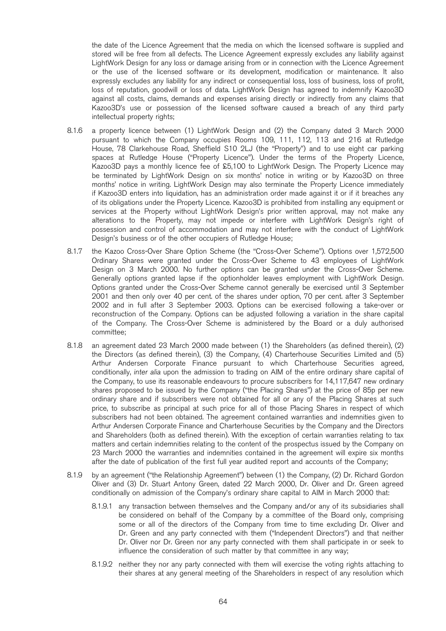the date of the Licence Agreement that the media on which the licensed software is supplied and stored will be free from all defects. The Licence Agreement expressly excludes any liability against LightWork Design for any loss or damage arising from or in connection with the Licence Agreement or the use of the licensed software or its development, modification or maintenance. It also expressly excludes any liability for any indirect or consequential loss, loss of business, loss of profit, loss of reputation, goodwill or loss of data. LightWork Design has agreed to indemnify Kazoo3D against all costs, claims, demands and expenses arising directly or indirectly from any claims that Kazoo3D's use or possession of the licensed software caused a breach of any third party intellectual property rights;

- 8.1.6 a property licence between (1) LightWork Design and (2) the Company dated 3 March 2000 pursuant to which the Company occupies Rooms 109, 111, 112, 113 and 216 at Rutledge House, 78 Clarkehouse Road, Sheffield S10 2LJ (the "Property") and to use eight car parking spaces at Rutledge House ("Property Licence"). Under the terms of the Property Licence, Kazoo3D pays a monthly licence fee of £5,100 to LightWork Design. The Property Licence may be terminated by LightWork Design on six months' notice in writing or by Kazoo3D on three months' notice in writing. LightWork Design may also terminate the Property Licence immediately if Kazoo3D enters into liquidation, has an administration order made against it or if it breaches any of its obligations under the Property Licence. Kazoo3D is prohibited from installing any equipment or services at the Property without LightWork Design's prior written approval, may not make any alterations to the Property, may not impede or interfere with LightWork Design's right of possession and control of accommodation and may not interfere with the conduct of LightWork Design's business or of the other occupiers of Rutledge House;
- 8.1.7 the Kazoo Cross-Over Share Option Scheme (the "Cross-Over Scheme"). Options over 1,572,500 Ordinary Shares were granted under the Cross-Over Scheme to 43 employees of LightWork Design on 3 March 2000. No further options can be granted under the Cross-Over Scheme. Generally options granted lapse if the optionholder leaves employment with LightWork Design. Options granted under the Cross-Over Scheme cannot generally be exercised until 3 September 2001 and then only over 40 per cent. of the shares under option, 70 per cent. after 3 September 2002 and in full after 3 September 2003. Options can be exercised following a take-over or reconstruction of the Company. Options can be adjusted following a variation in the share capital of the Company. The Cross-Over Scheme is administered by the Board or a duly authorised committee;
- 8.1.8 an agreement dated 23 March 2000 made between (1) the Shareholders (as defined therein), (2) the Directors (as defined therein), (3) the Company, (4) Charterhouse Securities Limited and (5) Arthur Andersen Corporate Finance pursuant to which Charterhouse Securities agreed, conditionally, inter alia upon the admission to trading on AIM of the entire ordinary share capital of the Company, to use its reasonable endeavours to procure subscribers for 14,117,647 new ordinary shares proposed to be issued by the Company ("the Placing Shares") at the price of 85p per new ordinary share and if subscribers were not obtained for all or any of the Placing Shares at such price, to subscribe as principal at such price for all of those Placing Shares in respect of which subscribers had not been obtained. The agreement contained warranties and indemnities given to Arthur Andersen Corporate Finance and Charterhouse Securities by the Company and the Directors and Shareholders (both as defined therein). With the exception of certain warranties relating to tax matters and certain indemnities relating to the content of the prospectus issued by the Company on 23 March 2000 the warranties and indemnities contained in the agreement will expire six months after the date of publication of the first full year audited report and accounts of the Company;
- 8.1.9 by an agreement ("the Relationship Agreement") between (1) the Company, (2) Dr. Richard Gordon Oliver and (3) Dr. Stuart Antony Green, dated 22 March 2000, Dr. Oliver and Dr. Green agreed conditionally on admission of the Company's ordinary share capital to AIM in March 2000 that:
	- 8.1.9.1 any transaction between themselves and the Company and/or any of its subsidiaries shall be considered on behalf of the Company by a committee of the Board only, comprising some or all of the directors of the Company from time to time excluding Dr. Oliver and Dr. Green and any party connected with them ("Independent Directors") and that neither Dr. Oliver nor Dr. Green nor any party connected with them shall participate in or seek to influence the consideration of such matter by that committee in any way;
	- 8.1.9.2 neither they nor any party connected with them will exercise the voting rights attaching to their shares at any general meeting of the Shareholders in respect of any resolution which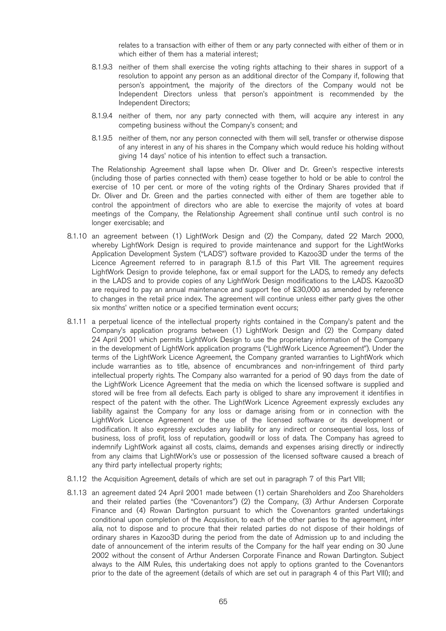relates to a transaction with either of them or any party connected with either of them or in which either of them has a material interest;

- 8.1.9.3 neither of them shall exercise the voting rights attaching to their shares in support of a resolution to appoint any person as an additional director of the Company if, following that person's appointment, the majority of the directors of the Company would not be Independent Directors unless that person's appointment is recommended by the Independent Directors;
- 8.1.9.4 neither of them, nor any party connected with them, will acquire any interest in any competing business without the Company's consent; and
- 8.1.9.5 neither of them, nor any person connected with them will sell, transfer or otherwise dispose of any interest in any of his shares in the Company which would reduce his holding without giving 14 days' notice of his intention to effect such a transaction.

The Relationship Agreement shall lapse when Dr. Oliver and Dr. Green's respective interests (including those of parties connected with them) cease together to hold or be able to control the exercise of 10 per cent. or more of the voting rights of the Ordinary Shares provided that if Dr. Oliver and Dr. Green and the parties connected with either of them are together able to control the appointment of directors who are able to exercise the majority of votes at board meetings of the Company, the Relationship Agreement shall continue until such control is no longer exercisable; and

- 8.1.10 an agreement between (1) LightWork Design and (2) the Company, dated 22 March 2000, whereby LightWork Design is required to provide maintenance and support for the LightWorks Application Development System ("LADS") software provided to Kazoo3D under the terms of the Licence Agreement referred to in paragraph 8.1.5 of this Part VIII. The agreement requires LightWork Design to provide telephone, fax or email support for the LADS, to remedy any defects in the LADS and to provide copies of any LightWork Design modifications to the LADS. Kazoo3D are required to pay an annual maintenance and support fee of £30,000 as amended by reference to changes in the retail price index. The agreement will continue unless either party gives the other six months' written notice or a specified termination event occurs;
- 8.1.11 a perpetual licence of the intellectual property rights contained in the Company's patent and the Company's application programs between (1) LightWork Design and (2) the Company dated 24 April 2001 which permits LightWork Design to use the proprietary information of the Company in the development of LightWork application programs ("LightWork Licence Agreement"). Under the terms of the LightWork Licence Agreement, the Company granted warranties to LightWork which include warranties as to title, absence of encumbrances and non-infringement of third party intellectual property rights. The Company also warranted for a period of 90 days from the date of the LightWork Licence Agreement that the media on which the licensed software is supplied and stored will be free from all defects. Each party is obliged to share any improvement it identifies in respect of the patent with the other. The LightWork Licence Agreement expressly excludes any liability against the Company for any loss or damage arising from or in connection with the LightWork Licence Agreement or the use of the licensed software or its development or modification. It also expressly excludes any liability for any indirect or consequential loss, loss of business, loss of profit, loss of reputation, goodwill or loss of data. The Company has agreed to indemnify LightWork against all costs, claims, demands and expenses arising directly or indirectly from any claims that LightWork's use or possession of the licensed software caused a breach of any third party intellectual property rights;
- 8.1.12 the Acquisition Agreement, details of which are set out in paragraph 7 of this Part VIII;
- 8.1.13 an agreement dated 24 April 2001 made between (1) certain Shareholders and Zoo Shareholders and their related parties (the "Covenantors") (2) the Company, (3) Arthur Andersen Corporate Finance and (4) Rowan Dartington pursuant to which the Covenantors granted undertakings conditional upon completion of the Acquisition, to each of the other parties to the agreement, inter alia, not to dispose and to procure that their related parties do not dispose of their holdings of ordinary shares in Kazoo3D during the period from the date of Admission up to and including the date of announcement of the interim results of the Company for the half year ending on 30 June 2002 without the consent of Arthur Andersen Corporate Finance and Rowan Dartington. Subject always to the AIM Rules, this undertaking does not apply to options granted to the Covenantors prior to the date of the agreement (details of which are set out in paragraph 4 of this Part VIII); and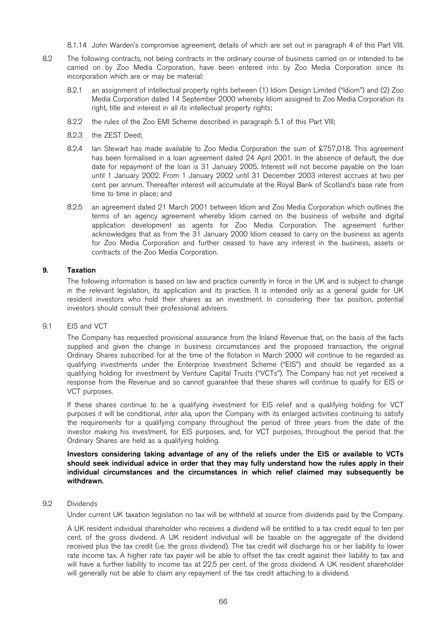8.1.14 John Warden's compromise agreement, details of which are set out in paragraph 4 of this Part VIII.

- 8.2 The following contracts, not being contracts in the ordinary course of business carried on or intended to be carried on by Zoo Media Corporation, have been entered into by Zoo Media Corporation since its incorporation which are or may be material:
	- 8.2.1 an assignment of intellectual property rights between (1) Idiom Design Limited ("Idiom") and (2) Zoo Media Corporation dated 14 September 2000 whereby Idiom assigned to Zoo Media Corporation its right, title and interest in all its intellectual property rights;
	- 8.2.2 the rules of the Zoo EMI Scheme described in paragraph 5.1 of this Part VIII;
	- 8.2.3 the ZEST Deed;
	- 8.2.4 Ian Stewart has made available to Zoo Media Corporation the sum of £757,018. This agreement has been formalised in a loan agreement dated 24 April 2001. In the absence of default, the due date for repayment of the loan is 31 January 2005. Interest will not become payable on the loan until 1 January 2002. From 1 January 2002 until 31 December 2003 interest accrues at two per cent. per annum. Thereafter interest will accumulate at the Royal Bank of Scotland's base rate from time to time in place; and
	- 8.2.5 an agreement dated 21 March 2001 between Idiom and Zoo Media Corporation which outlines the terms of an agency agreement whereby Idiom carried on the business of website and digital application development as agents for Zoo Media Corporation. The agreement further acknowledges that as from the 31 January 2000 Idiom ceased to carry on the business as agents for Zoo Media Corporation and further ceased to have any interest in the business, assets or contracts of the Zoo Media Corporation.

#### 9. Taxation

The following information is based on law and practice currently in force in the UK and is subject to change in the relevant legislation, its application and its practice. It is intended only as a general guide for UK resident investors who hold their shares as an investment. In considering their tax position, potential investors should consult their professional advisers.

9.1 EIS and VCT

The Company has requested provisional assurance from the Inland Revenue that, on the basis of the facts supplied and given the change in business circumstances and the proposed transaction, the original Ordinary Shares subscribed for at the time of the flotation in March 2000 will continue to be regarded as qualifying investments under the Enterprise Investment Scheme ("EIS") and should be regarded as a qualifying holding for investment by Venture Capital Trusts ("VCTs"). The Company has not yet received a response from the Revenue and so cannot guarantee that these shares will continue to qualify for EIS or VCT purposes.

If these shares continue to be a qualifying investment for EIS relief and a qualifying holding for VCT purposes it will be conditional, inter alia, upon the Company with its enlarged activities continuing to satisfy the requirements for a qualifying company throughout the period of three years from the date of the investor making his investment, for EIS purposes, and, for VCT purposes, throughout the period that the Ordinary Shares are held as a qualifying holding.

# Investors considering taking advantage of any of the reliefs under the EIS or available to VCTs should seek individual advice in order that they may fully understand how the rules apply in their individual circumstances and the circumstances in which relief claimed may subsequently be withdrawn.

### 9.2 Dividends

Under current UK taxation legislation no tax will be withheld at source from dividends paid by the Company.

A UK resident individual shareholder who receives a dividend will be entitled to a tax credit equal to ten per cent. of the gross dividend. A UK resident individual will be taxable on the aggregate of the dividend received plus the tax credit (i.e. the gross dividend). The tax credit will discharge his or her liability to lower rate income tax. A higher rate tax payer will be able to offset the tax credit against their liability to tax and will have a further liability to income tax at 22.5 per cent. of the gross dividend. A UK resident shareholder will generally not be able to claim any repayment of the tax credit attaching to a dividend.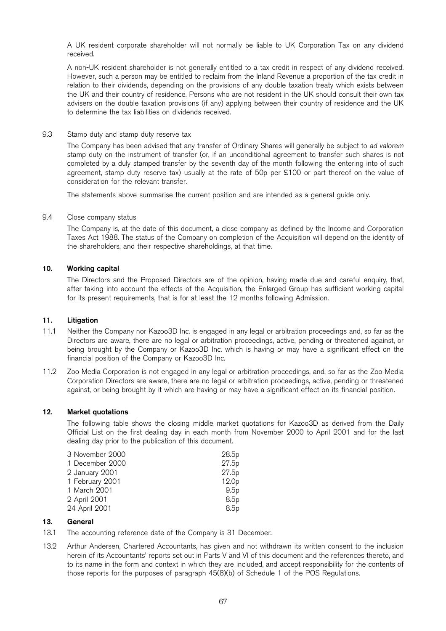A UK resident corporate shareholder will not normally be liable to UK Corporation Tax on any dividend received.

A non-UK resident shareholder is not generally entitled to a tax credit in respect of any dividend received. However, such a person may be entitled to reclaim from the Inland Revenue a proportion of the tax credit in relation to their dividends, depending on the provisions of any double taxation treaty which exists between the UK and their country of residence. Persons who are not resident in the UK should consult their own tax advisers on the double taxation provisions (if any) applying between their country of residence and the UK to determine the tax liabilities on dividends received.

#### 9.3 Stamp duty and stamp duty reserve tax

The Company has been advised that any transfer of Ordinary Shares will generally be subject to ad valorem stamp duty on the instrument of transfer (or, if an unconditional agreement to transfer such shares is not completed by a duly stamped transfer by the seventh day of the month following the entering into of such agreement, stamp duty reserve tax) usually at the rate of 50p per £100 or part thereof on the value of consideration for the relevant transfer.

The statements above summarise the current position and are intended as a general guide only.

# 9.4 Close company status

The Company is, at the date of this document, a close company as defined by the Income and Corporation Taxes Act 1988. The status of the Company on completion of the Acquisition will depend on the identity of the shareholders, and their respective shareholdings, at that time.

# 10. Working capital

The Directors and the Proposed Directors are of the opinion, having made due and careful enquiry, that, after taking into account the effects of the Acquisition, the Enlarged Group has sufficient working capital for its present requirements, that is for at least the 12 months following Admission.

#### 11. Litigation

- 11.1 Neither the Company nor Kazoo3D Inc. is engaged in any legal or arbitration proceedings and, so far as the Directors are aware, there are no legal or arbitration proceedings, active, pending or threatened against, or being brought by the Company or Kazoo3D Inc. which is having or may have a significant effect on the financial position of the Company or Kazoo3D Inc.
- 11.2 Zoo Media Corporation is not engaged in any legal or arbitration proceedings, and, so far as the Zoo Media Corporation Directors are aware, there are no legal or arbitration proceedings, active, pending or threatened against, or being brought by it which are having or may have a significant effect on its financial position.

# 12. Market quotations

The following table shows the closing middle market quotations for Kazoo3D as derived from the Daily Official List on the first dealing day in each month from November 2000 to April 2001 and for the last dealing day prior to the publication of this document.

| 3 November 2000 | 28.5p             |
|-----------------|-------------------|
| 1 December 2000 | 27.5p             |
| 2 January 2001  | 27.5p             |
| 1 February 2001 | 12.0 <sub>p</sub> |
| 1 March 2001    | 9.5p              |
| 2 April 2001    | 8.5p              |
| 24 April 2001   | 8.5p              |

#### 13. General

- 13.1 The accounting reference date of the Company is 31 December.
- 13.2 Arthur Andersen, Chartered Accountants, has given and not withdrawn its written consent to the inclusion herein of its Accountants' reports set out in Parts V and VI of this document and the references thereto, and to its name in the form and context in which they are included, and accept responsibility for the contents of those reports for the purposes of paragraph 45(8)(b) of Schedule 1 of the POS Regulations.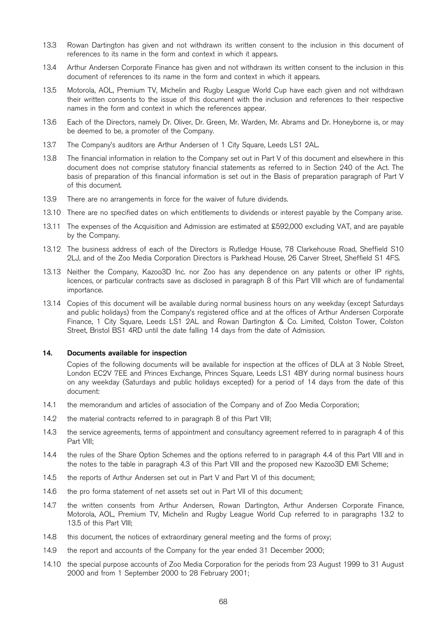- 13.3 Rowan Dartington has given and not withdrawn its written consent to the inclusion in this document of references to its name in the form and context in which it appears.
- 13.4 Arthur Andersen Corporate Finance has given and not withdrawn its written consent to the inclusion in this document of references to its name in the form and context in which it appears.
- 13.5 Motorola, AOL, Premium TV, Michelin and Rugby League World Cup have each given and not withdrawn their written consents to the issue of this document with the inclusion and references to their respective names in the form and context in which the references appear.
- 13.6 Each of the Directors, namely Dr. Oliver, Dr. Green, Mr. Warden, Mr. Abrams and Dr. Honeyborne is, or may be deemed to be, a promoter of the Company.
- 13.7 The Company's auditors are Arthur Andersen of 1 City Square, Leeds LS1 2AL.
- 13.8 The financial information in relation to the Company set out in Part V of this document and elsewhere in this document does not comprise statutory financial statements as referred to in Section 240 of the Act. The basis of preparation of this financial information is set out in the Basis of preparation paragraph of Part V of this document.
- 13.9 There are no arrangements in force for the waiver of future dividends.
- 13.10 There are no specified dates on which entitlements to dividends or interest payable by the Company arise.
- 13.11 The expenses of the Acquisition and Admission are estimated at £592,000 excluding VAT, and are payable by the Company.
- 13.12 The business address of each of the Directors is Rutledge House, 78 Clarkehouse Road, Sheffield S10 2LJ, and of the Zoo Media Corporation Directors is Parkhead House, 26 Carver Street, Sheffield S1 4FS.
- 13.13 Neither the Company, Kazoo3D Inc. nor Zoo has any dependence on any patents or other IP rights, licences, or particular contracts save as disclosed in paragraph 8 of this Part VIII which are of fundamental importance.
- 13.14 Copies of this document will be available during normal business hours on any weekday (except Saturdays and public holidays) from the Company's registered office and at the offices of Arthur Andersen Corporate Finance, 1 City Square, Leeds LS1 2AL and Rowan Dartington & Co. Limited, Colston Tower, Colston Street, Bristol BS1 4RD until the date falling 14 days from the date of Admission.

#### 14. Documents available for inspection

Copies of the following documents will be available for inspection at the offices of DLA at 3 Noble Street, London EC2V 7EE and Princes Exchange, Princes Square, Leeds LS1 4BY during normal business hours on any weekday (Saturdays and public holidays excepted) for a period of 14 days from the date of this document:

- 14.1 the memorandum and articles of association of the Company and of Zoo Media Corporation;
- 14.2 the material contracts referred to in paragraph 8 of this Part VIII;
- 14.3 the service agreements, terms of appointment and consultancy agreement referred to in paragraph 4 of this Part VIII;
- 14.4 the rules of the Share Option Schemes and the options referred to in paragraph 4.4 of this Part VIII and in the notes to the table in paragraph 4.3 of this Part VIII and the proposed new Kazoo3D EMI Scheme;
- 14.5 the reports of Arthur Andersen set out in Part V and Part VI of this document;
- 14.6 the pro forma statement of net assets set out in Part VII of this document;
- 14.7 the written consents from Arthur Andersen, Rowan Dartington, Arthur Andersen Corporate Finance, Motorola, AOL, Premium TV, Michelin and Rugby League World Cup referred to in paragraphs 13.2 to 13.5 of this Part VIII;
- 14.8 this document, the notices of extraordinary general meeting and the forms of proxy;
- 14.9 the report and accounts of the Company for the year ended 31 December 2000;
- 14.10 the special purpose accounts of Zoo Media Corporation for the periods from 23 August 1999 to 31 August 2000 and from 1 September 2000 to 28 February 2001;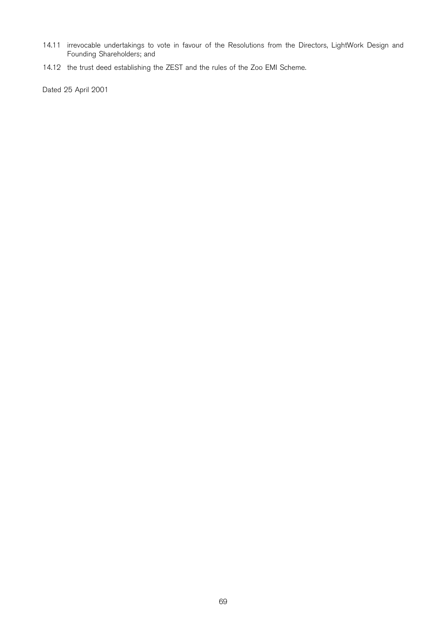- 14.11 irrevocable undertakings to vote in favour of the Resolutions from the Directors, LightWork Design and Founding Shareholders; and
- 14.12 the trust deed establishing the ZEST and the rules of the Zoo EMI Scheme.

Dated 25 April 2001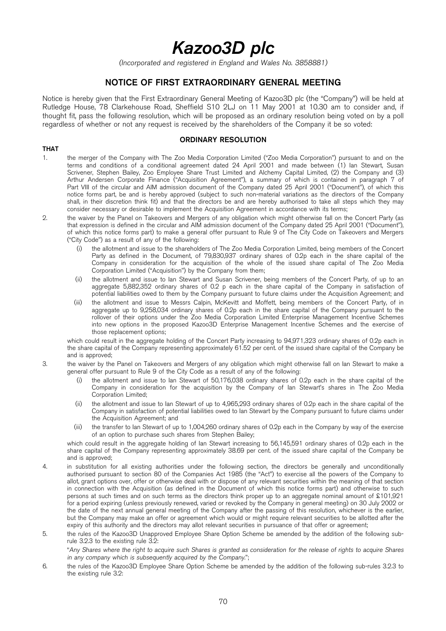# Kazoo3D plc

(Incorporated and registered in England and Wales No. 3858881)

# NOTICE OF FIRST EXTRAORDINARY GENERAL MEETING

Notice is hereby given that the First Extraordinary General Meeting of Kazoo3D plc (the "Company") will be held at Rutledge House, 78 Clarkehouse Road, Sheffield S10 2LJ on 11 May 2001 at 10.30 am to consider and, if thought fit, pass the following resolution, which will be proposed as an ordinary resolution being voted on by a poll regardless of whether or not any request is received by the shareholders of the Company it be so voted:

# ORDINARY RESOLUTION

#### THAT

- 1. the merger of the Company with The Zoo Media Corporation Limited ("Zoo Media Corporation") pursuant to and on the terms and conditions of a conditional agreement dated 24 April 2001 and made between (1) Ian Stewart, Susan Scrivener, Stephen Bailey, Zoo Employee Share Trust Limited and Alchemy Capital Limited, (2) the Company and (3) Arthur Andersen Corporate Finance ("Acquisition Agreement"), a summary of which is contained in paragraph 7 of Part VIII of the circular and AIM admission document of the Company dated 25 April 2001 ("Document"), of which this notice forms part, be and is hereby approved (subject to such non-material variations as the directors of the Company shall, in their discretion think fit) and that the directors be and are hereby authorised to take all steps which they may consider necessary or desirable to implement the Acquisition Agreement in accordance with its terms;
- 2. the waiver by the Panel on Takeovers and Mergers of any obligation which might otherwise fall on the Concert Party (as that expression is defined in the circular and AIM admission document of the Company dated 25 April 2001 ("Document"), of which this notice forms part) to make a general offer pursuant to Rule 9 of The City Code on Takeovers and Mergers ("City Code") as a result of any of the following:
	- the allotment and issue to the shareholders of The Zoo Media Corporation Limited, being members of the Concert Party as defined in the Document, of 79,830,937 ordinary shares of 0.2p each in the share capital of the Company in consideration for the acquisition of the whole of the issued share capital of The Zoo Media Corporation Limited ("Acquisition") by the Company from them;
	- (ii) the allotment and issue to Ian Stewart and Susan Scrivener, being members of the Concert Party, of up to an aggregate 5,882,352 ordinary shares of 0.2 p each in the share capital of the Company in satisfaction of potential liabilities owed to them by the Company pursuant to future claims under the Acquisition Agreement; and
	- (iii) the allotment and issue to Messrs Calpin, McKevitt and Moffett, being members of the Concert Party, of in aggregate up to 9,258,034 ordinary shares of 0.2p each in the share capital of the Company pursuant to the rollover of their options under the Zoo Media Corporation Limited Enterprise Management Incentive Schemes into new options in the proposed Kazoo3D Enterprise Management Incentive Schemes and the exercise of those replacement options;

which could result in the aggregate holding of the Concert Party increasing to 94,971,323 ordinary shares of 0.2p each in the share capital of the Company representing approximately 61.52 per cent. of the issued share capital of the Company be and is approved;

- 3. the waiver by the Panel on Takeovers and Mergers of any obligation which might otherwise fall on Ian Stewart to make a general offer pursuant to Rule 9 of the City Code as a result of any of the following:
	- (i) the allotment and issue to Ian Stewart of 50,176,038 ordinary shares of 0.2p each in the share capital of the Company in consideration for the acquisition by the Company of Ian Stewart's shares in The Zoo Media Corporation Limited;
	- (ii) the allotment and issue to Ian Stewart of up to 4,965,293 ordinary shares of 0.2p each in the share capital of the Company in satisfaction of potential liabilities owed to Ian Stewart by the Company pursuant to future claims under the Acquisition Agreement; and
	- (iii) the transfer to Ian Stewart of up to 1,004,260 ordinary shares of 0.2p each in the Company by way of the exercise of an option to purchase such shares from Stephen Bailey;

which could result in the aggregate holding of Ian Stewart increasing to 56,145,591 ordinary shares of 0.2p each in the share capital of the Company representing approximately 38.69 per cent. of the issued share capital of the Company be and is approved;

- 4. in substitution for all existing authorities under the following section, the directors be generally and unconditionally authorised pursuant to section 80 of the Companies Act 1985 (the "Act") to exercise all the powers of the Company to allot, grant options over, offer or otherwise deal with or dispose of any relevant securities within the meaning of that section in connection with the Acquisition (as defined in the Document of which this notice forms part) and otherwise to such persons at such times and on such terms as the directors think proper up to an aggregate nominal amount of £101,921 for a period expiring (unless previously renewed, varied or revoked by the Company in general meeting) on 30 July 2002 or the date of the next annual general meeting of the Company after the passing of this resolution, whichever is the earlier, but the Company may make an offer or agreement which would or might require relevant securities to be allotted after the expiry of this authority and the directors may allot relevant securities in pursuance of that offer or agreement;
- 5. the rules of the Kazoo3D Unapproved Employee Share Option Scheme be amended by the addition of the following subrule 3.2.3 to the existing rule 3.2: "Any Shares where the right to acquire such Shares is granted as consideration for the release of rights to acquire Shares in any company which is subsequently acquired by the Company.'';
- 6. the rules of the Kazoo3D Employee Share Option Scheme be amended by the addition of the following sub-rules 3.2.3 to the existing rule 3.2: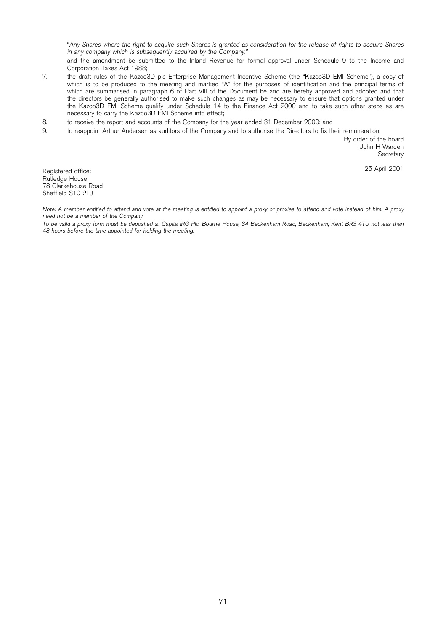``Any Shares where the right to acquire such Shares is granted as consideration for the release of rights to acquire Shares in any company which is subsequently acquired by the Company.''

and the amendment be submitted to the Inland Revenue for formal approval under Schedule 9 to the Income and Corporation Taxes Act 1988;

- 7. the draft rules of the Kazoo3D plc Enterprise Management Incentive Scheme (the "Kazoo3D EMI Scheme"), a copy of which is to be produced to the meeting and marked "A" for the purposes of identification and the principal terms of which are summarised in paragraph 6 of Part VIII of the Document be and are hereby approved and adopted and that the directors be generally authorised to make such changes as may be necessary to ensure that options granted under the Kazoo3D EMI Scheme qualify under Schedule 14 to the Finance Act 2000 and to take such other steps as are necessary to carry the Kazoo3D EMI Scheme into effect;
- 8. to receive the report and accounts of the Company for the year ended 31 December 2000; and
- 9. to reappoint Arthur Andersen as auditors of the Company and to authorise the Directors to fix their remuneration.

By order of the board John H Warden Secretary

Registered office: 25 April 2001 Rutledge House 78 Clarkehouse Road Sheffield S10 2LJ

Note: A member entitled to attend and vote at the meeting is entitled to appoint a proxy or proxies to attend and vote instead of him. A proxy need not be <sup>a</sup> member of the Company.

To be valid <sup>a</sup> proxy form must be deposited at Capita IRG Plc, Bourne House, 34 Beckenham Road, Beckenham, Kent BR3 4TU not less than 48 hours before the time appointed for holding the meeting.